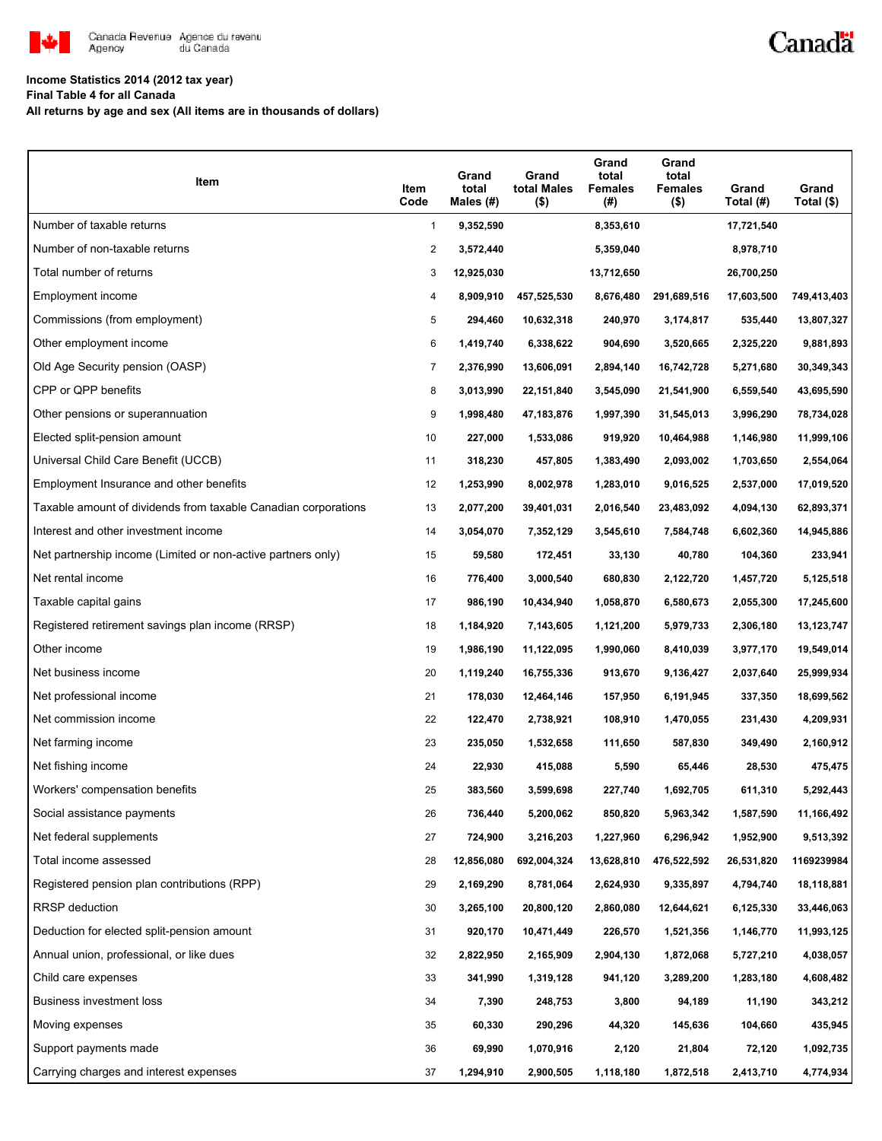

## Canadä

### **Income Statistics 2014 (2012 tax year)**

**Final Table 4 for all Canada**

**All returns by age and sex (All items are in thousands of dollars)**

| Item                                                           | Item<br>Code   | Grand<br>total<br>Males $(H)$ | Grand<br>total Males<br>$($ \$) | Grand<br>total<br><b>Females</b><br>(# ) | Grand<br>total<br><b>Females</b><br>$($ \$) | Grand<br>Total (#) | Grand<br>Total (\$) |
|----------------------------------------------------------------|----------------|-------------------------------|---------------------------------|------------------------------------------|---------------------------------------------|--------------------|---------------------|
| Number of taxable returns                                      | $\mathbf{1}$   | 9,352,590                     |                                 | 8,353,610                                |                                             | 17,721,540         |                     |
| Number of non-taxable returns                                  | $\overline{2}$ | 3,572,440                     |                                 | 5,359,040                                |                                             | 8,978,710          |                     |
| Total number of returns                                        | 3              | 12,925,030                    |                                 | 13,712,650                               |                                             | 26,700,250         |                     |
| Employment income                                              | 4              | 8,909,910                     | 457,525,530                     | 8,676,480                                | 291,689,516                                 | 17,603,500         | 749,413,403         |
| Commissions (from employment)                                  | 5              | 294,460                       | 10,632,318                      | 240,970                                  | 3,174,817                                   | 535,440            | 13,807,327          |
| Other employment income                                        | 6              | 1,419,740                     | 6,338,622                       | 904,690                                  | 3,520,665                                   | 2,325,220          | 9,881,893           |
| Old Age Security pension (OASP)                                | 7              | 2,376,990                     | 13,606,091                      | 2,894,140                                | 16,742,728                                  | 5,271,680          | 30,349,343          |
| CPP or QPP benefits                                            | 8              | 3,013,990                     | 22,151,840                      | 3,545,090                                | 21,541,900                                  | 6,559,540          | 43,695,590          |
| Other pensions or superannuation                               | 9              | 1,998,480                     | 47,183,876                      | 1,997,390                                | 31,545,013                                  | 3,996,290          | 78,734,028          |
| Elected split-pension amount                                   | 10             | 227,000                       | 1,533,086                       | 919,920                                  | 10,464,988                                  | 1,146,980          | 11,999,106          |
| Universal Child Care Benefit (UCCB)                            | 11             | 318,230                       | 457,805                         | 1,383,490                                | 2,093,002                                   | 1,703,650          | 2,554,064           |
| Employment Insurance and other benefits                        | 12             | 1,253,990                     | 8,002,978                       | 1,283,010                                | 9,016,525                                   | 2,537,000          | 17,019,520          |
| Taxable amount of dividends from taxable Canadian corporations | 13             | 2,077,200                     | 39,401,031                      | 2,016,540                                | 23,483,092                                  | 4,094,130          | 62,893,371          |
| Interest and other investment income                           | 14             | 3,054,070                     | 7,352,129                       | 3,545,610                                | 7,584,748                                   | 6,602,360          | 14,945,886          |
| Net partnership income (Limited or non-active partners only)   | 15             | 59,580                        | 172,451                         | 33,130                                   | 40,780                                      | 104,360            | 233,941             |
| Net rental income                                              | 16             | 776,400                       | 3,000,540                       | 680,830                                  | 2,122,720                                   | 1,457,720          | 5,125,518           |
| Taxable capital gains                                          | 17             | 986,190                       | 10,434,940                      | 1,058,870                                | 6,580,673                                   | 2,055,300          | 17,245,600          |
| Registered retirement savings plan income (RRSP)               | 18             | 1,184,920                     | 7,143,605                       | 1,121,200                                | 5,979,733                                   | 2,306,180          | 13,123,747          |
| Other income                                                   | 19             | 1,986,190                     | 11,122,095                      | 1,990,060                                | 8,410,039                                   | 3,977,170          | 19,549,014          |
| Net business income                                            | 20             | 1,119,240                     | 16,755,336                      | 913,670                                  | 9,136,427                                   | 2,037,640          | 25,999,934          |
| Net professional income                                        | 21             | 178,030                       | 12,464,146                      | 157,950                                  | 6,191,945                                   | 337,350            | 18,699,562          |
| Net commission income                                          | 22             | 122,470                       | 2,738,921                       | 108,910                                  | 1,470,055                                   | 231,430            | 4,209,931           |
| Net farming income                                             | 23             | 235,050                       | 1,532,658                       | 111,650                                  | 587,830                                     | 349,490            | 2,160,912           |
| Net fishing income                                             | 24             | 22,930                        | 415,088                         | 5,590                                    | 65,446                                      | 28,530             | 475,475             |
| Workers' compensation benefits                                 | 25             | 383,560                       | 3,599,698                       | 227,740                                  | 1,692,705                                   | 611,310            | 5,292,443           |
| Social assistance payments                                     | 26             | 736,440                       | 5,200,062                       | 850,820                                  | 5,963,342                                   | 1,587,590          | 11,166,492          |
| Net federal supplements                                        | 27             | 724,900                       | 3,216,203                       | 1,227,960                                | 6,296,942                                   | 1,952,900          | 9,513,392           |
| Total income assessed                                          | 28             | 12,856,080                    | 692,004,324                     | 13,628,810                               | 476,522,592                                 | 26,531,820         | 1169239984          |
| Registered pension plan contributions (RPP)                    | 29             | 2,169,290                     | 8,781,064                       | 2,624,930                                | 9,335,897                                   | 4,794,740          | 18,118,881          |
| RRSP deduction                                                 | 30             | 3,265,100                     | 20,800,120                      | 2,860,080                                | 12,644,621                                  | 6,125,330          | 33,446,063          |
| Deduction for elected split-pension amount                     | 31             | 920,170                       | 10,471,449                      | 226,570                                  | 1,521,356                                   | 1,146,770          | 11,993,125          |
| Annual union, professional, or like dues                       | 32             | 2,822,950                     | 2,165,909                       | 2,904,130                                | 1,872,068                                   | 5,727,210          | 4,038,057           |
| Child care expenses                                            | 33             | 341,990                       | 1,319,128                       | 941,120                                  | 3,289,200                                   | 1,283,180          | 4,608,482           |
| Business investment loss                                       | 34             | 7,390                         | 248,753                         | 3,800                                    | 94,189                                      | 11,190             | 343,212             |
| Moving expenses                                                | 35             | 60,330                        | 290,296                         | 44,320                                   | 145,636                                     | 104,660            | 435,945             |
| Support payments made                                          | 36             | 69,990                        | 1,070,916                       | 2,120                                    | 21,804                                      | 72,120             | 1,092,735           |
| Carrying charges and interest expenses                         | 37             | 1,294,910                     | 2,900,505                       | 1,118,180                                | 1,872,518                                   | 2,413,710          | 4,774,934           |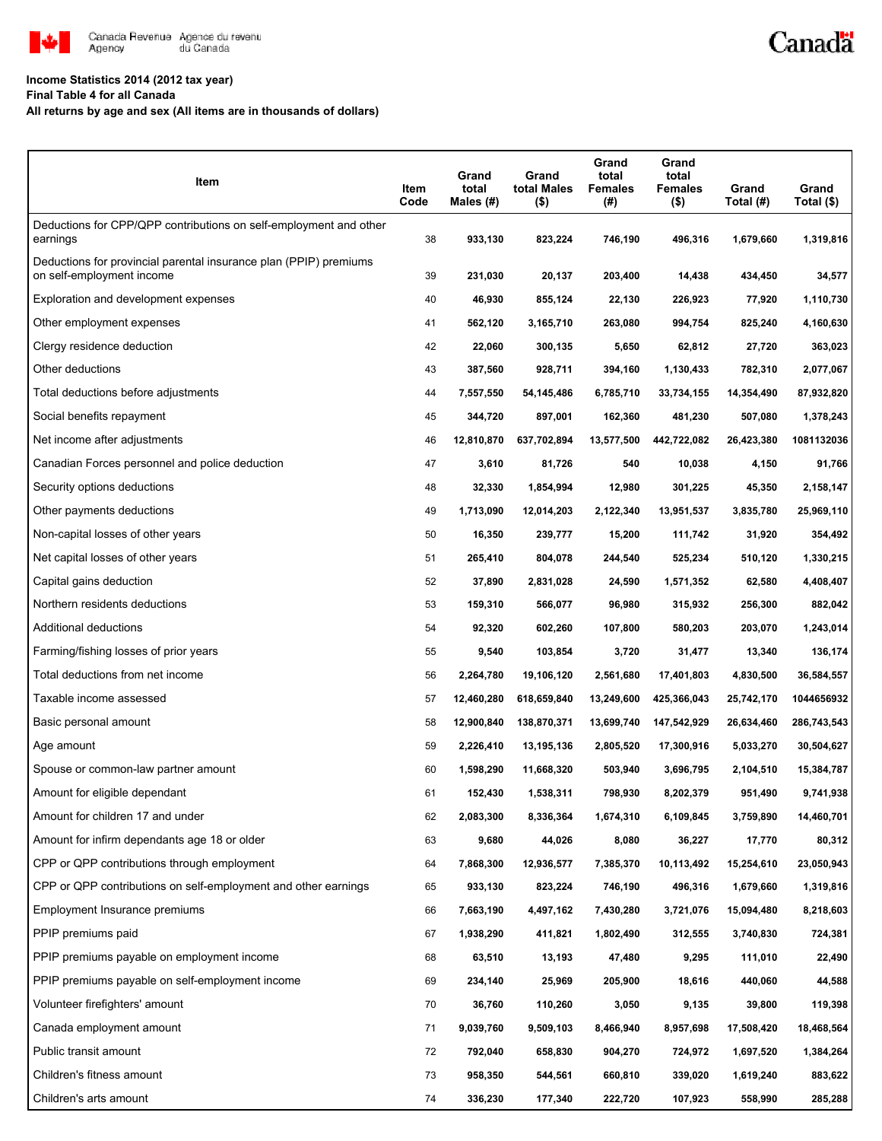

#### **Income Statistics 2014 (2012 tax year)**

**Final Table 4 for all Canada**

**All returns by age and sex (All items are in thousands of dollars)**

| Item                                                                                           | Item<br>Code | Grand<br>total<br>Males (#) | Grand<br>total Males<br>$($ \$) | Grand<br>total<br><b>Females</b><br>(#) | Grand<br>total<br><b>Females</b><br>$($ \$) | Grand<br>Total (#) | Grand<br>Total (\$) |
|------------------------------------------------------------------------------------------------|--------------|-----------------------------|---------------------------------|-----------------------------------------|---------------------------------------------|--------------------|---------------------|
| Deductions for CPP/QPP contributions on self-employment and other<br>earnings                  | 38           | 933,130                     | 823,224                         | 746,190                                 | 496,316                                     | 1,679,660          | 1,319,816           |
| Deductions for provincial parental insurance plan (PPIP) premiums<br>on self-employment income | 39           | 231,030                     | 20,137                          | 203,400                                 | 14,438                                      | 434,450            | 34,577              |
| Exploration and development expenses                                                           | 40           | 46,930                      | 855,124                         | 22,130                                  | 226,923                                     | 77,920             | 1,110,730           |
| Other employment expenses                                                                      | 41           | 562,120                     | 3,165,710                       | 263,080                                 | 994,754                                     | 825,240            | 4,160,630           |
| Clergy residence deduction                                                                     | 42           | 22,060                      | 300,135                         | 5,650                                   | 62,812                                      | 27,720             | 363,023             |
| Other deductions                                                                               | 43           | 387,560                     | 928,711                         | 394,160                                 | 1,130,433                                   | 782,310            | 2,077,067           |
| Total deductions before adjustments                                                            | 44           | 7,557,550                   | 54,145,486                      | 6,785,710                               | 33,734,155                                  | 14,354,490         | 87,932,820          |
| Social benefits repayment                                                                      | 45           | 344,720                     | 897,001                         | 162,360                                 | 481,230                                     | 507,080            | 1,378,243           |
| Net income after adjustments                                                                   | 46           | 12,810,870                  | 637,702,894                     | 13,577,500                              | 442,722,082                                 | 26,423,380         | 1081132036          |
| Canadian Forces personnel and police deduction                                                 | 47           | 3,610                       | 81,726                          | 540                                     | 10,038                                      | 4,150              | 91,766              |
| Security options deductions                                                                    | 48           | 32,330                      | 1,854,994                       | 12,980                                  | 301,225                                     | 45,350             | 2,158,147           |
| Other payments deductions                                                                      | 49           | 1,713,090                   | 12,014,203                      | 2,122,340                               | 13,951,537                                  | 3,835,780          | 25,969,110          |
| Non-capital losses of other years                                                              | 50           | 16,350                      | 239,777                         | 15,200                                  | 111,742                                     | 31,920             | 354,492             |
| Net capital losses of other years                                                              | 51           | 265,410                     | 804,078                         | 244,540                                 | 525,234                                     | 510,120            | 1,330,215           |
| Capital gains deduction                                                                        | 52           | 37,890                      | 2,831,028                       | 24,590                                  | 1,571,352                                   | 62,580             | 4,408,407           |
| Northern residents deductions                                                                  | 53           | 159,310                     | 566,077                         | 96,980                                  | 315,932                                     | 256,300            | 882,042             |
| Additional deductions                                                                          | 54           | 92,320                      | 602,260                         | 107,800                                 | 580,203                                     | 203,070            | 1,243,014           |
| Farming/fishing losses of prior years                                                          | 55           | 9,540                       | 103,854                         | 3,720                                   | 31,477                                      | 13,340             | 136,174             |
| Total deductions from net income                                                               | 56           | 2,264,780                   | 19,106,120                      | 2,561,680                               | 17,401,803                                  | 4,830,500          | 36,584,557          |
| Taxable income assessed                                                                        | 57           | 12,460,280                  | 618,659,840                     | 13,249,600                              | 425,366,043                                 | 25,742,170         | 1044656932          |
| Basic personal amount                                                                          | 58           | 12,900,840                  | 138,870,371                     | 13,699,740                              | 147,542,929                                 | 26,634,460         | 286,743,543         |
| Age amount                                                                                     | 59           | 2,226,410                   | 13,195,136                      | 2,805,520                               | 17,300,916                                  | 5,033,270          | 30,504,627          |
| Spouse or common-law partner amount                                                            | 60           | 1,598,290                   | 11,668,320                      | 503,940                                 | 3,696,795                                   | 2,104,510          | 15,384,787          |
| Amount for eligible dependant                                                                  | 61           | 152,430                     | 1,538,311                       | 798.930                                 | 8,202,379                                   | 951,490            | 9,741,938           |
| Amount for children 17 and under                                                               | 62           | 2,083,300                   | 8,336,364                       | 1,674,310                               | 6,109,845                                   | 3,759,890          | 14,460,701          |
| Amount for infirm dependants age 18 or older                                                   | 63           | 9,680                       | 44,026                          | 8,080                                   | 36,227                                      | 17,770             | 80,312              |
| CPP or QPP contributions through employment                                                    | 64           | 7,868,300                   | 12,936,577                      | 7,385,370                               | 10,113,492                                  | 15,254,610         | 23,050,943          |
| CPP or QPP contributions on self-employment and other earnings                                 | 65           | 933,130                     | 823,224                         | 746,190                                 | 496,316                                     | 1,679,660          | 1,319,816           |
| Employment Insurance premiums                                                                  | 66           | 7,663,190                   | 4,497,162                       | 7,430,280                               | 3,721,076                                   | 15,094,480         | 8,218,603           |
| PPIP premiums paid                                                                             | 67           | 1,938,290                   | 411,821                         | 1,802,490                               | 312,555                                     | 3,740,830          | 724,381             |
| PPIP premiums payable on employment income                                                     | 68           | 63,510                      | 13,193                          | 47,480                                  | 9,295                                       | 111,010            | 22,490              |
| PPIP premiums payable on self-employment income                                                | 69           | 234,140                     | 25,969                          | 205,900                                 | 18,616                                      | 440,060            | 44,588              |
| Volunteer firefighters' amount                                                                 | 70           | 36,760                      | 110,260                         | 3,050                                   | 9,135                                       | 39,800             | 119,398             |
| Canada employment amount                                                                       | 71           | 9,039,760                   | 9,509,103                       | 8,466,940                               | 8,957,698                                   | 17,508,420         | 18,468,564          |
| Public transit amount                                                                          | 72           | 792,040                     | 658,830                         | 904,270                                 | 724,972                                     | 1,697,520          | 1,384,264           |
| Children's fitness amount                                                                      | 73           | 958,350                     | 544,561                         | 660,810                                 | 339,020                                     | 1,619,240          | 883,622             |
| Children's arts amount                                                                         | 74           | 336,230                     | 177,340                         | 222,720                                 | 107,923                                     | 558,990            | 285,288             |

Canadä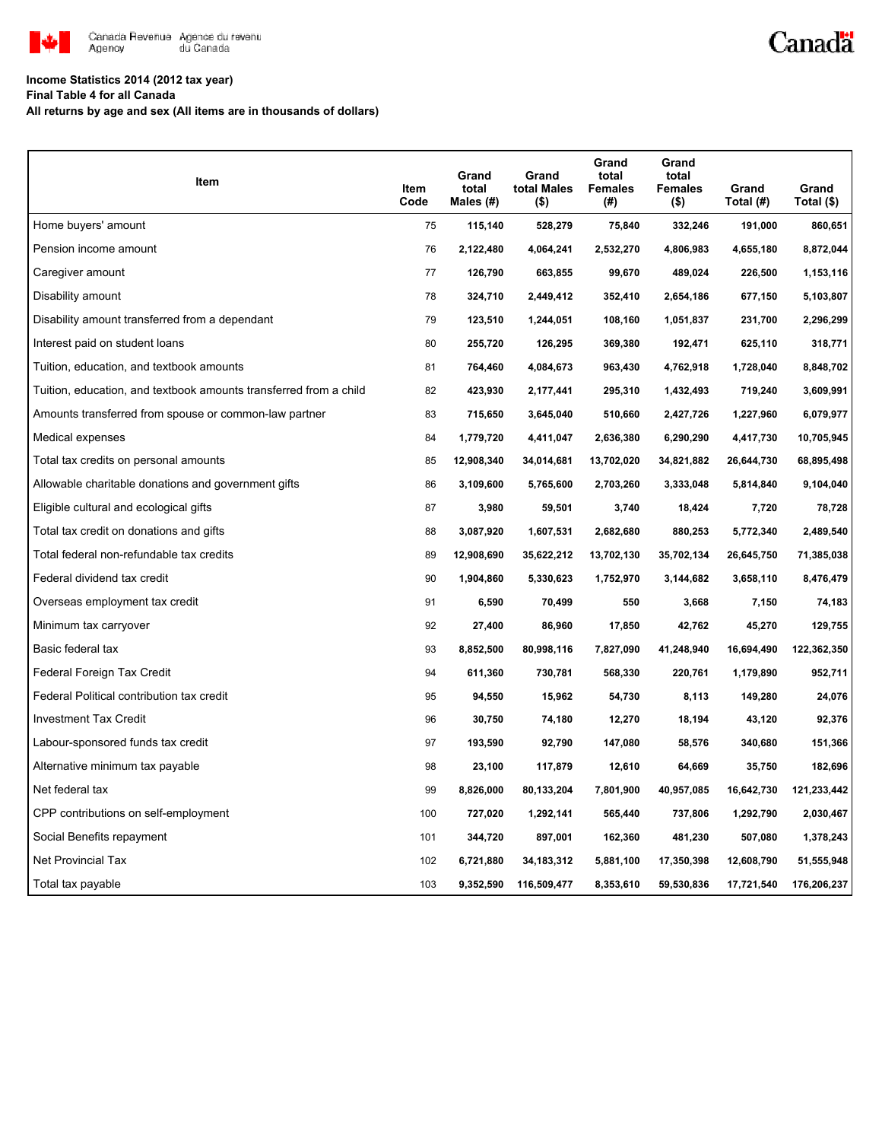

# Canadä

### **Income Statistics 2014 (2012 tax year)**

**Final Table 4 for all Canada**

**All returns by age and sex (All items are in thousands of dollars)**

| Item                                                              | Item<br>Code | Grand<br>total<br>Males (#) | Grand<br>total Males<br>(\$) | Grand<br>total<br><b>Females</b><br>(#) | Grand<br>total<br><b>Females</b><br>$($ \$) | Grand<br>Total (#) | Grand<br>Total (\$) |
|-------------------------------------------------------------------|--------------|-----------------------------|------------------------------|-----------------------------------------|---------------------------------------------|--------------------|---------------------|
| Home buyers' amount                                               | 75           | 115,140                     | 528,279                      | 75,840                                  | 332,246                                     | 191,000            | 860,651             |
| Pension income amount                                             | 76           | 2,122,480                   | 4,064,241                    | 2,532,270                               | 4,806,983                                   | 4,655,180          | 8,872,044           |
| Caregiver amount                                                  | 77           | 126,790                     | 663,855                      | 99,670                                  | 489,024                                     | 226,500            | 1,153,116           |
| Disability amount                                                 | 78           | 324,710                     | 2,449,412                    | 352,410                                 | 2,654,186                                   | 677,150            | 5,103,807           |
| Disability amount transferred from a dependant                    | 79           | 123,510                     | 1,244,051                    | 108,160                                 | 1,051,837                                   | 231,700            | 2,296,299           |
| Interest paid on student loans                                    | 80           | 255,720                     | 126,295                      | 369,380                                 | 192,471                                     | 625,110            | 318,771             |
| Tuition, education, and textbook amounts                          | 81           | 764,460                     | 4,084,673                    | 963,430                                 | 4,762,918                                   | 1,728,040          | 8,848,702           |
| Tuition, education, and textbook amounts transferred from a child | 82           | 423,930                     | 2,177,441                    | 295,310                                 | 1,432,493                                   | 719,240            | 3,609,991           |
| Amounts transferred from spouse or common-law partner             | 83           | 715,650                     | 3,645,040                    | 510,660                                 | 2,427,726                                   | 1,227,960          | 6,079,977           |
| Medical expenses                                                  | 84           | 1,779,720                   | 4,411,047                    | 2,636,380                               | 6,290,290                                   | 4,417,730          | 10,705,945          |
| Total tax credits on personal amounts                             | 85           | 12,908,340                  | 34,014,681                   | 13,702,020                              | 34,821,882                                  | 26,644,730         | 68,895,498          |
| Allowable charitable donations and government gifts               | 86           | 3,109,600                   | 5,765,600                    | 2,703,260                               | 3,333,048                                   | 5,814,840          | 9,104,040           |
| Eligible cultural and ecological gifts                            | 87           | 3,980                       | 59,501                       | 3,740                                   | 18,424                                      | 7,720              | 78,728              |
| Total tax credit on donations and gifts                           | 88           | 3,087,920                   | 1,607,531                    | 2,682,680                               | 880,253                                     | 5,772,340          | 2,489,540           |
| Total federal non-refundable tax credits                          | 89           | 12,908,690                  | 35,622,212                   | 13,702,130                              | 35,702,134                                  | 26,645,750         | 71,385,038          |
| Federal dividend tax credit                                       | 90           | 1,904,860                   | 5,330,623                    | 1,752,970                               | 3,144,682                                   | 3,658,110          | 8,476,479           |
| Overseas employment tax credit                                    | 91           | 6,590                       | 70,499                       | 550                                     | 3,668                                       | 7,150              | 74,183              |
| Minimum tax carryover                                             | 92           | 27,400                      | 86,960                       | 17,850                                  | 42,762                                      | 45,270             | 129,755             |
| Basic federal tax                                                 | 93           | 8,852,500                   | 80,998,116                   | 7,827,090                               | 41,248,940                                  | 16,694,490         | 122,362,350         |
| Federal Foreign Tax Credit                                        | 94           | 611,360                     | 730,781                      | 568,330                                 | 220,761                                     | 1,179,890          | 952,711             |
| Federal Political contribution tax credit                         | 95           | 94,550                      | 15,962                       | 54,730                                  | 8,113                                       | 149,280            | 24,076              |
| <b>Investment Tax Credit</b>                                      | 96           | 30,750                      | 74,180                       | 12,270                                  | 18,194                                      | 43,120             | 92,376              |
| Labour-sponsored funds tax credit                                 | 97           | 193,590                     | 92,790                       | 147,080                                 | 58,576                                      | 340,680            | 151,366             |
| Alternative minimum tax payable                                   | 98           | 23,100                      | 117,879                      | 12,610                                  | 64,669                                      | 35,750             | 182,696             |
| Net federal tax                                                   | 99           | 8,826,000                   | 80,133,204                   | 7,801,900                               | 40,957,085                                  | 16,642,730         | 121,233,442         |
| CPP contributions on self-employment                              | 100          | 727,020                     | 1,292,141                    | 565,440                                 | 737,806                                     | 1,292,790          | 2,030,467           |
| Social Benefits repayment                                         | 101          | 344,720                     | 897,001                      | 162,360                                 | 481,230                                     | 507,080            | 1,378,243           |
| <b>Net Provincial Tax</b>                                         | 102          | 6,721,880                   | 34, 183, 312                 | 5,881,100                               | 17,350,398                                  | 12,608,790         | 51,555,948          |
| Total tax payable                                                 | 103          | 9,352,590                   | 116,509,477                  | 8,353,610                               | 59,530,836                                  | 17,721,540         | 176,206,237         |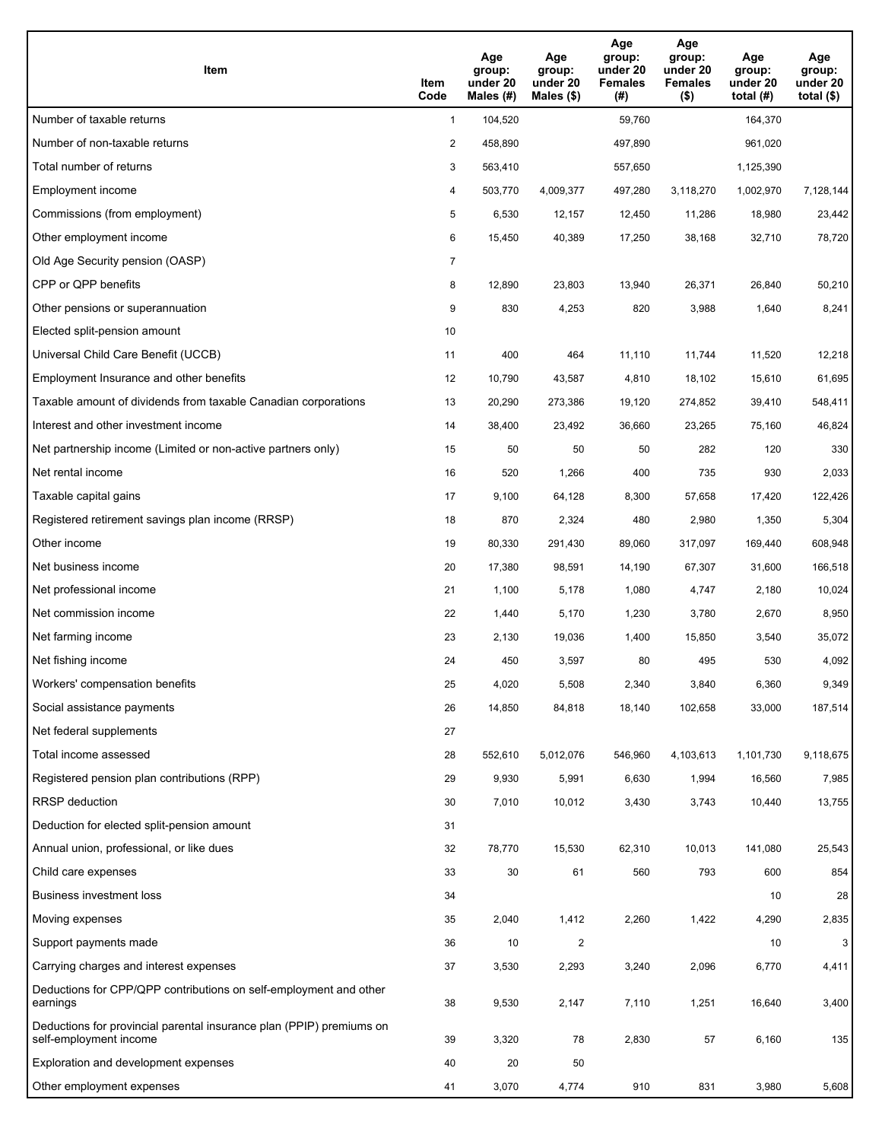| <b>Item</b>                                                                                    | Item<br>Code   | Age<br>group:<br>under 20<br>Males (#) | Age<br>group:<br>under 20<br>Males $(\$)$ | Age<br>group:<br>under 20<br><b>Females</b><br>(#) | Age<br>group:<br>under 20<br><b>Females</b><br>$($ \$) | Age<br>group:<br>under 20<br>total $(H)$ | Age<br>group:<br>under 20<br>total $(\$)$ |
|------------------------------------------------------------------------------------------------|----------------|----------------------------------------|-------------------------------------------|----------------------------------------------------|--------------------------------------------------------|------------------------------------------|-------------------------------------------|
| Number of taxable returns                                                                      | $\mathbf{1}$   | 104,520                                |                                           | 59,760                                             |                                                        | 164,370                                  |                                           |
| Number of non-taxable returns                                                                  | 2              | 458,890                                |                                           | 497,890                                            |                                                        | 961,020                                  |                                           |
| Total number of returns                                                                        | 3              | 563,410                                |                                           | 557,650                                            |                                                        | 1,125,390                                |                                           |
| Employment income                                                                              | 4              | 503,770                                | 4,009,377                                 | 497,280                                            | 3,118,270                                              | 1,002,970                                | 7,128,144                                 |
| Commissions (from employment)                                                                  | 5              | 6,530                                  | 12,157                                    | 12,450                                             | 11,286                                                 | 18,980                                   | 23,442                                    |
| Other employment income                                                                        | 6              | 15,450                                 | 40,389                                    | 17,250                                             | 38,168                                                 | 32,710                                   | 78,720                                    |
| Old Age Security pension (OASP)                                                                | $\overline{7}$ |                                        |                                           |                                                    |                                                        |                                          |                                           |
| CPP or QPP benefits                                                                            | 8              | 12,890                                 | 23,803                                    | 13,940                                             | 26,371                                                 | 26,840                                   | 50,210                                    |
| Other pensions or superannuation                                                               | 9              | 830                                    | 4,253                                     | 820                                                | 3,988                                                  | 1,640                                    | 8,241                                     |
| Elected split-pension amount                                                                   | 10             |                                        |                                           |                                                    |                                                        |                                          |                                           |
| Universal Child Care Benefit (UCCB)                                                            | 11             | 400                                    | 464                                       | 11,110                                             | 11,744                                                 | 11,520                                   | 12,218                                    |
| Employment Insurance and other benefits                                                        | 12             | 10,790                                 | 43,587                                    | 4,810                                              | 18,102                                                 | 15,610                                   | 61,695                                    |
| Taxable amount of dividends from taxable Canadian corporations                                 | 13             | 20,290                                 | 273,386                                   | 19,120                                             | 274,852                                                | 39,410                                   | 548,411                                   |
| Interest and other investment income                                                           | 14             | 38,400                                 | 23,492                                    | 36,660                                             | 23,265                                                 | 75,160                                   | 46,824                                    |
| Net partnership income (Limited or non-active partners only)                                   | 15             | 50                                     | 50                                        | 50                                                 | 282                                                    | 120                                      | 330                                       |
| Net rental income                                                                              | 16             | 520                                    | 1,266                                     | 400                                                | 735                                                    | 930                                      | 2,033                                     |
| Taxable capital gains                                                                          | 17             | 9,100                                  | 64,128                                    | 8,300                                              | 57,658                                                 | 17,420                                   | 122,426                                   |
| Registered retirement savings plan income (RRSP)                                               | 18             | 870                                    | 2,324                                     | 480                                                | 2,980                                                  | 1,350                                    | 5,304                                     |
| Other income                                                                                   | 19             | 80,330                                 | 291,430                                   | 89,060                                             | 317,097                                                | 169,440                                  | 608,948                                   |
| Net business income                                                                            | 20             | 17,380                                 | 98,591                                    | 14,190                                             | 67,307                                                 | 31,600                                   | 166,518                                   |
| Net professional income                                                                        | 21             | 1,100                                  | 5,178                                     | 1,080                                              | 4,747                                                  | 2,180                                    | 10,024                                    |
| Net commission income                                                                          | 22             | 1,440                                  | 5,170                                     | 1,230                                              | 3,780                                                  | 2,670                                    | 8,950                                     |
| Net farming income                                                                             | 23             | 2,130                                  | 19,036                                    | 1,400                                              | 15,850                                                 | 3,540                                    | 35,072                                    |
| Net fishing income                                                                             | 24             | 450                                    | 3,597                                     | 80                                                 | 495                                                    | 530                                      | 4,092                                     |
| Workers' compensation benefits                                                                 | 25             | 4,020                                  | 5,508                                     | 2,340                                              | 3,840                                                  | 6,360                                    | 9,349                                     |
| Social assistance payments                                                                     | 26             | 14,850                                 | 84,818                                    | 18,140                                             | 102,658                                                | 33,000                                   | 187,514                                   |
| Net federal supplements                                                                        | 27             |                                        |                                           |                                                    |                                                        |                                          |                                           |
| Total income assessed                                                                          | 28             | 552,610                                | 5,012,076                                 | 546,960                                            | 4,103,613                                              | 1,101,730                                | 9,118,675                                 |
| Registered pension plan contributions (RPP)                                                    | 29             | 9,930                                  | 5,991                                     | 6,630                                              | 1,994                                                  | 16,560                                   | 7,985                                     |
| <b>RRSP</b> deduction                                                                          | 30             | 7,010                                  | 10,012                                    | 3,430                                              | 3,743                                                  | 10,440                                   | 13,755                                    |
| Deduction for elected split-pension amount                                                     | 31             |                                        |                                           |                                                    |                                                        |                                          |                                           |
| Annual union, professional, or like dues                                                       | 32             | 78,770                                 | 15,530                                    | 62,310                                             | 10,013                                                 | 141,080                                  | 25,543                                    |
| Child care expenses                                                                            | 33             | 30                                     | 61                                        | 560                                                | 793                                                    | 600                                      | 854                                       |
| <b>Business investment loss</b>                                                                | 34             |                                        |                                           |                                                    |                                                        | 10                                       | 28                                        |
| Moving expenses                                                                                | 35             | 2,040                                  | 1,412                                     | 2,260                                              | 1,422                                                  | 4,290                                    | 2,835                                     |
| Support payments made                                                                          | 36             | 10                                     | $\overline{\mathbf{c}}$                   |                                                    |                                                        | 10                                       | 3                                         |
| Carrying charges and interest expenses                                                         | 37             | 3,530                                  | 2,293                                     | 3,240                                              | 2,096                                                  | 6,770                                    | 4,411                                     |
| Deductions for CPP/QPP contributions on self-employment and other<br>earnings                  | 38             | 9,530                                  | 2,147                                     | 7,110                                              | 1,251                                                  | 16,640                                   | 3,400                                     |
| Deductions for provincial parental insurance plan (PPIP) premiums on<br>self-employment income | 39             | 3,320                                  | 78                                        | 2,830                                              | 57                                                     | 6,160                                    | 135                                       |
| Exploration and development expenses                                                           | 40             | 20                                     | 50                                        |                                                    |                                                        |                                          |                                           |
| Other employment expenses                                                                      | 41             | 3,070                                  | 4,774                                     | 910                                                | 831                                                    | 3,980                                    | 5,608                                     |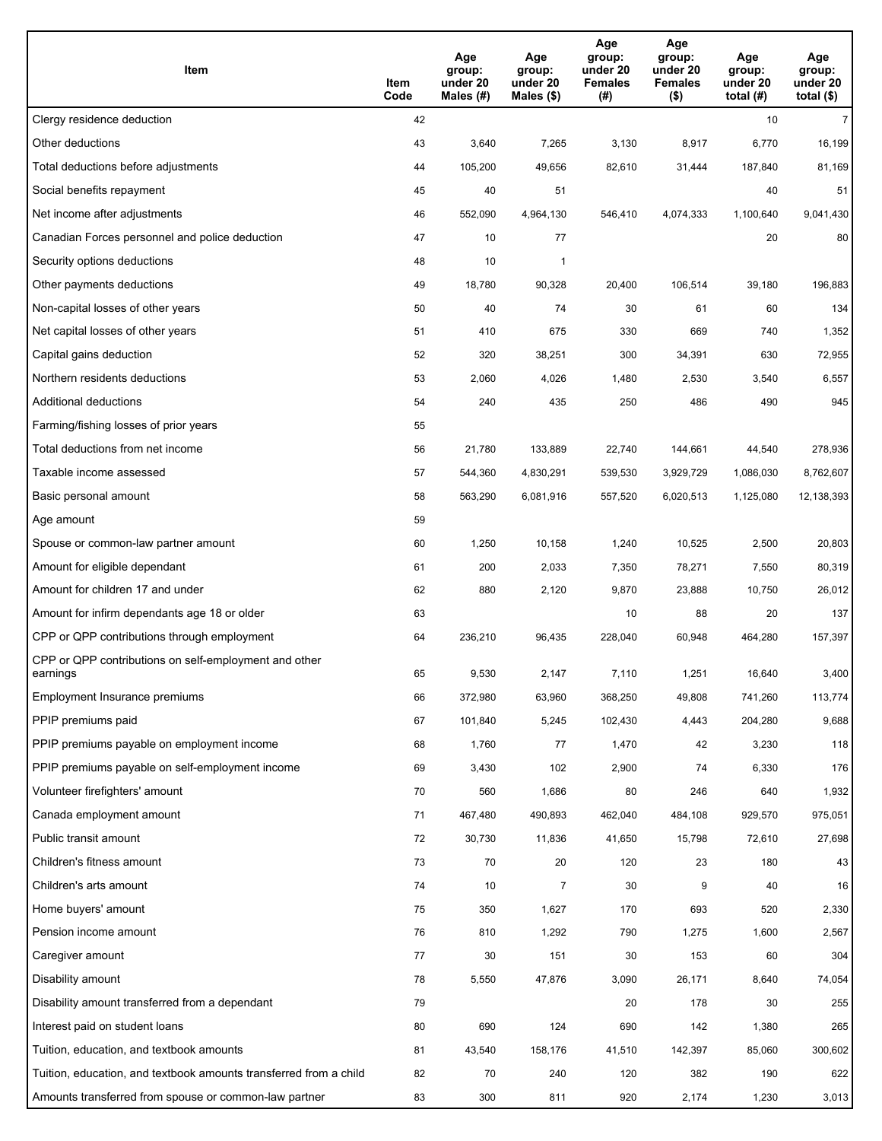| Item                                                              | Item<br>Code | Age<br>group:<br>under 20<br>Males $(H)$ | Age<br>group:<br>under 20<br>Males $(\$)$ | Age<br>group:<br>under 20<br><b>Females</b><br>(#) | Age<br>group:<br>under 20<br><b>Females</b><br>$($ \$) | Age<br>group:<br>under 20<br>total $(H)$ | Age<br>group:<br>under 20<br>total $($)$ |
|-------------------------------------------------------------------|--------------|------------------------------------------|-------------------------------------------|----------------------------------------------------|--------------------------------------------------------|------------------------------------------|------------------------------------------|
| Clergy residence deduction                                        | 42           |                                          |                                           |                                                    |                                                        | 10                                       | $\overline{7}$                           |
| Other deductions                                                  | 43           | 3,640                                    | 7,265                                     | 3,130                                              | 8,917                                                  | 6,770                                    | 16,199                                   |
| Total deductions before adjustments                               | 44           | 105,200                                  | 49,656                                    | 82,610                                             | 31,444                                                 | 187,840                                  | 81,169                                   |
| Social benefits repayment                                         | 45           | 40                                       | 51                                        |                                                    |                                                        | 40                                       | 51                                       |
| Net income after adjustments                                      | 46           | 552,090                                  | 4,964,130                                 | 546,410                                            | 4,074,333                                              | 1,100,640                                | 9,041,430                                |
| Canadian Forces personnel and police deduction                    | 47           | 10                                       | 77                                        |                                                    |                                                        | 20                                       | 80                                       |
| Security options deductions                                       | 48           | 10                                       | 1                                         |                                                    |                                                        |                                          |                                          |
| Other payments deductions                                         | 49           | 18,780                                   | 90,328                                    | 20,400                                             | 106,514                                                | 39,180                                   | 196,883                                  |
| Non-capital losses of other years                                 | 50           | 40                                       | 74                                        | 30                                                 | 61                                                     | 60                                       | 134                                      |
| Net capital losses of other years                                 | 51           | 410                                      | 675                                       | 330                                                | 669                                                    | 740                                      | 1,352                                    |
| Capital gains deduction                                           | 52           | 320                                      | 38,251                                    | 300                                                | 34,391                                                 | 630                                      | 72,955                                   |
| Northern residents deductions                                     | 53           | 2,060                                    | 4,026                                     | 1,480                                              | 2,530                                                  | 3,540                                    | 6,557                                    |
| Additional deductions                                             | 54           | 240                                      | 435                                       | 250                                                | 486                                                    | 490                                      | 945                                      |
| Farming/fishing losses of prior years                             | 55           |                                          |                                           |                                                    |                                                        |                                          |                                          |
| Total deductions from net income                                  | 56           | 21,780                                   | 133,889                                   | 22,740                                             | 144,661                                                | 44,540                                   | 278,936                                  |
| Taxable income assessed                                           | 57           | 544,360                                  | 4,830,291                                 | 539,530                                            | 3,929,729                                              | 1,086,030                                | 8,762,607                                |
| Basic personal amount                                             | 58           | 563,290                                  | 6,081,916                                 | 557,520                                            | 6,020,513                                              | 1,125,080                                | 12,138,393                               |
| Age amount                                                        | 59           |                                          |                                           |                                                    |                                                        |                                          |                                          |
| Spouse or common-law partner amount                               | 60           | 1,250                                    | 10,158                                    | 1,240                                              | 10,525                                                 | 2,500                                    | 20,803                                   |
| Amount for eligible dependant                                     | 61           | 200                                      | 2,033                                     | 7,350                                              | 78,271                                                 | 7,550                                    | 80,319                                   |
| Amount for children 17 and under                                  | 62           | 880                                      | 2,120                                     | 9,870                                              | 23,888                                                 | 10,750                                   | 26,012                                   |
| Amount for infirm dependants age 18 or older                      | 63           |                                          |                                           | 10                                                 | 88                                                     | 20                                       | 137                                      |
| CPP or QPP contributions through employment                       | 64           | 236,210                                  | 96,435                                    | 228.040                                            | 60,948                                                 | 464,280                                  | 157,397                                  |
| CPP or QPP contributions on self-employment and other<br>earnings | 65           | 9,530                                    | 2,147                                     | 7,110                                              | 1,251                                                  | 16,640                                   | 3,400                                    |
| Employment Insurance premiums                                     | 66           | 372,980                                  | 63,960                                    | 368,250                                            | 49,808                                                 | 741,260                                  | 113,774                                  |
| PPIP premiums paid                                                | 67           | 101,840                                  | 5,245                                     | 102,430                                            | 4,443                                                  | 204,280                                  | 9,688                                    |
| PPIP premiums payable on employment income                        | 68           | 1,760                                    | 77                                        | 1,470                                              | 42                                                     | 3,230                                    | 118                                      |
| PPIP premiums payable on self-employment income                   | 69           | 3,430                                    | 102                                       | 2,900                                              | 74                                                     | 6,330                                    | 176                                      |
| Volunteer firefighters' amount                                    | 70           | 560                                      | 1,686                                     | 80                                                 | 246                                                    | 640                                      | 1,932                                    |
| Canada employment amount                                          | 71           | 467,480                                  | 490,893                                   | 462,040                                            | 484,108                                                | 929,570                                  | 975,051                                  |
| Public transit amount                                             | 72           | 30,730                                   | 11,836                                    | 41,650                                             | 15,798                                                 | 72,610                                   | 27,698                                   |
| Children's fitness amount                                         | 73           | 70                                       | 20                                        | 120                                                | 23                                                     | 180                                      | 43                                       |
| Children's arts amount                                            | 74           | 10                                       | 7                                         | 30                                                 | 9                                                      | 40                                       | 16                                       |
| Home buyers' amount                                               | 75           | 350                                      | 1,627                                     | 170                                                | 693                                                    | 520                                      | 2,330                                    |
| Pension income amount                                             | 76           | 810                                      | 1,292                                     | 790                                                | 1,275                                                  | 1,600                                    | 2,567                                    |
| Caregiver amount                                                  | 77           | 30                                       | 151                                       | 30                                                 | 153                                                    | 60                                       | 304                                      |
| Disability amount                                                 | 78           | 5,550                                    | 47,876                                    | 3,090                                              | 26,171                                                 | 8,640                                    | 74,054                                   |
| Disability amount transferred from a dependant                    | 79           |                                          |                                           | 20                                                 | 178                                                    | 30                                       | 255                                      |
| Interest paid on student loans                                    | 80           | 690                                      | 124                                       | 690                                                | 142                                                    | 1,380                                    | 265                                      |
| Tuition, education, and textbook amounts                          | 81           | 43,540                                   | 158,176                                   | 41,510                                             | 142,397                                                | 85,060                                   | 300,602                                  |
| Tuition, education, and textbook amounts transferred from a child | 82           | 70                                       | 240                                       | 120                                                | 382                                                    | 190                                      | 622                                      |
| Amounts transferred from spouse or common-law partner             | 83           | 300                                      | 811                                       | 920                                                | 2,174                                                  | 1,230                                    | 3,013                                    |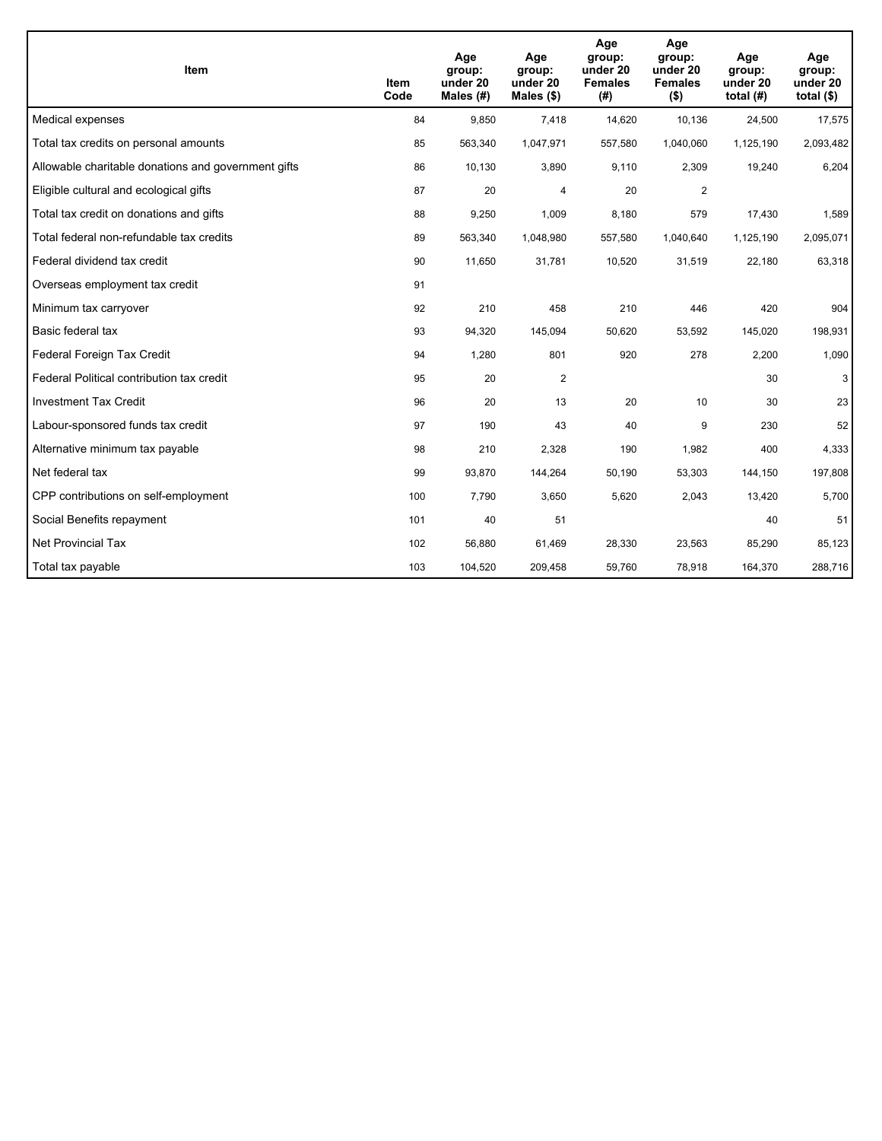| <b>Item</b>                                         | Item<br>Code | Age<br>group:<br>under 20<br>Males (#) | Age<br>group:<br>under 20<br>Males $(\$)$ | Age<br>group:<br>under 20<br><b>Females</b><br>(#) | Age<br>group:<br>under 20<br><b>Females</b><br>$($ \$) | Age<br>group:<br>under 20<br>total $(H)$ | Age<br>group:<br>under 20<br>total $($)$ |
|-----------------------------------------------------|--------------|----------------------------------------|-------------------------------------------|----------------------------------------------------|--------------------------------------------------------|------------------------------------------|------------------------------------------|
| Medical expenses                                    | 84           | 9,850                                  | 7.418                                     | 14,620                                             | 10,136                                                 | 24,500                                   | 17,575                                   |
| Total tax credits on personal amounts               | 85           | 563,340                                | 1,047,971                                 | 557,580                                            | 1,040,060                                              | 1,125,190                                | 2,093,482                                |
| Allowable charitable donations and government gifts | 86           | 10,130                                 | 3,890                                     | 9,110                                              | 2,309                                                  | 19,240                                   | 6,204                                    |
| Eligible cultural and ecological gifts              | 87           | 20                                     | 4                                         | 20                                                 | $\overline{2}$                                         |                                          |                                          |
| Total tax credit on donations and gifts             | 88           | 9,250                                  | 1,009                                     | 8,180                                              | 579                                                    | 17,430                                   | 1,589                                    |
| Total federal non-refundable tax credits            | 89           | 563,340                                | 1,048,980                                 | 557,580                                            | 1,040,640                                              | 1,125,190                                | 2,095,071                                |
| Federal dividend tax credit                         | 90           | 11,650                                 | 31,781                                    | 10,520                                             | 31,519                                                 | 22,180                                   | 63,318                                   |
| Overseas employment tax credit                      | 91           |                                        |                                           |                                                    |                                                        |                                          |                                          |
| Minimum tax carryover                               | 92           | 210                                    | 458                                       | 210                                                | 446                                                    | 420                                      | 904                                      |
| Basic federal tax                                   | 93           | 94,320                                 | 145,094                                   | 50,620                                             | 53,592                                                 | 145,020                                  | 198,931                                  |
| Federal Foreign Tax Credit                          | 94           | 1,280                                  | 801                                       | 920                                                | 278                                                    | 2,200                                    | 1,090                                    |
| Federal Political contribution tax credit           | 95           | 20                                     | $\overline{2}$                            |                                                    |                                                        | 30                                       | 3                                        |
| <b>Investment Tax Credit</b>                        | 96           | 20                                     | 13                                        | 20                                                 | 10                                                     | 30                                       | 23                                       |
| Labour-sponsored funds tax credit                   | 97           | 190                                    | 43                                        | 40                                                 | 9                                                      | 230                                      | 52                                       |
| Alternative minimum tax payable                     | 98           | 210                                    | 2.328                                     | 190                                                | 1,982                                                  | 400                                      | 4,333                                    |
| Net federal tax                                     | 99           | 93,870                                 | 144,264                                   | 50,190                                             | 53,303                                                 | 144,150                                  | 197,808                                  |
| CPP contributions on self-employment                | 100          | 7,790                                  | 3,650                                     | 5,620                                              | 2,043                                                  | 13,420                                   | 5,700                                    |
| Social Benefits repayment                           | 101          | 40                                     | 51                                        |                                                    |                                                        | 40                                       | 51                                       |
| <b>Net Provincial Tax</b>                           | 102          | 56,880                                 | 61,469                                    | 28,330                                             | 23,563                                                 | 85,290                                   | 85,123                                   |
| Total tax payable                                   | 103          | 104,520                                | 209,458                                   | 59,760                                             | 78,918                                                 | 164,370                                  | 288,716                                  |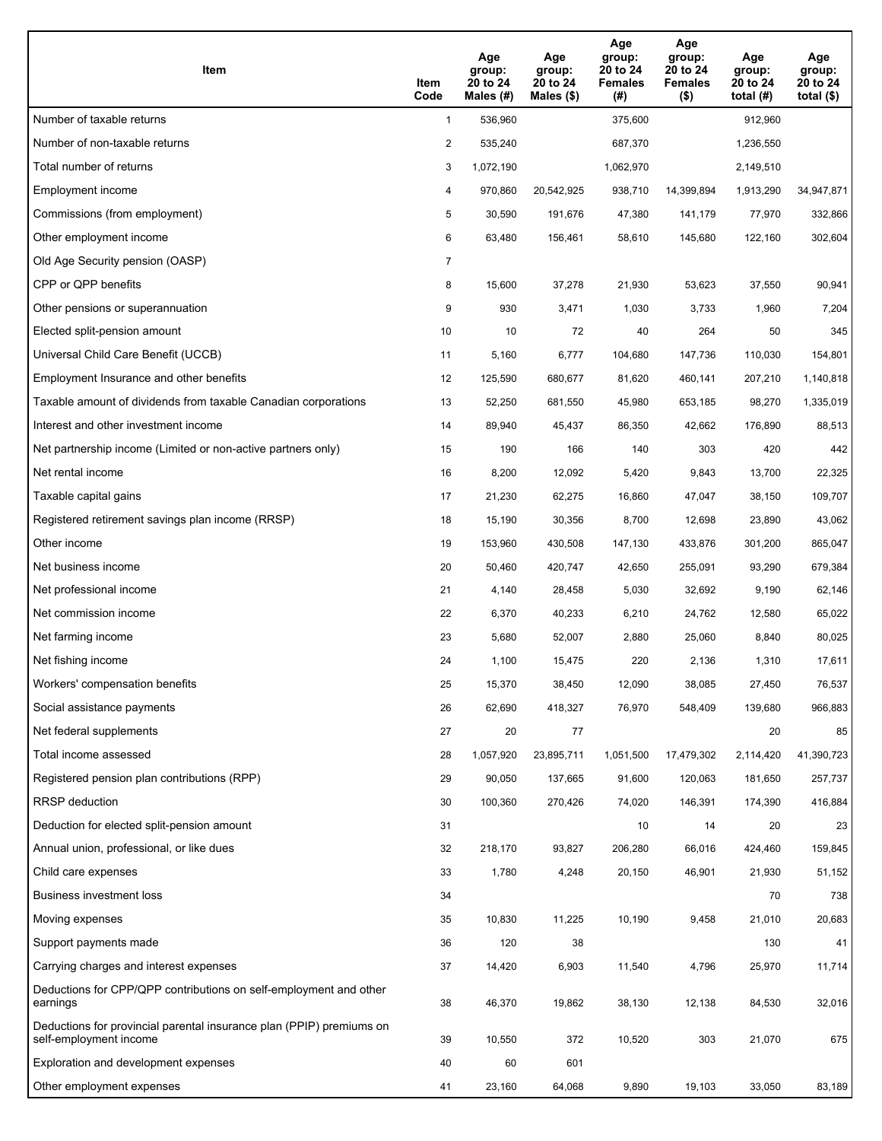| Item                                                                                           | Item<br>Code   | Age<br>group:<br>20 to 24<br>Males $(H)$ | Age<br>group:<br>20 to 24<br>Males $(\$)$ | Age<br>group:<br>20 to 24<br><b>Females</b><br>(#) | Age<br>group:<br>20 to 24<br><b>Females</b><br>$($ \$) | Age<br>group:<br>20 to 24<br>total $(H)$ | Age<br>group:<br>20 to 24<br>total $($ \$) |
|------------------------------------------------------------------------------------------------|----------------|------------------------------------------|-------------------------------------------|----------------------------------------------------|--------------------------------------------------------|------------------------------------------|--------------------------------------------|
| Number of taxable returns                                                                      | $\mathbf{1}$   | 536,960                                  |                                           | 375,600                                            |                                                        | 912,960                                  |                                            |
| Number of non-taxable returns                                                                  | 2              | 535,240                                  |                                           | 687,370                                            |                                                        | 1,236,550                                |                                            |
| Total number of returns                                                                        | 3              | 1,072,190                                |                                           | 1,062,970                                          |                                                        | 2,149,510                                |                                            |
| Employment income                                                                              | 4              | 970,860                                  | 20,542,925                                | 938,710                                            | 14,399,894                                             | 1,913,290                                | 34,947,871                                 |
| Commissions (from employment)                                                                  | 5              | 30,590                                   | 191,676                                   | 47,380                                             | 141,179                                                | 77,970                                   | 332,866                                    |
| Other employment income                                                                        | 6              | 63,480                                   | 156,461                                   | 58,610                                             | 145,680                                                | 122,160                                  | 302,604                                    |
| Old Age Security pension (OASP)                                                                | $\overline{7}$ |                                          |                                           |                                                    |                                                        |                                          |                                            |
| CPP or QPP benefits                                                                            | 8              | 15,600                                   | 37,278                                    | 21,930                                             | 53,623                                                 | 37,550                                   | 90,941                                     |
| Other pensions or superannuation                                                               | 9              | 930                                      | 3,471                                     | 1,030                                              | 3,733                                                  | 1,960                                    | 7,204                                      |
| Elected split-pension amount                                                                   | 10             | 10                                       | 72                                        | 40                                                 | 264                                                    | 50                                       | 345                                        |
| Universal Child Care Benefit (UCCB)                                                            | 11             | 5,160                                    | 6,777                                     | 104,680                                            | 147,736                                                | 110,030                                  | 154,801                                    |
| Employment Insurance and other benefits                                                        | 12             | 125,590                                  | 680,677                                   | 81,620                                             | 460,141                                                | 207,210                                  | 1,140,818                                  |
| Taxable amount of dividends from taxable Canadian corporations                                 | 13             | 52,250                                   | 681,550                                   | 45,980                                             | 653,185                                                | 98,270                                   | 1,335,019                                  |
| Interest and other investment income                                                           | 14             | 89,940                                   | 45,437                                    | 86,350                                             | 42,662                                                 | 176,890                                  | 88,513                                     |
| Net partnership income (Limited or non-active partners only)                                   | 15             | 190                                      | 166                                       | 140                                                | 303                                                    | 420                                      | 442                                        |
| Net rental income                                                                              | 16             | 8,200                                    | 12,092                                    | 5,420                                              | 9,843                                                  | 13,700                                   | 22,325                                     |
| Taxable capital gains                                                                          | 17             | 21,230                                   | 62,275                                    | 16,860                                             | 47,047                                                 | 38,150                                   | 109,707                                    |
| Registered retirement savings plan income (RRSP)                                               | 18             | 15,190                                   | 30,356                                    | 8,700                                              | 12,698                                                 | 23,890                                   | 43,062                                     |
| Other income                                                                                   | 19             | 153,960                                  | 430,508                                   | 147,130                                            | 433,876                                                | 301,200                                  | 865,047                                    |
| Net business income                                                                            | 20             | 50,460                                   | 420,747                                   | 42,650                                             | 255,091                                                | 93,290                                   | 679,384                                    |
| Net professional income                                                                        | 21             | 4,140                                    | 28,458                                    | 5,030                                              | 32,692                                                 | 9,190                                    | 62,146                                     |
| Net commission income                                                                          | 22             | 6,370                                    | 40,233                                    | 6,210                                              | 24,762                                                 | 12,580                                   | 65,022                                     |
| Net farming income                                                                             | 23             | 5,680                                    | 52,007                                    | 2,880                                              | 25,060                                                 | 8,840                                    | 80,025                                     |
| Net fishing income                                                                             | 24             | 1,100                                    | 15,475                                    | 220                                                | 2,136                                                  | 1,310                                    | 17,611                                     |
| Workers' compensation benefits                                                                 | 25             | 15,370                                   | 38,450                                    | 12,090                                             | 38,085                                                 | 27,450                                   | 76,537                                     |
| Social assistance payments                                                                     | 26             | 62,690                                   | 418,327                                   | 76,970                                             | 548,409                                                | 139,680                                  | 966,883                                    |
| Net federal supplements                                                                        | 27             | 20                                       | 77                                        |                                                    |                                                        | 20                                       | 85                                         |
| Total income assessed                                                                          | 28             | 1,057,920                                | 23,895,711                                | 1,051,500                                          | 17,479,302                                             | 2,114,420                                | 41,390,723                                 |
| Registered pension plan contributions (RPP)                                                    | 29             | 90,050                                   | 137,665                                   | 91,600                                             | 120,063                                                | 181,650                                  | 257,737                                    |
| RRSP deduction                                                                                 | 30             | 100,360                                  | 270,426                                   | 74,020                                             | 146,391                                                | 174,390                                  | 416,884                                    |
| Deduction for elected split-pension amount                                                     | 31             |                                          |                                           | 10                                                 | 14                                                     | 20                                       | 23                                         |
| Annual union, professional, or like dues                                                       | 32             | 218,170                                  | 93,827                                    | 206,280                                            | 66,016                                                 | 424,460                                  | 159,845                                    |
| Child care expenses                                                                            | 33             | 1,780                                    | 4,248                                     | 20,150                                             | 46,901                                                 | 21,930                                   | 51,152                                     |
| <b>Business investment loss</b>                                                                | 34             |                                          |                                           |                                                    |                                                        | 70                                       | 738                                        |
| Moving expenses                                                                                | 35             | 10,830                                   | 11,225                                    | 10,190                                             | 9,458                                                  | 21,010                                   | 20,683                                     |
| Support payments made                                                                          | 36             | 120                                      | 38                                        |                                                    |                                                        | 130                                      | 41                                         |
| Carrying charges and interest expenses                                                         | 37             | 14,420                                   | 6,903                                     | 11,540                                             | 4,796                                                  | 25,970                                   | 11,714                                     |
| Deductions for CPP/QPP contributions on self-employment and other<br>earnings                  | 38             | 46,370                                   | 19,862                                    | 38,130                                             | 12,138                                                 | 84,530                                   | 32,016                                     |
| Deductions for provincial parental insurance plan (PPIP) premiums on<br>self-employment income | 39             | 10,550                                   | 372                                       | 10,520                                             | 303                                                    | 21,070                                   | 675                                        |
| Exploration and development expenses                                                           | 40             | 60                                       | 601                                       |                                                    |                                                        |                                          |                                            |
| Other employment expenses                                                                      | 41             | 23,160                                   | 64,068                                    | 9,890                                              | 19,103                                                 | 33,050                                   | 83,189                                     |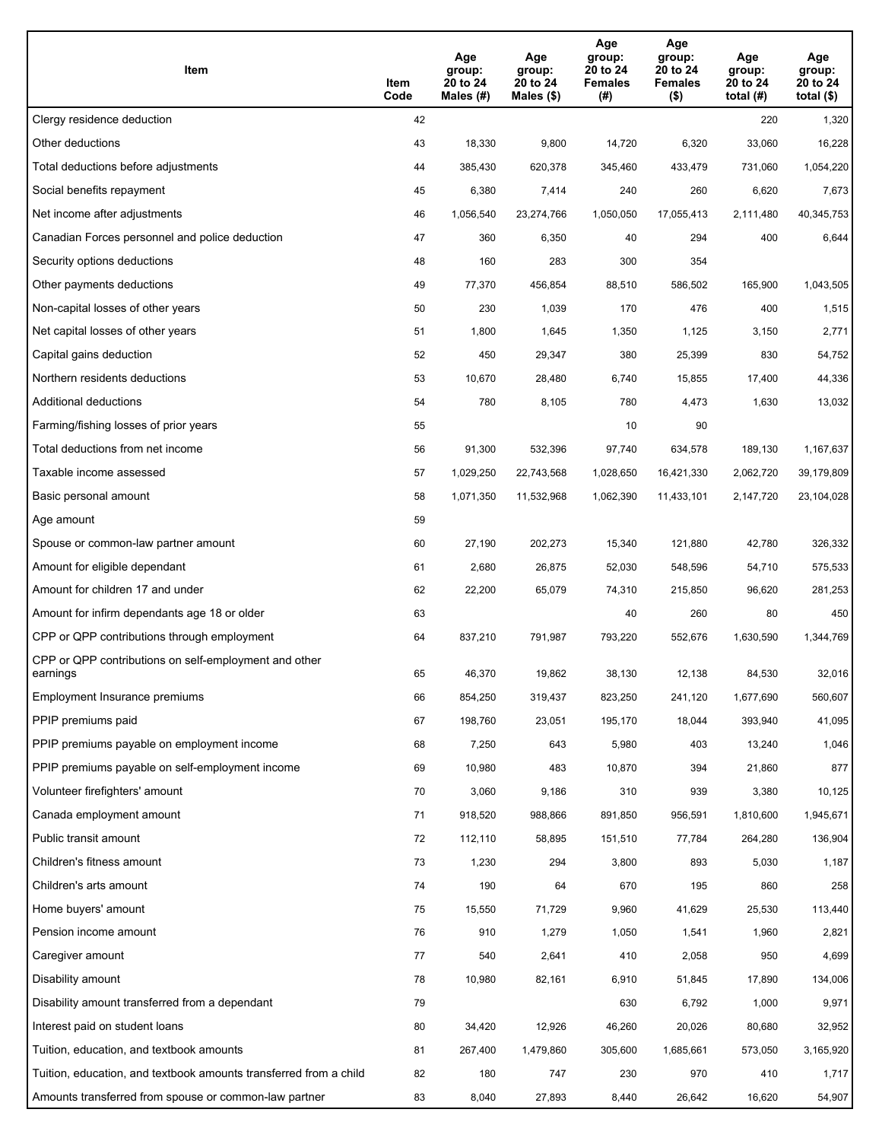| Item                                                              | Item<br>Code | Age<br>group:<br>20 to 24<br>Males (#) | Age<br>group:<br>20 to 24<br>Males (\$) | Age<br>group:<br>20 to 24<br><b>Females</b><br>(#) | Age<br>group:<br>20 to 24<br><b>Females</b><br>$($ \$) | Age<br>group:<br>20 to 24<br>total $(H)$ | Age<br>group:<br>20 to 24<br>total $($)$ |
|-------------------------------------------------------------------|--------------|----------------------------------------|-----------------------------------------|----------------------------------------------------|--------------------------------------------------------|------------------------------------------|------------------------------------------|
| Clergy residence deduction                                        | 42           |                                        |                                         |                                                    |                                                        | 220                                      | 1,320                                    |
| Other deductions                                                  | 43           | 18,330                                 | 9,800                                   | 14,720                                             | 6,320                                                  | 33,060                                   | 16,228                                   |
| Total deductions before adjustments                               | 44           | 385,430                                | 620,378                                 | 345,460                                            | 433,479                                                | 731,060                                  | 1,054,220                                |
| Social benefits repayment                                         | 45           | 6,380                                  | 7,414                                   | 240                                                | 260                                                    | 6,620                                    | 7,673                                    |
| Net income after adjustments                                      | 46           | 1,056,540                              | 23,274,766                              | 1,050,050                                          | 17,055,413                                             | 2,111,480                                | 40,345,753                               |
| Canadian Forces personnel and police deduction                    | 47           | 360                                    | 6,350                                   | 40                                                 | 294                                                    | 400                                      | 6,644                                    |
| Security options deductions                                       | 48           | 160                                    | 283                                     | 300                                                | 354                                                    |                                          |                                          |
| Other payments deductions                                         | 49           | 77,370                                 | 456,854                                 | 88,510                                             | 586,502                                                | 165,900                                  | 1,043,505                                |
| Non-capital losses of other years                                 | 50           | 230                                    | 1,039                                   | 170                                                | 476                                                    | 400                                      | 1,515                                    |
| Net capital losses of other years                                 | 51           | 1,800                                  | 1,645                                   | 1,350                                              | 1,125                                                  | 3,150                                    | 2,771                                    |
| Capital gains deduction                                           | 52           | 450                                    | 29,347                                  | 380                                                | 25,399                                                 | 830                                      | 54,752                                   |
| Northern residents deductions                                     | 53           | 10,670                                 | 28,480                                  | 6,740                                              | 15,855                                                 | 17,400                                   | 44,336                                   |
| Additional deductions                                             | 54           | 780                                    | 8,105                                   | 780                                                | 4,473                                                  | 1,630                                    | 13,032                                   |
| Farming/fishing losses of prior years                             | 55           |                                        |                                         | 10                                                 | 90                                                     |                                          |                                          |
| Total deductions from net income                                  | 56           | 91,300                                 | 532,396                                 | 97,740                                             | 634,578                                                | 189,130                                  | 1,167,637                                |
| Taxable income assessed                                           | 57           | 1,029,250                              | 22,743,568                              | 1,028,650                                          | 16,421,330                                             | 2,062,720                                | 39,179,809                               |
| Basic personal amount                                             | 58           | 1,071,350                              | 11,532,968                              | 1,062,390                                          | 11,433,101                                             | 2,147,720                                | 23,104,028                               |
| Age amount                                                        | 59           |                                        |                                         |                                                    |                                                        |                                          |                                          |
| Spouse or common-law partner amount                               | 60           | 27,190                                 | 202,273                                 | 15,340                                             | 121,880                                                | 42,780                                   | 326,332                                  |
| Amount for eligible dependant                                     | 61           | 2,680                                  | 26,875                                  | 52,030                                             | 548,596                                                | 54,710                                   | 575,533                                  |
| Amount for children 17 and under                                  | 62           | 22,200                                 | 65,079                                  | 74,310                                             | 215,850                                                | 96,620                                   | 281,253                                  |
| Amount for infirm dependants age 18 or older                      | 63           |                                        |                                         | 40                                                 | 260                                                    | 80                                       | 450                                      |
| CPP or QPP contributions through employment                       | 64           | 837,210                                | 791,987                                 | 793,220                                            | 552,676                                                | 1,630,590                                | 1,344,769                                |
| CPP or QPP contributions on self-employment and other<br>earnings | 65           | 46,370                                 | 19,862                                  | 38,130                                             | 12,138                                                 | 84,530                                   | 32,016                                   |
| Employment Insurance premiums                                     | 66           | 854,250                                | 319,437                                 | 823,250                                            | 241,120                                                | 1,677,690                                | 560,607                                  |
| PPIP premiums paid                                                | 67           | 198,760                                | 23,051                                  | 195,170                                            | 18,044                                                 | 393,940                                  | 41,095                                   |
| PPIP premiums payable on employment income                        | 68           | 7,250                                  | 643                                     | 5,980                                              | 403                                                    | 13,240                                   | 1,046                                    |
| PPIP premiums payable on self-employment income                   | 69           | 10,980                                 | 483                                     | 10,870                                             | 394                                                    | 21,860                                   | 877                                      |
| Volunteer firefighters' amount                                    | 70           | 3,060                                  | 9,186                                   | 310                                                | 939                                                    | 3,380                                    | 10,125                                   |
| Canada employment amount                                          | 71           | 918,520                                | 988,866                                 | 891,850                                            | 956,591                                                | 1,810,600                                | 1,945,671                                |
| Public transit amount                                             | 72           | 112,110                                | 58,895                                  | 151,510                                            | 77,784                                                 | 264,280                                  | 136,904                                  |
| Children's fitness amount                                         | 73           | 1,230                                  | 294                                     | 3,800                                              | 893                                                    | 5,030                                    | 1,187                                    |
| Children's arts amount                                            | 74           | 190                                    | 64                                      | 670                                                | 195                                                    | 860                                      | 258                                      |
| Home buyers' amount                                               | 75           | 15,550                                 | 71,729                                  | 9,960                                              | 41,629                                                 | 25,530                                   | 113,440                                  |
| Pension income amount                                             | 76           | 910                                    | 1,279                                   | 1,050                                              | 1,541                                                  | 1,960                                    | 2,821                                    |
| Caregiver amount                                                  | 77           | 540                                    | 2,641                                   | 410                                                | 2,058                                                  | 950                                      | 4,699                                    |
| Disability amount                                                 | 78           | 10,980                                 | 82,161                                  | 6,910                                              | 51,845                                                 | 17,890                                   | 134,006                                  |
| Disability amount transferred from a dependant                    | 79           |                                        |                                         | 630                                                | 6,792                                                  | 1,000                                    | 9,971                                    |
| Interest paid on student loans                                    | 80           | 34,420                                 | 12,926                                  | 46,260                                             | 20,026                                                 | 80,680                                   | 32,952                                   |
| Tuition, education, and textbook amounts                          | 81           | 267,400                                | 1,479,860                               | 305,600                                            | 1,685,661                                              | 573,050                                  | 3,165,920                                |
| Tuition, education, and textbook amounts transferred from a child | 82           | 180                                    | 747                                     | 230                                                | 970                                                    | 410                                      | 1,717                                    |
| Amounts transferred from spouse or common-law partner             | 83           | 8,040                                  | 27,893                                  | 8,440                                              | 26,642                                                 | 16,620                                   | 54,907                                   |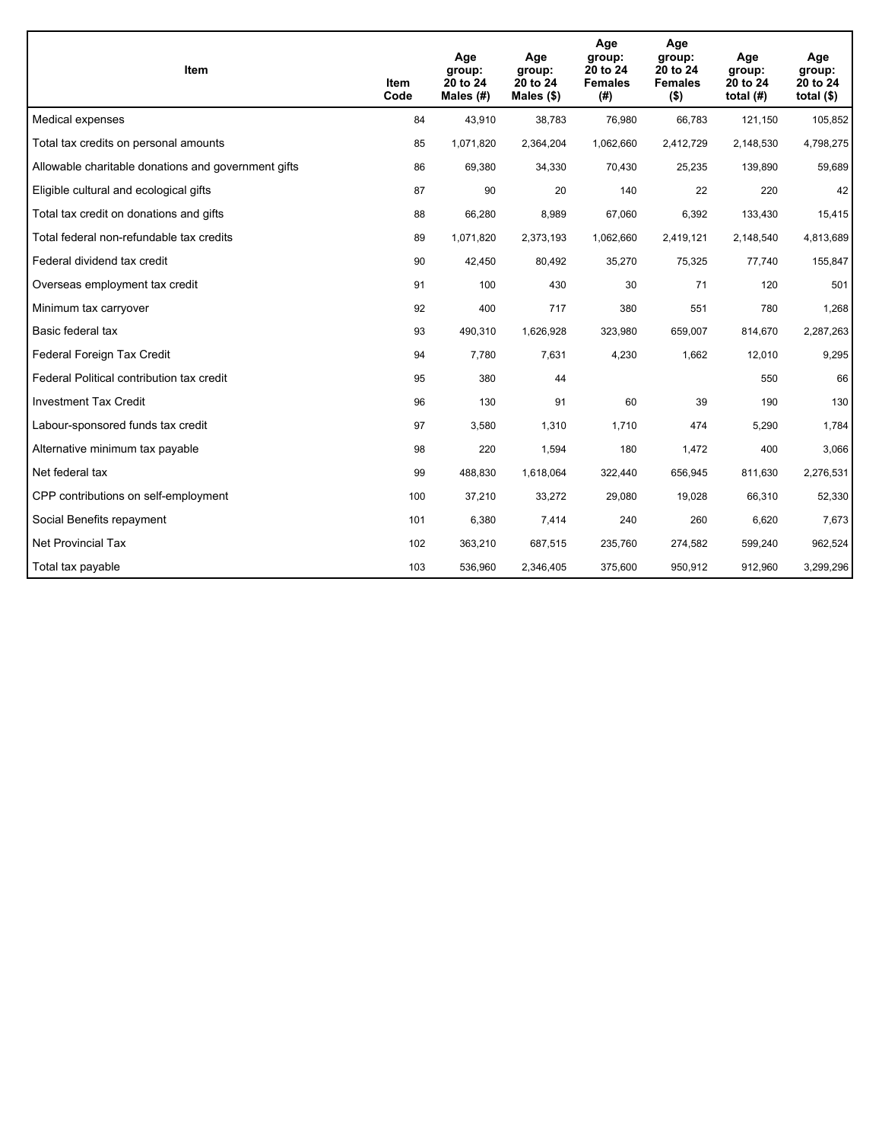| Item                                                | Item<br>Code | Age<br>group:<br>20 to 24<br>Males $(H)$ | Age<br>group:<br>20 to 24<br>Males $(\$)$ | Age<br>group:<br>20 to 24<br><b>Females</b><br>(#) | Age<br>group:<br>20 to 24<br><b>Females</b><br>$($ \$) | Age<br>group:<br>20 to 24<br>total $(H)$ | Age<br>group:<br>20 to 24<br>total $($)$ |
|-----------------------------------------------------|--------------|------------------------------------------|-------------------------------------------|----------------------------------------------------|--------------------------------------------------------|------------------------------------------|------------------------------------------|
| Medical expenses                                    | 84           | 43,910                                   | 38,783                                    | 76,980                                             | 66,783                                                 | 121,150                                  | 105,852                                  |
| Total tax credits on personal amounts               | 85           | 1,071,820                                | 2,364,204                                 | 1,062,660                                          | 2,412,729                                              | 2,148,530                                | 4,798,275                                |
| Allowable charitable donations and government gifts | 86           | 69,380                                   | 34,330                                    | 70,430                                             | 25,235                                                 | 139,890                                  | 59,689                                   |
| Eligible cultural and ecological gifts              | 87           | 90                                       | 20                                        | 140                                                | 22                                                     | 220                                      | 42                                       |
| Total tax credit on donations and gifts             | 88           | 66,280                                   | 8,989                                     | 67,060                                             | 6,392                                                  | 133,430                                  | 15,415                                   |
| Total federal non-refundable tax credits            | 89           | 1,071,820                                | 2,373,193                                 | 1,062,660                                          | 2,419,121                                              | 2,148,540                                | 4,813,689                                |
| Federal dividend tax credit                         | 90           | 42,450                                   | 80,492                                    | 35,270                                             | 75,325                                                 | 77,740                                   | 155,847                                  |
| Overseas employment tax credit                      | 91           | 100                                      | 430                                       | 30                                                 | 71                                                     | 120                                      | 501                                      |
| Minimum tax carryover                               | 92           | 400                                      | 717                                       | 380                                                | 551                                                    | 780                                      | 1,268                                    |
| Basic federal tax                                   | 93           | 490,310                                  | 1,626,928                                 | 323.980                                            | 659.007                                                | 814,670                                  | 2,287,263                                |
| Federal Foreign Tax Credit                          | 94           | 7,780                                    | 7,631                                     | 4,230                                              | 1,662                                                  | 12,010                                   | 9,295                                    |
| Federal Political contribution tax credit           | 95           | 380                                      | 44                                        |                                                    |                                                        | 550                                      | 66                                       |
| <b>Investment Tax Credit</b>                        | 96           | 130                                      | 91                                        | 60                                                 | 39                                                     | 190                                      | 130                                      |
| Labour-sponsored funds tax credit                   | 97           | 3,580                                    | 1,310                                     | 1,710                                              | 474                                                    | 5,290                                    | 1,784                                    |
| Alternative minimum tax payable                     | 98           | 220                                      | 1,594                                     | 180                                                | 1,472                                                  | 400                                      | 3,066                                    |
| Net federal tax                                     | 99           | 488,830                                  | 1,618,064                                 | 322,440                                            | 656,945                                                | 811,630                                  | 2,276,531                                |
| CPP contributions on self-employment                | 100          | 37,210                                   | 33,272                                    | 29,080                                             | 19,028                                                 | 66,310                                   | 52,330                                   |
| Social Benefits repayment                           | 101          | 6,380                                    | 7,414                                     | 240                                                | 260                                                    | 6,620                                    | 7,673                                    |
| <b>Net Provincial Tax</b>                           | 102          | 363,210                                  | 687,515                                   | 235,760                                            | 274,582                                                | 599,240                                  | 962,524                                  |
| Total tax payable                                   | 103          | 536,960                                  | 2,346,405                                 | 375,600                                            | 950,912                                                | 912,960                                  | 3,299,296                                |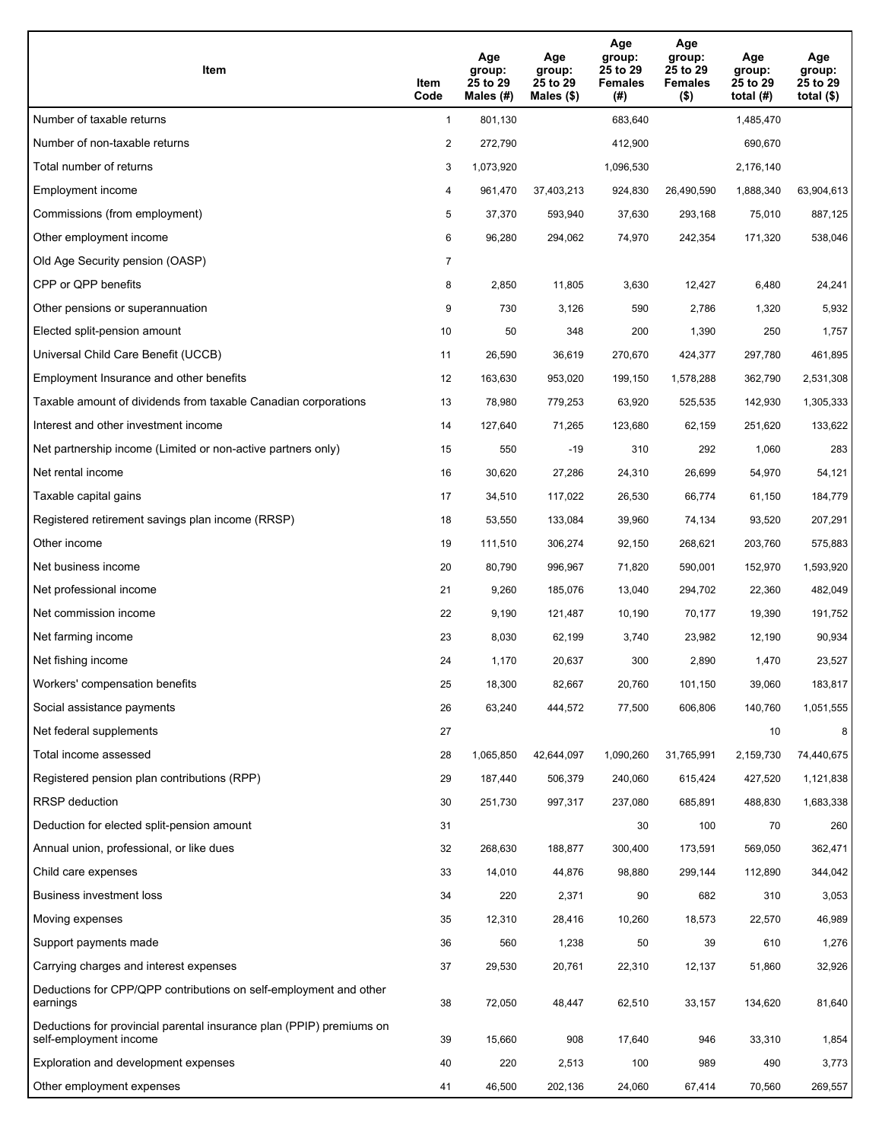| Item                                                                                           | Item<br>Code   | Age<br>group:<br>25 to 29<br>Males (#) | Age<br>group:<br>25 to 29<br>Males $(\$)$ | Age<br>group:<br>25 to 29<br><b>Females</b><br>(#) | Age<br>group:<br>25 to 29<br><b>Females</b><br>$($ \$) | Age<br>group:<br>25 to 29<br>total $(H)$ | Age<br>group:<br>25 to 29<br>total $($)$ |
|------------------------------------------------------------------------------------------------|----------------|----------------------------------------|-------------------------------------------|----------------------------------------------------|--------------------------------------------------------|------------------------------------------|------------------------------------------|
| Number of taxable returns                                                                      | $\mathbf{1}$   | 801,130                                |                                           | 683.640                                            |                                                        | 1,485,470                                |                                          |
| Number of non-taxable returns                                                                  | 2              | 272,790                                |                                           | 412,900                                            |                                                        | 690,670                                  |                                          |
| Total number of returns                                                                        | 3              | 1,073,920                              |                                           | 1,096,530                                          |                                                        | 2,176,140                                |                                          |
| Employment income                                                                              | 4              | 961,470                                | 37,403,213                                | 924,830                                            | 26,490,590                                             | 1,888,340                                | 63,904,613                               |
| Commissions (from employment)                                                                  | 5              | 37,370                                 | 593,940                                   | 37,630                                             | 293,168                                                | 75,010                                   | 887,125                                  |
| Other employment income                                                                        | 6              | 96,280                                 | 294,062                                   | 74,970                                             | 242,354                                                | 171,320                                  | 538,046                                  |
| Old Age Security pension (OASP)                                                                | $\overline{7}$ |                                        |                                           |                                                    |                                                        |                                          |                                          |
| CPP or QPP benefits                                                                            | 8              | 2,850                                  | 11,805                                    | 3,630                                              | 12,427                                                 | 6,480                                    | 24,241                                   |
| Other pensions or superannuation                                                               | 9              | 730                                    | 3,126                                     | 590                                                | 2,786                                                  | 1,320                                    | 5,932                                    |
| Elected split-pension amount                                                                   | 10             | 50                                     | 348                                       | 200                                                | 1,390                                                  | 250                                      | 1,757                                    |
| Universal Child Care Benefit (UCCB)                                                            | 11             | 26,590                                 | 36,619                                    | 270,670                                            | 424,377                                                | 297,780                                  | 461,895                                  |
| Employment Insurance and other benefits                                                        | 12             | 163,630                                | 953,020                                   | 199,150                                            | 1,578,288                                              | 362,790                                  | 2,531,308                                |
| Taxable amount of dividends from taxable Canadian corporations                                 | 13             | 78,980                                 | 779,253                                   | 63,920                                             | 525,535                                                | 142,930                                  | 1,305,333                                |
| Interest and other investment income                                                           | 14             | 127,640                                | 71,265                                    | 123,680                                            | 62,159                                                 | 251,620                                  | 133,622                                  |
| Net partnership income (Limited or non-active partners only)                                   | 15             | 550                                    | $-19$                                     | 310                                                | 292                                                    | 1,060                                    | 283                                      |
| Net rental income                                                                              | 16             | 30,620                                 | 27,286                                    | 24,310                                             | 26,699                                                 | 54,970                                   | 54,121                                   |
| Taxable capital gains                                                                          | 17             | 34,510                                 | 117,022                                   | 26,530                                             | 66,774                                                 | 61,150                                   | 184,779                                  |
| Registered retirement savings plan income (RRSP)                                               | 18             | 53,550                                 | 133,084                                   | 39,960                                             | 74,134                                                 | 93,520                                   | 207,291                                  |
| Other income                                                                                   | 19             | 111,510                                | 306,274                                   | 92,150                                             | 268,621                                                | 203,760                                  | 575,883                                  |
| Net business income                                                                            | 20             | 80,790                                 | 996,967                                   | 71,820                                             | 590,001                                                | 152,970                                  | 1,593,920                                |
| Net professional income                                                                        | 21             | 9,260                                  | 185,076                                   | 13,040                                             | 294,702                                                | 22,360                                   | 482,049                                  |
| Net commission income                                                                          | 22             | 9,190                                  | 121,487                                   | 10,190                                             | 70,177                                                 | 19,390                                   | 191,752                                  |
| Net farming income                                                                             | 23             | 8,030                                  | 62,199                                    | 3,740                                              | 23,982                                                 | 12,190                                   | 90,934                                   |
| Net fishing income                                                                             | 24             | 1,170                                  | 20,637                                    | 300                                                | 2,890                                                  | 1,470                                    | 23,527                                   |
| Workers' compensation benefits                                                                 | 25             | 18,300                                 | 82,667                                    | 20,760                                             | 101,150                                                | 39,060                                   | 183,817                                  |
| Social assistance payments                                                                     | 26             | 63,240                                 | 444,572                                   | 77,500                                             | 606,806                                                | 140,760                                  | 1,051,555                                |
| Net federal supplements                                                                        | 27             |                                        |                                           |                                                    |                                                        | 10                                       | 8                                        |
| Total income assessed                                                                          | 28             | 1,065,850                              | 42,644,097                                | 1,090,260                                          | 31,765,991                                             | 2,159,730                                | 74,440,675                               |
| Registered pension plan contributions (RPP)                                                    | 29             | 187,440                                | 506,379                                   | 240,060                                            | 615,424                                                | 427,520                                  | 1,121,838                                |
| RRSP deduction                                                                                 | 30             | 251,730                                | 997,317                                   | 237,080                                            | 685,891                                                | 488,830                                  | 1,683,338                                |
| Deduction for elected split-pension amount                                                     | 31             |                                        |                                           | 30                                                 | 100                                                    | 70                                       | 260                                      |
| Annual union, professional, or like dues                                                       | 32             | 268,630                                | 188,877                                   | 300,400                                            | 173,591                                                | 569,050                                  | 362,471                                  |
| Child care expenses                                                                            | 33             | 14,010                                 | 44,876                                    | 98,880                                             | 299,144                                                | 112,890                                  | 344,042                                  |
| <b>Business investment loss</b>                                                                | 34             | 220                                    | 2,371                                     | 90                                                 | 682                                                    | 310                                      | 3,053                                    |
| Moving expenses                                                                                | 35             | 12,310                                 | 28,416                                    | 10,260                                             | 18,573                                                 | 22,570                                   | 46,989                                   |
| Support payments made                                                                          | 36             | 560                                    | 1,238                                     | 50                                                 | 39                                                     | 610                                      | 1,276                                    |
| Carrying charges and interest expenses                                                         | 37             | 29,530                                 | 20,761                                    | 22,310                                             | 12,137                                                 | 51,860                                   | 32,926                                   |
| Deductions for CPP/QPP contributions on self-employment and other<br>earnings                  | 38             | 72,050                                 | 48,447                                    | 62,510                                             | 33,157                                                 | 134,620                                  | 81,640                                   |
| Deductions for provincial parental insurance plan (PPIP) premiums on<br>self-employment income | 39             | 15,660                                 | 908                                       | 17,640                                             | 946                                                    | 33,310                                   | 1,854                                    |
| Exploration and development expenses                                                           | 40             | 220                                    | 2,513                                     | 100                                                | 989                                                    | 490                                      | 3,773                                    |
| Other employment expenses                                                                      | 41             | 46,500                                 | 202,136                                   | 24,060                                             | 67,414                                                 | 70,560                                   | 269,557                                  |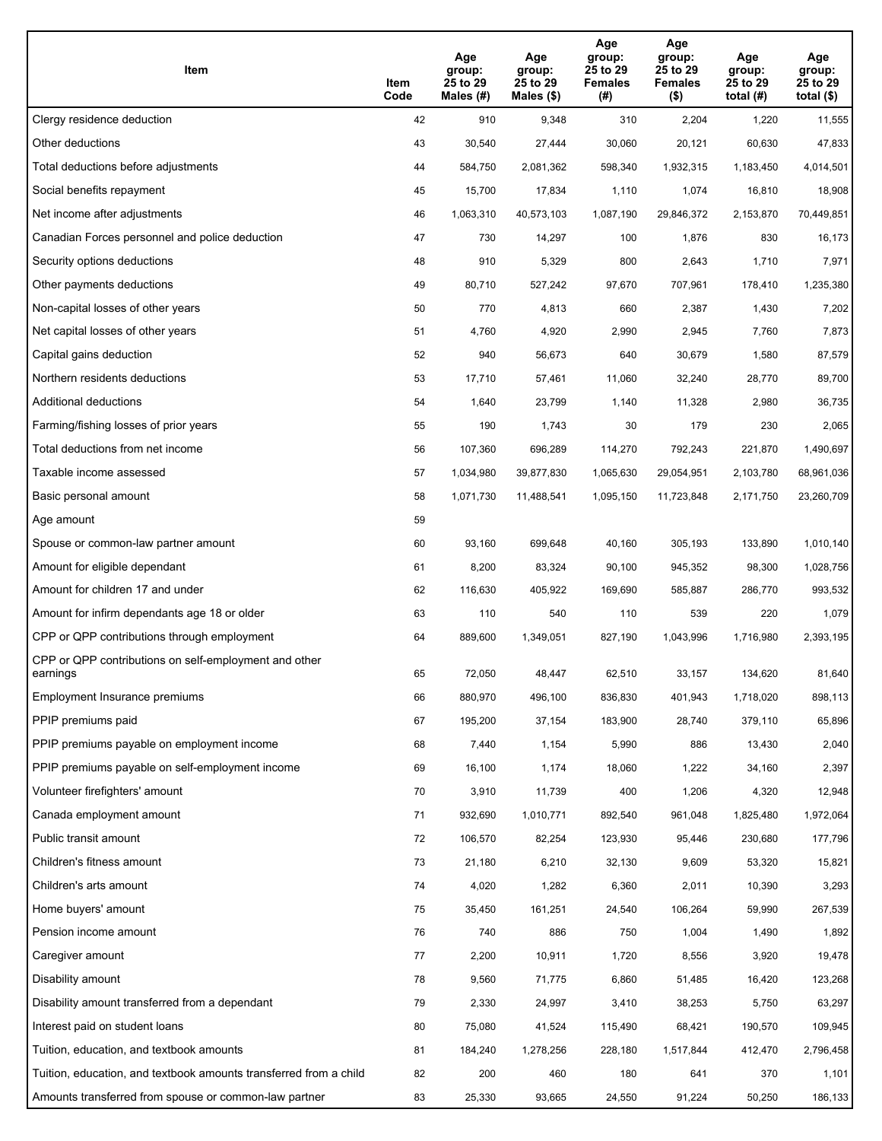| Item                                                              | Item<br>Code | Age<br>group:<br>25 to 29<br>Males (#) | Age<br>group:<br>25 to 29<br>Males (\$) | Age<br>group:<br>25 to 29<br><b>Females</b><br>(#) | Age<br>group:<br>25 to 29<br>Females<br>$($ \$) | Age<br>group:<br>25 to 29<br>total (#) | Age<br>group:<br>25 to 29<br>total $($)$ |
|-------------------------------------------------------------------|--------------|----------------------------------------|-----------------------------------------|----------------------------------------------------|-------------------------------------------------|----------------------------------------|------------------------------------------|
| Clergy residence deduction                                        | 42           | 910                                    | 9,348                                   | 310                                                | 2,204                                           | 1,220                                  | 11,555                                   |
| Other deductions                                                  | 43           | 30,540                                 | 27,444                                  | 30,060                                             | 20,121                                          | 60,630                                 | 47,833                                   |
| Total deductions before adjustments                               | 44           | 584,750                                | 2,081,362                               | 598,340                                            | 1,932,315                                       | 1,183,450                              | 4,014,501                                |
| Social benefits repayment                                         | 45           | 15,700                                 | 17,834                                  | 1,110                                              | 1,074                                           | 16,810                                 | 18,908                                   |
| Net income after adjustments                                      | 46           | 1,063,310                              | 40,573,103                              | 1,087,190                                          | 29,846,372                                      | 2,153,870                              | 70,449,851                               |
| Canadian Forces personnel and police deduction                    | 47           | 730                                    | 14,297                                  | 100                                                | 1,876                                           | 830                                    | 16,173                                   |
| Security options deductions                                       | 48           | 910                                    | 5,329                                   | 800                                                | 2,643                                           | 1,710                                  | 7,971                                    |
| Other payments deductions                                         | 49           | 80,710                                 | 527,242                                 | 97,670                                             | 707,961                                         | 178,410                                | 1,235,380                                |
| Non-capital losses of other years                                 | 50           | 770                                    | 4,813                                   | 660                                                | 2,387                                           | 1,430                                  | 7,202                                    |
| Net capital losses of other years                                 | 51           | 4,760                                  | 4,920                                   | 2,990                                              | 2,945                                           | 7,760                                  | 7,873                                    |
| Capital gains deduction                                           | 52           | 940                                    | 56,673                                  | 640                                                | 30,679                                          | 1,580                                  | 87,579                                   |
| Northern residents deductions                                     | 53           | 17,710                                 | 57,461                                  | 11,060                                             | 32,240                                          | 28,770                                 | 89,700                                   |
| Additional deductions                                             | 54           | 1,640                                  | 23,799                                  | 1,140                                              | 11,328                                          | 2,980                                  | 36,735                                   |
| Farming/fishing losses of prior years                             | 55           | 190                                    | 1,743                                   | 30                                                 | 179                                             | 230                                    | 2,065                                    |
| Total deductions from net income                                  | 56           | 107,360                                | 696,289                                 | 114,270                                            | 792,243                                         | 221,870                                | 1,490,697                                |
| Taxable income assessed                                           | 57           | 1,034,980                              | 39,877,830                              | 1,065,630                                          | 29,054,951                                      | 2,103,780                              | 68,961,036                               |
| Basic personal amount                                             | 58           | 1,071,730                              | 11,488,541                              | 1,095,150                                          | 11,723,848                                      | 2,171,750                              | 23,260,709                               |
| Age amount                                                        | 59           |                                        |                                         |                                                    |                                                 |                                        |                                          |
| Spouse or common-law partner amount                               | 60           | 93,160                                 | 699,648                                 | 40,160                                             | 305,193                                         | 133,890                                | 1,010,140                                |
| Amount for eligible dependant                                     | 61           | 8,200                                  | 83,324                                  | 90,100                                             | 945,352                                         | 98,300                                 | 1,028,756                                |
| Amount for children 17 and under                                  | 62           | 116,630                                | 405,922                                 | 169,690                                            | 585,887                                         | 286,770                                | 993,532                                  |
| Amount for infirm dependants age 18 or older                      | 63           | 110                                    | 540                                     | 110                                                | 539                                             | 220                                    | 1,079                                    |
| CPP or QPP contributions through employment                       | 64           | 889,600                                | 1,349,051                               | 827,190                                            | 1,043,996                                       | 1,716,980                              | 2,393,195                                |
| CPP or QPP contributions on self-employment and other<br>earnings | 65           | 72,050                                 | 48,447                                  | 62,510                                             | 33,157                                          | 134,620                                | 81,640                                   |
| Employment Insurance premiums                                     | 66           | 880,970                                | 496,100                                 | 836,830                                            | 401,943                                         | 1,718,020                              | 898,113                                  |
| PPIP premiums paid                                                | 67           | 195,200                                | 37,154                                  | 183,900                                            | 28,740                                          | 379,110                                | 65,896                                   |
| PPIP premiums payable on employment income                        | 68           | 7,440                                  | 1,154                                   | 5,990                                              | 886                                             | 13,430                                 | 2,040                                    |
| PPIP premiums payable on self-employment income                   | 69           | 16,100                                 | 1,174                                   | 18,060                                             | 1,222                                           | 34,160                                 | 2,397                                    |
| Volunteer firefighters' amount                                    | 70           | 3,910                                  | 11,739                                  | 400                                                | 1,206                                           | 4,320                                  | 12,948                                   |
| Canada employment amount                                          | 71           | 932,690                                | 1,010,771                               | 892,540                                            | 961,048                                         | 1,825,480                              | 1,972,064                                |
| Public transit amount                                             | 72           | 106,570                                | 82,254                                  | 123,930                                            | 95,446                                          | 230,680                                | 177,796                                  |
| Children's fitness amount                                         | 73           | 21,180                                 | 6,210                                   | 32,130                                             | 9,609                                           | 53,320                                 | 15,821                                   |
| Children's arts amount                                            | 74           | 4,020                                  | 1,282                                   | 6,360                                              | 2,011                                           | 10,390                                 | 3,293                                    |
| Home buyers' amount                                               | 75           | 35,450                                 | 161,251                                 | 24,540                                             | 106,264                                         | 59,990                                 | 267,539                                  |
| Pension income amount                                             | 76           | 740                                    | 886                                     | 750                                                | 1,004                                           | 1,490                                  | 1,892                                    |
| Caregiver amount                                                  | 77           | 2,200                                  | 10,911                                  | 1,720                                              | 8,556                                           | 3,920                                  | 19,478                                   |
| Disability amount                                                 | 78           | 9,560                                  | 71,775                                  | 6,860                                              | 51,485                                          | 16,420                                 | 123,268                                  |
| Disability amount transferred from a dependant                    | 79           | 2,330                                  | 24,997                                  | 3,410                                              | 38,253                                          | 5,750                                  | 63,297                                   |
| Interest paid on student loans                                    | 80           | 75,080                                 | 41,524                                  | 115,490                                            | 68,421                                          | 190,570                                | 109,945                                  |
| Tuition, education, and textbook amounts                          | 81           | 184,240                                | 1,278,256                               | 228,180                                            | 1,517,844                                       | 412,470                                | 2,796,458                                |
| Tuition, education, and textbook amounts transferred from a child | 82           | 200                                    | 460                                     | 180                                                | 641                                             | 370                                    | 1,101                                    |
| Amounts transferred from spouse or common-law partner             | 83           | 25,330                                 | 93,665                                  | 24,550                                             | 91,224                                          | 50,250                                 | 186,133                                  |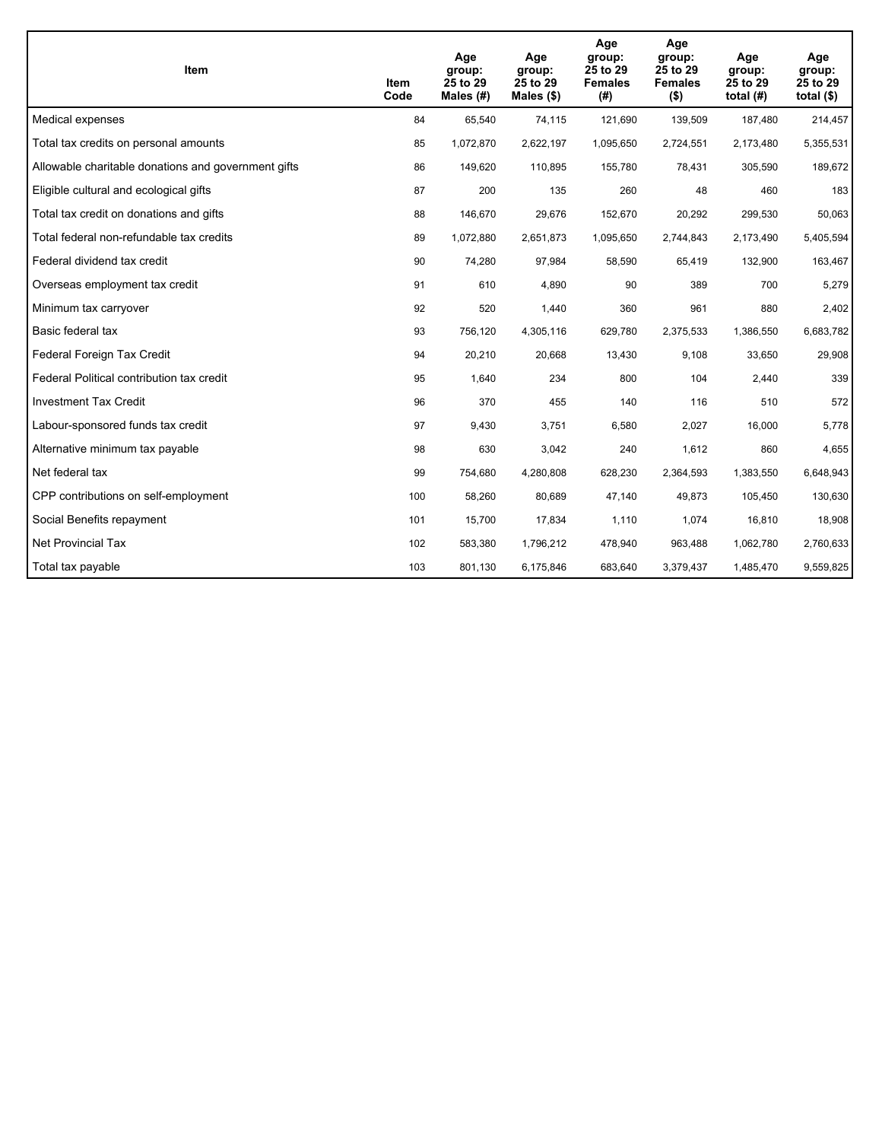| Item                                                | Item<br>Code | Age<br>group:<br>25 to 29<br>Males $(H)$ | Age<br>group:<br>25 to 29<br>Males $(\$)$ | Age<br>group:<br>25 to 29<br><b>Females</b><br>(# ) | Age<br>group:<br>25 to 29<br><b>Females</b><br>$($ \$) | Age<br>group:<br>25 to 29<br>total $(H)$ | Age<br>group:<br>25 to 29<br>total $($)$ |
|-----------------------------------------------------|--------------|------------------------------------------|-------------------------------------------|-----------------------------------------------------|--------------------------------------------------------|------------------------------------------|------------------------------------------|
| Medical expenses                                    | 84           | 65,540                                   | 74,115                                    | 121,690                                             | 139,509                                                | 187,480                                  | 214,457                                  |
| Total tax credits on personal amounts               | 85           | 1,072,870                                | 2,622,197                                 | 1,095,650                                           | 2,724,551                                              | 2,173,480                                | 5,355,531                                |
| Allowable charitable donations and government gifts | 86           | 149,620                                  | 110,895                                   | 155,780                                             | 78,431                                                 | 305,590                                  | 189,672                                  |
| Eligible cultural and ecological gifts              | 87           | 200                                      | 135                                       | 260                                                 | 48                                                     | 460                                      | 183                                      |
| Total tax credit on donations and gifts             | 88           | 146,670                                  | 29,676                                    | 152,670                                             | 20,292                                                 | 299,530                                  | 50,063                                   |
| Total federal non-refundable tax credits            | 89           | 1,072,880                                | 2,651,873                                 | 1,095,650                                           | 2,744,843                                              | 2,173,490                                | 5,405,594                                |
| Federal dividend tax credit                         | 90           | 74,280                                   | 97,984                                    | 58,590                                              | 65,419                                                 | 132,900                                  | 163,467                                  |
| Overseas employment tax credit                      | 91           | 610                                      | 4,890                                     | 90                                                  | 389                                                    | 700                                      | 5,279                                    |
| Minimum tax carryover                               | 92           | 520                                      | 1,440                                     | 360                                                 | 961                                                    | 880                                      | 2,402                                    |
| Basic federal tax                                   | 93           | 756,120                                  | 4,305,116                                 | 629,780                                             | 2,375,533                                              | 1,386,550                                | 6,683,782                                |
| Federal Foreign Tax Credit                          | 94           | 20,210                                   | 20,668                                    | 13,430                                              | 9,108                                                  | 33,650                                   | 29,908                                   |
| Federal Political contribution tax credit           | 95           | 1,640                                    | 234                                       | 800                                                 | 104                                                    | 2,440                                    | 339                                      |
| <b>Investment Tax Credit</b>                        | 96           | 370                                      | 455                                       | 140                                                 | 116                                                    | 510                                      | 572                                      |
| Labour-sponsored funds tax credit                   | 97           | 9,430                                    | 3,751                                     | 6,580                                               | 2,027                                                  | 16,000                                   | 5,778                                    |
| Alternative minimum tax payable                     | 98           | 630                                      | 3,042                                     | 240                                                 | 1,612                                                  | 860                                      | 4,655                                    |
| Net federal tax                                     | 99           | 754,680                                  | 4,280,808                                 | 628,230                                             | 2,364,593                                              | 1,383,550                                | 6,648,943                                |
| CPP contributions on self-employment                | 100          | 58,260                                   | 80,689                                    | 47,140                                              | 49,873                                                 | 105,450                                  | 130,630                                  |
| Social Benefits repayment                           | 101          | 15,700                                   | 17,834                                    | 1,110                                               | 1,074                                                  | 16,810                                   | 18,908                                   |
| Net Provincial Tax                                  | 102          | 583,380                                  | 1,796,212                                 | 478,940                                             | 963,488                                                | 1,062,780                                | 2,760,633                                |
| Total tax payable                                   | 103          | 801,130                                  | 6,175,846                                 | 683,640                                             | 3,379,437                                              | 1,485,470                                | 9,559,825                                |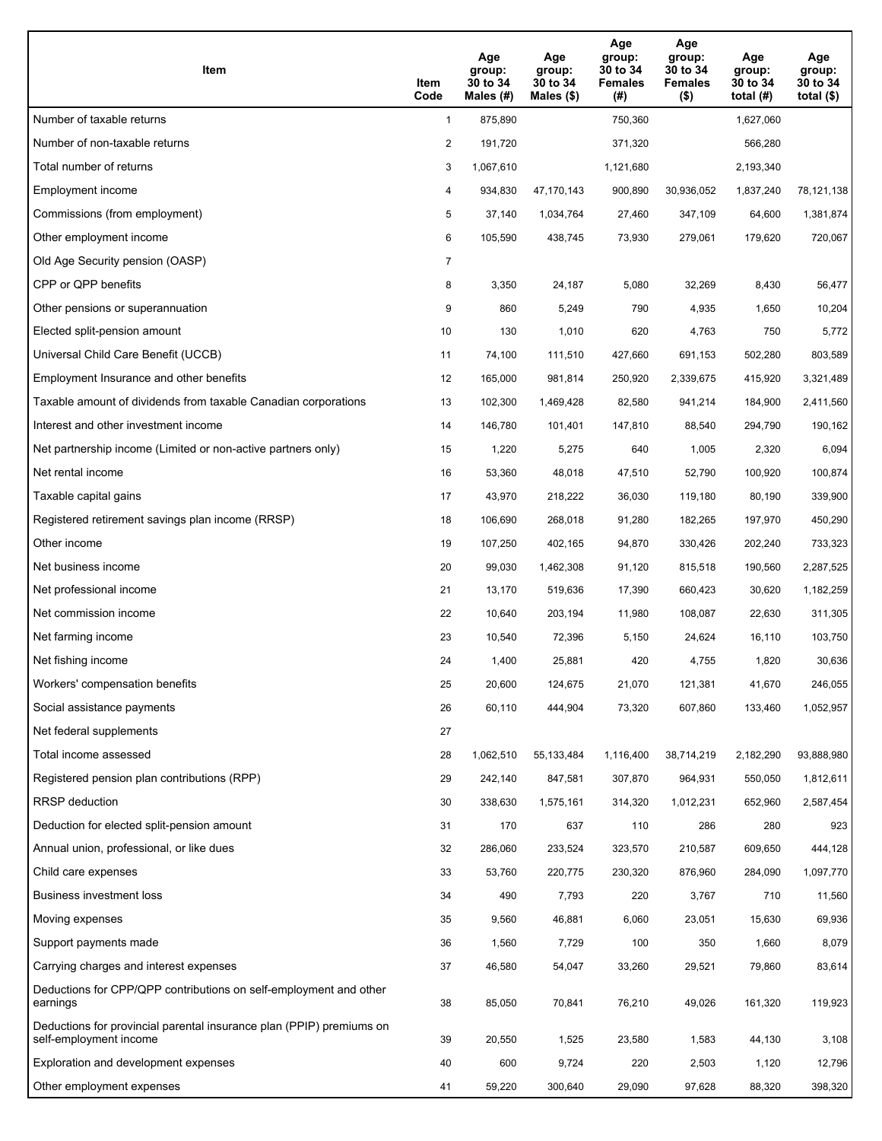| Item                                                                                           | Item<br>Code   | Age<br>group:<br>30 to 34<br>Males (#) | Age<br>group:<br>30 to 34<br>Males $(\$)$ | Age<br>group:<br>30 to 34<br><b>Females</b><br>(#) | Age<br>group:<br>30 to 34<br><b>Females</b><br>$($ \$) | Age<br>group:<br>30 to 34<br>total $(H)$ | Age<br>group:<br>30 to 34<br>total $($ \$) |
|------------------------------------------------------------------------------------------------|----------------|----------------------------------------|-------------------------------------------|----------------------------------------------------|--------------------------------------------------------|------------------------------------------|--------------------------------------------|
| Number of taxable returns                                                                      | $\mathbf{1}$   | 875,890                                |                                           | 750,360                                            |                                                        | 1,627,060                                |                                            |
| Number of non-taxable returns                                                                  | 2              | 191,720                                |                                           | 371,320                                            |                                                        | 566,280                                  |                                            |
| Total number of returns                                                                        | 3              | 1,067,610                              |                                           | 1,121,680                                          |                                                        | 2,193,340                                |                                            |
| Employment income                                                                              | 4              | 934,830                                | 47,170,143                                | 900,890                                            | 30,936,052                                             | 1,837,240                                | 78,121,138                                 |
| Commissions (from employment)                                                                  | 5              | 37,140                                 | 1,034,764                                 | 27,460                                             | 347,109                                                | 64,600                                   | 1,381,874                                  |
| Other employment income                                                                        | 6              | 105,590                                | 438,745                                   | 73,930                                             | 279,061                                                | 179,620                                  | 720,067                                    |
| Old Age Security pension (OASP)                                                                | $\overline{7}$ |                                        |                                           |                                                    |                                                        |                                          |                                            |
| CPP or QPP benefits                                                                            | 8              | 3,350                                  | 24,187                                    | 5,080                                              | 32,269                                                 | 8,430                                    | 56,477                                     |
| Other pensions or superannuation                                                               | 9              | 860                                    | 5,249                                     | 790                                                | 4,935                                                  | 1,650                                    | 10,204                                     |
| Elected split-pension amount                                                                   | 10             | 130                                    | 1,010                                     | 620                                                | 4,763                                                  | 750                                      | 5,772                                      |
| Universal Child Care Benefit (UCCB)                                                            | 11             | 74,100                                 | 111,510                                   | 427,660                                            | 691,153                                                | 502,280                                  | 803,589                                    |
| Employment Insurance and other benefits                                                        | 12             | 165,000                                | 981,814                                   | 250,920                                            | 2,339,675                                              | 415,920                                  | 3,321,489                                  |
| Taxable amount of dividends from taxable Canadian corporations                                 | 13             | 102,300                                | 1,469,428                                 | 82,580                                             | 941,214                                                | 184,900                                  | 2,411,560                                  |
| Interest and other investment income                                                           | 14             | 146,780                                | 101,401                                   | 147,810                                            | 88,540                                                 | 294,790                                  | 190,162                                    |
| Net partnership income (Limited or non-active partners only)                                   | 15             | 1,220                                  | 5,275                                     | 640                                                | 1,005                                                  | 2,320                                    | 6,094                                      |
| Net rental income                                                                              | 16             | 53,360                                 | 48,018                                    | 47,510                                             | 52,790                                                 | 100,920                                  | 100,874                                    |
| Taxable capital gains                                                                          | 17             | 43,970                                 | 218,222                                   | 36,030                                             | 119,180                                                | 80,190                                   | 339,900                                    |
| Registered retirement savings plan income (RRSP)                                               | 18             | 106,690                                | 268,018                                   | 91,280                                             | 182,265                                                | 197,970                                  | 450,290                                    |
| Other income                                                                                   | 19             | 107,250                                | 402,165                                   | 94,870                                             | 330,426                                                | 202,240                                  | 733,323                                    |
| Net business income                                                                            | 20             | 99,030                                 | 1,462,308                                 | 91,120                                             | 815,518                                                | 190,560                                  | 2,287,525                                  |
| Net professional income                                                                        | 21             | 13,170                                 | 519,636                                   | 17,390                                             | 660,423                                                | 30,620                                   | 1,182,259                                  |
| Net commission income                                                                          | 22             | 10,640                                 | 203,194                                   | 11,980                                             | 108,087                                                | 22,630                                   | 311,305                                    |
| Net farming income                                                                             | 23             | 10,540                                 | 72,396                                    | 5,150                                              | 24,624                                                 | 16,110                                   | 103,750                                    |
| Net fishing income                                                                             | 24             | 1,400                                  | 25,881                                    | 420                                                | 4,755                                                  | 1,820                                    | 30,636                                     |
| Workers' compensation benefits                                                                 | 25             | 20,600                                 | 124,675                                   | 21,070                                             | 121,381                                                | 41,670                                   | 246,055                                    |
| Social assistance payments                                                                     | 26             | 60,110                                 | 444,904                                   | 73,320                                             | 607,860                                                | 133,460                                  | 1,052,957                                  |
| Net federal supplements                                                                        | 27             |                                        |                                           |                                                    |                                                        |                                          |                                            |
| Total income assessed                                                                          | 28             | 1,062,510                              | 55, 133, 484                              | 1,116,400                                          | 38,714,219                                             | 2,182,290                                | 93,888,980                                 |
| Registered pension plan contributions (RPP)                                                    | 29             | 242,140                                | 847,581                                   | 307,870                                            | 964,931                                                | 550,050                                  | 1,812,611                                  |
| RRSP deduction                                                                                 | 30             | 338,630                                | 1,575,161                                 | 314,320                                            | 1,012,231                                              | 652,960                                  | 2,587,454                                  |
| Deduction for elected split-pension amount                                                     | 31             | 170                                    | 637                                       | 110                                                | 286                                                    | 280                                      | 923                                        |
| Annual union, professional, or like dues                                                       | 32             | 286,060                                | 233,524                                   | 323,570                                            | 210,587                                                | 609,650                                  | 444,128                                    |
| Child care expenses                                                                            | 33             | 53,760                                 | 220,775                                   | 230,320                                            | 876,960                                                | 284,090                                  | 1,097,770                                  |
| Business investment loss                                                                       | 34             | 490                                    | 7,793                                     | 220                                                | 3,767                                                  | 710                                      | 11,560                                     |
| Moving expenses                                                                                | 35             | 9,560                                  | 46,881                                    | 6,060                                              | 23,051                                                 | 15,630                                   | 69,936                                     |
| Support payments made                                                                          | 36             | 1,560                                  | 7,729                                     | 100                                                | 350                                                    | 1,660                                    | 8,079                                      |
| Carrying charges and interest expenses                                                         | 37             | 46,580                                 | 54,047                                    | 33,260                                             | 29,521                                                 | 79,860                                   | 83,614                                     |
| Deductions for CPP/QPP contributions on self-employment and other<br>earnings                  | 38             | 85,050                                 | 70,841                                    | 76,210                                             | 49,026                                                 | 161,320                                  | 119,923                                    |
| Deductions for provincial parental insurance plan (PPIP) premiums on<br>self-employment income | 39             | 20,550                                 | 1,525                                     | 23,580                                             | 1,583                                                  | 44,130                                   | 3,108                                      |
| Exploration and development expenses                                                           | 40             | 600                                    | 9,724                                     | 220                                                | 2,503                                                  | 1,120                                    | 12,796                                     |
| Other employment expenses                                                                      | 41             | 59,220                                 | 300,640                                   | 29,090                                             | 97,628                                                 | 88,320                                   | 398,320                                    |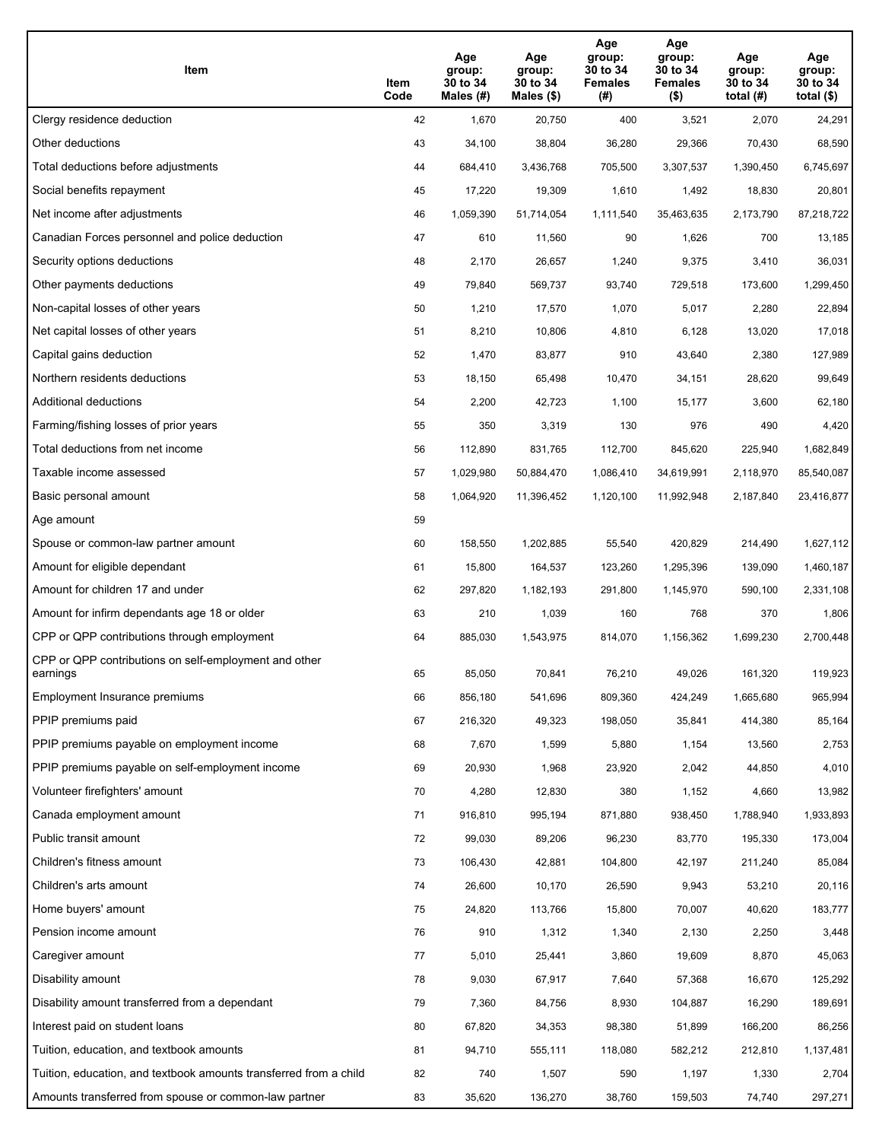| Item                                                              | Item<br>Code | Age<br>group:<br>30 to 34<br>Males (#) | Age<br>group:<br>30 to 34<br>Males (\$) | Age<br>group:<br>30 to 34<br><b>Females</b><br>(#) | Age<br>group:<br>30 to 34<br>Females<br>$($ \$) | Age<br>group:<br>30 to 34<br>total $(#)$ | Age<br>group:<br>30 to 34<br>total $($)$ |
|-------------------------------------------------------------------|--------------|----------------------------------------|-----------------------------------------|----------------------------------------------------|-------------------------------------------------|------------------------------------------|------------------------------------------|
| Clergy residence deduction                                        | 42           | 1,670                                  | 20,750                                  | 400                                                | 3,521                                           | 2,070                                    | 24,291                                   |
| Other deductions                                                  | 43           | 34,100                                 | 38,804                                  | 36,280                                             | 29,366                                          | 70,430                                   | 68,590                                   |
| Total deductions before adjustments                               | 44           | 684,410                                | 3,436,768                               | 705,500                                            | 3,307,537                                       | 1,390,450                                | 6,745,697                                |
| Social benefits repayment                                         | 45           | 17,220                                 | 19,309                                  | 1,610                                              | 1,492                                           | 18,830                                   | 20,801                                   |
| Net income after adjustments                                      | 46           | 1,059,390                              | 51,714,054                              | 1,111,540                                          | 35,463,635                                      | 2,173,790                                | 87,218,722                               |
| Canadian Forces personnel and police deduction                    | 47           | 610                                    | 11,560                                  | 90                                                 | 1,626                                           | 700                                      | 13,185                                   |
| Security options deductions                                       | 48           | 2,170                                  | 26,657                                  | 1,240                                              | 9,375                                           | 3,410                                    | 36,031                                   |
| Other payments deductions                                         | 49           | 79,840                                 | 569,737                                 | 93,740                                             | 729,518                                         | 173,600                                  | 1,299,450                                |
| Non-capital losses of other years                                 | 50           | 1,210                                  | 17,570                                  | 1,070                                              | 5,017                                           | 2,280                                    | 22,894                                   |
| Net capital losses of other years                                 | 51           | 8,210                                  | 10,806                                  | 4,810                                              | 6,128                                           | 13,020                                   | 17,018                                   |
| Capital gains deduction                                           | 52           | 1,470                                  | 83,877                                  | 910                                                | 43,640                                          | 2,380                                    | 127,989                                  |
| Northern residents deductions                                     | 53           | 18,150                                 | 65,498                                  | 10,470                                             | 34,151                                          | 28,620                                   | 99,649                                   |
| Additional deductions                                             | 54           | 2,200                                  | 42,723                                  | 1,100                                              | 15,177                                          | 3,600                                    | 62,180                                   |
| Farming/fishing losses of prior years                             | 55           | 350                                    | 3,319                                   | 130                                                | 976                                             | 490                                      | 4,420                                    |
| Total deductions from net income                                  | 56           | 112,890                                | 831,765                                 | 112,700                                            | 845,620                                         | 225,940                                  | 1,682,849                                |
| Taxable income assessed                                           | 57           | 1,029,980                              | 50,884,470                              | 1,086,410                                          | 34,619,991                                      | 2,118,970                                | 85,540,087                               |
| Basic personal amount                                             | 58           | 1,064,920                              | 11,396,452                              | 1,120,100                                          | 11,992,948                                      | 2,187,840                                | 23,416,877                               |
| Age amount                                                        | 59           |                                        |                                         |                                                    |                                                 |                                          |                                          |
| Spouse or common-law partner amount                               | 60           | 158,550                                | 1,202,885                               | 55,540                                             | 420,829                                         | 214,490                                  | 1,627,112                                |
| Amount for eligible dependant                                     | 61           | 15,800                                 | 164,537                                 | 123,260                                            | 1,295,396                                       | 139,090                                  | 1,460,187                                |
| Amount for children 17 and under                                  | 62           | 297,820                                | 1,182,193                               | 291,800                                            | 1,145,970                                       | 590,100                                  | 2,331,108                                |
| Amount for infirm dependants age 18 or older                      | 63           | 210                                    | 1,039                                   | 160                                                | 768                                             | 370                                      | 1,806                                    |
| CPP or QPP contributions through employment                       | 64           | 885,030                                | 1,543,975                               | 814,070                                            | 1,156,362                                       | 1,699,230                                | 2,700,448                                |
| CPP or QPP contributions on self-employment and other<br>earnings | 65           | 85,050                                 | 70,841                                  | 76,210                                             | 49,026                                          | 161,320                                  | 119,923                                  |
| Employment Insurance premiums                                     | 66           | 856,180                                | 541,696                                 | 809,360                                            | 424,249                                         | 1,665,680                                | 965,994                                  |
| PPIP premiums paid                                                | 67           | 216,320                                | 49,323                                  | 198,050                                            | 35,841                                          | 414,380                                  | 85,164                                   |
| PPIP premiums payable on employment income                        | 68           | 7,670                                  | 1,599                                   | 5,880                                              | 1,154                                           | 13,560                                   | 2,753                                    |
| PPIP premiums payable on self-employment income                   | 69           | 20,930                                 | 1,968                                   | 23,920                                             | 2,042                                           | 44,850                                   | 4,010                                    |
| Volunteer firefighters' amount                                    | 70           | 4,280                                  | 12,830                                  | 380                                                | 1,152                                           | 4,660                                    | 13,982                                   |
| Canada employment amount                                          | 71           | 916,810                                | 995,194                                 | 871,880                                            | 938,450                                         | 1,788,940                                | 1,933,893                                |
| Public transit amount                                             | 72           | 99,030                                 | 89,206                                  | 96,230                                             | 83,770                                          | 195,330                                  | 173,004                                  |
| Children's fitness amount                                         | 73           | 106,430                                | 42,881                                  | 104,800                                            | 42,197                                          | 211,240                                  | 85,084                                   |
| Children's arts amount                                            | 74           | 26,600                                 | 10,170                                  | 26,590                                             | 9,943                                           | 53,210                                   | 20,116                                   |
| Home buyers' amount                                               | 75           | 24,820                                 | 113,766                                 | 15,800                                             | 70,007                                          | 40,620                                   | 183,777                                  |
| Pension income amount                                             | 76           | 910                                    | 1,312                                   | 1,340                                              | 2,130                                           | 2,250                                    | 3,448                                    |
| Caregiver amount                                                  | 77           | 5,010                                  | 25,441                                  | 3,860                                              | 19,609                                          | 8,870                                    | 45,063                                   |
| Disability amount                                                 | 78           | 9,030                                  | 67,917                                  | 7,640                                              | 57,368                                          | 16,670                                   | 125,292                                  |
| Disability amount transferred from a dependant                    | 79           | 7,360                                  | 84,756                                  | 8,930                                              | 104,887                                         | 16,290                                   | 189,691                                  |
| Interest paid on student loans                                    | 80           | 67,820                                 | 34,353                                  | 98,380                                             | 51,899                                          | 166,200                                  | 86,256                                   |
| Tuition, education, and textbook amounts                          | 81           | 94,710                                 | 555,111                                 | 118,080                                            | 582,212                                         | 212,810                                  | 1,137,481                                |
| Tuition, education, and textbook amounts transferred from a child | 82           | 740                                    | 1,507                                   | 590                                                | 1,197                                           | 1,330                                    | 2,704                                    |
| Amounts transferred from spouse or common-law partner             | 83           | 35,620                                 | 136,270                                 | 38,760                                             | 159,503                                         | 74,740                                   | 297,271                                  |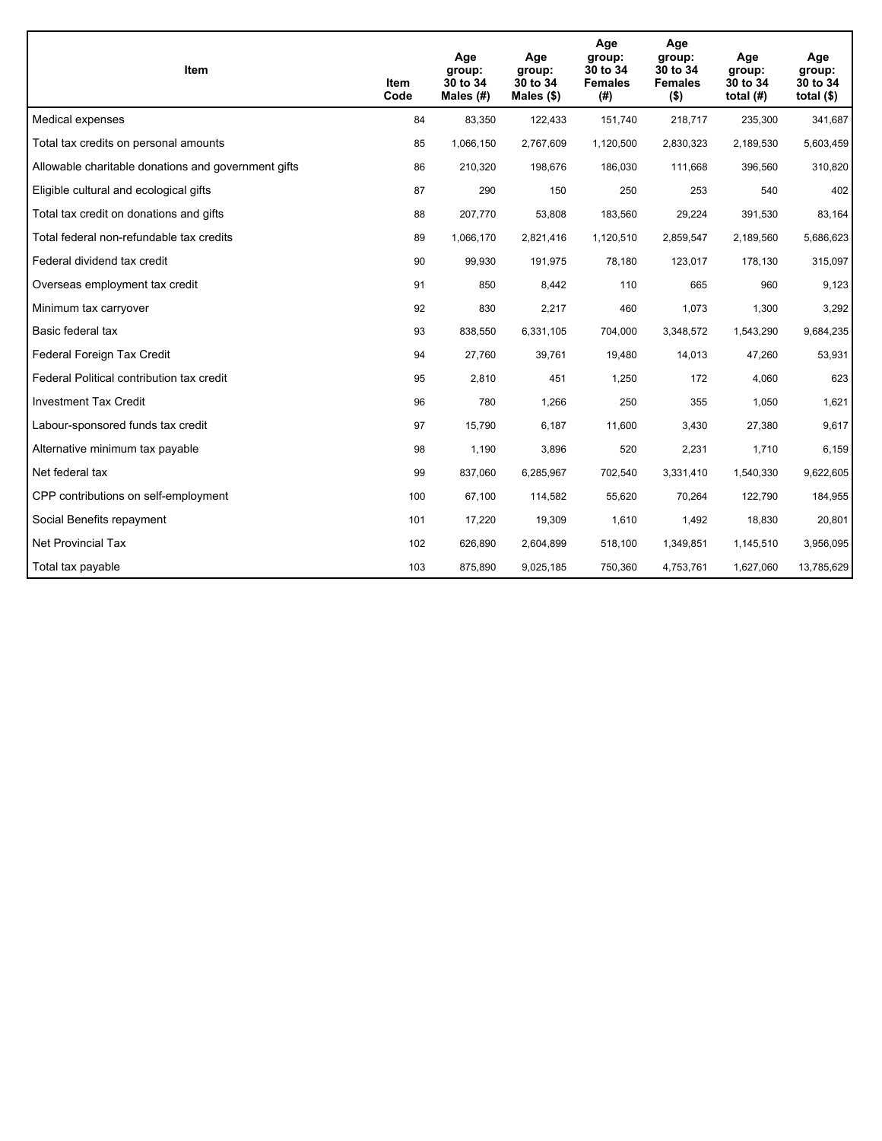| Item                                                | Item<br>Code | Age<br>group:<br>30 to 34<br>Males $(H)$ | Age<br>group:<br>30 to 34<br>Males $(\$)$ | Age<br>group:<br>30 to 34<br><b>Females</b><br>(# ) | Age<br>group:<br>30 to 34<br><b>Females</b><br>$($ \$) | Age<br>group:<br>30 to 34<br>total $(H)$ | Age<br>group:<br>30 to 34<br>total $($)$ |
|-----------------------------------------------------|--------------|------------------------------------------|-------------------------------------------|-----------------------------------------------------|--------------------------------------------------------|------------------------------------------|------------------------------------------|
| Medical expenses                                    | 84           | 83,350                                   | 122,433                                   | 151,740                                             | 218,717                                                | 235,300                                  | 341,687                                  |
| Total tax credits on personal amounts               | 85           | 1,066,150                                | 2,767,609                                 | 1,120,500                                           | 2,830,323                                              | 2,189,530                                | 5,603,459                                |
| Allowable charitable donations and government gifts | 86           | 210,320                                  | 198,676                                   | 186,030                                             | 111,668                                                | 396,560                                  | 310,820                                  |
| Eligible cultural and ecological gifts              | 87           | 290                                      | 150                                       | 250                                                 | 253                                                    | 540                                      | 402                                      |
| Total tax credit on donations and gifts             | 88           | 207,770                                  | 53,808                                    | 183,560                                             | 29,224                                                 | 391,530                                  | 83,164                                   |
| Total federal non-refundable tax credits            | 89           | 1,066,170                                | 2,821,416                                 | 1,120,510                                           | 2,859,547                                              | 2,189,560                                | 5,686,623                                |
| Federal dividend tax credit                         | 90           | 99,930                                   | 191,975                                   | 78,180                                              | 123,017                                                | 178,130                                  | 315,097                                  |
| Overseas employment tax credit                      | 91           | 850                                      | 8,442                                     | 110                                                 | 665                                                    | 960                                      | 9,123                                    |
| Minimum tax carryover                               | 92           | 830                                      | 2,217                                     | 460                                                 | 1,073                                                  | 1,300                                    | 3,292                                    |
| Basic federal tax                                   | 93           | 838,550                                  | 6,331,105                                 | 704,000                                             | 3,348,572                                              | 1,543,290                                | 9,684,235                                |
| Federal Foreign Tax Credit                          | 94           | 27,760                                   | 39,761                                    | 19,480                                              | 14,013                                                 | 47,260                                   | 53,931                                   |
| Federal Political contribution tax credit           | 95           | 2,810                                    | 451                                       | 1,250                                               | 172                                                    | 4,060                                    | 623                                      |
| <b>Investment Tax Credit</b>                        | 96           | 780                                      | 1,266                                     | 250                                                 | 355                                                    | 1,050                                    | 1,621                                    |
| Labour-sponsored funds tax credit                   | 97           | 15,790                                   | 6,187                                     | 11,600                                              | 3,430                                                  | 27,380                                   | 9,617                                    |
| Alternative minimum tax payable                     | 98           | 1,190                                    | 3,896                                     | 520                                                 | 2,231                                                  | 1,710                                    | 6,159                                    |
| Net federal tax                                     | 99           | 837,060                                  | 6,285,967                                 | 702,540                                             | 3,331,410                                              | 1,540,330                                | 9,622,605                                |
| CPP contributions on self-employment                | 100          | 67,100                                   | 114,582                                   | 55,620                                              | 70,264                                                 | 122,790                                  | 184,955                                  |
| Social Benefits repayment                           | 101          | 17,220                                   | 19,309                                    | 1,610                                               | 1,492                                                  | 18,830                                   | 20,801                                   |
| <b>Net Provincial Tax</b>                           | 102          | 626,890                                  | 2,604,899                                 | 518,100                                             | 1,349,851                                              | 1,145,510                                | 3,956,095                                |
| Total tax payable                                   | 103          | 875,890                                  | 9,025,185                                 | 750,360                                             | 4,753,761                                              | 1,627,060                                | 13,785,629                               |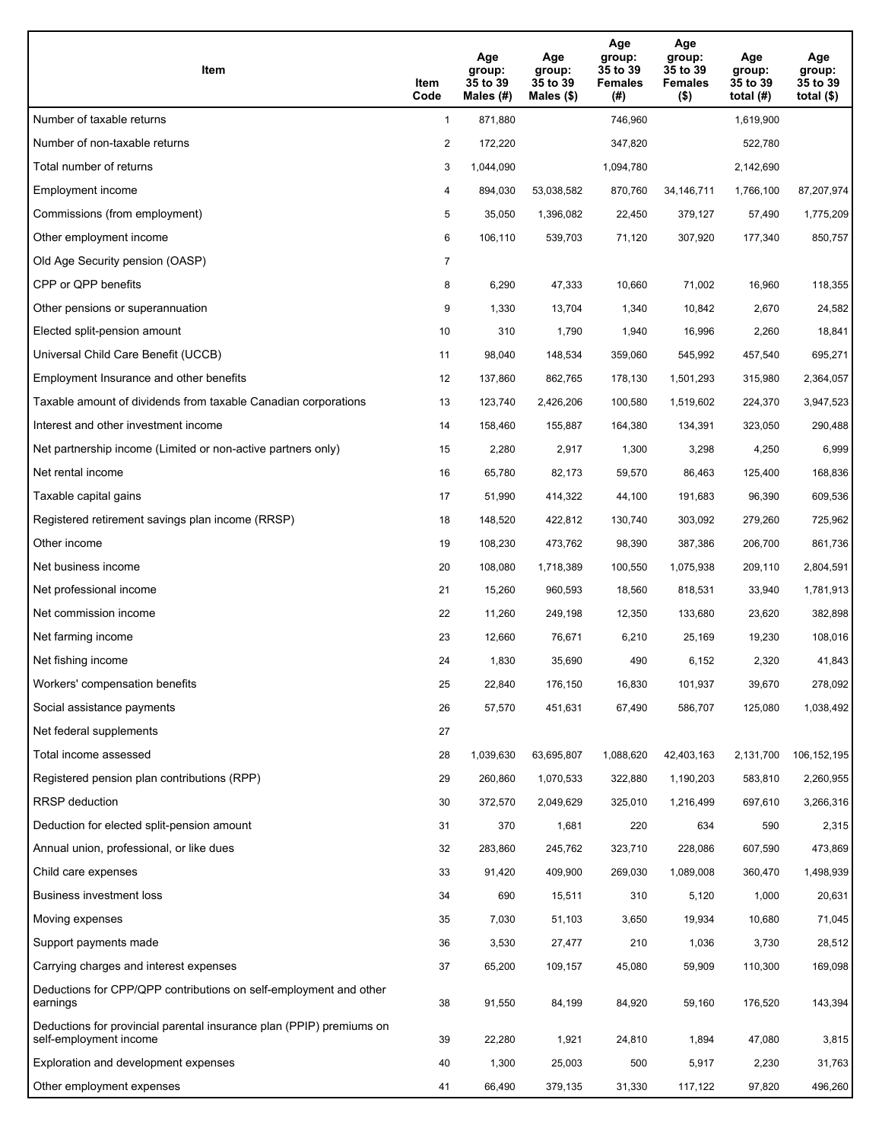| Item                                                                                           | Item<br>Code   | Age<br>group:<br>35 to 39<br>Males (#) | Age<br>group:<br>35 to 39<br>Males $(\$)$ | Age<br>group:<br>35 to 39<br><b>Females</b><br>(#) | Age<br>group:<br>35 to 39<br><b>Females</b><br>$($ \$) | Age<br>group:<br>35 to 39<br>total $(H)$ | Age<br>group:<br>35 to 39<br>total $($)$ |
|------------------------------------------------------------------------------------------------|----------------|----------------------------------------|-------------------------------------------|----------------------------------------------------|--------------------------------------------------------|------------------------------------------|------------------------------------------|
| Number of taxable returns                                                                      | $\mathbf{1}$   | 871,880                                |                                           | 746,960                                            |                                                        | 1,619,900                                |                                          |
| Number of non-taxable returns                                                                  | 2              | 172,220                                |                                           | 347,820                                            |                                                        | 522,780                                  |                                          |
| Total number of returns                                                                        | 3              | 1,044,090                              |                                           | 1,094,780                                          |                                                        | 2,142,690                                |                                          |
| Employment income                                                                              | 4              | 894,030                                | 53,038,582                                | 870,760                                            | 34, 146, 711                                           | 1,766,100                                | 87,207,974                               |
| Commissions (from employment)                                                                  | 5              | 35,050                                 | 1,396,082                                 | 22,450                                             | 379,127                                                | 57,490                                   | 1,775,209                                |
| Other employment income                                                                        | 6              | 106,110                                | 539,703                                   | 71,120                                             | 307,920                                                | 177,340                                  | 850,757                                  |
| Old Age Security pension (OASP)                                                                | $\overline{7}$ |                                        |                                           |                                                    |                                                        |                                          |                                          |
| CPP or QPP benefits                                                                            | 8              | 6,290                                  | 47,333                                    | 10,660                                             | 71,002                                                 | 16,960                                   | 118,355                                  |
| Other pensions or superannuation                                                               | 9              | 1,330                                  | 13,704                                    | 1,340                                              | 10,842                                                 | 2,670                                    | 24,582                                   |
| Elected split-pension amount                                                                   | 10             | 310                                    | 1,790                                     | 1,940                                              | 16,996                                                 | 2,260                                    | 18,841                                   |
| Universal Child Care Benefit (UCCB)                                                            | 11             | 98,040                                 | 148,534                                   | 359,060                                            | 545,992                                                | 457,540                                  | 695,271                                  |
| Employment Insurance and other benefits                                                        | 12             | 137,860                                | 862,765                                   | 178,130                                            | 1,501,293                                              | 315,980                                  | 2,364,057                                |
| Taxable amount of dividends from taxable Canadian corporations                                 | 13             | 123,740                                | 2,426,206                                 | 100,580                                            | 1,519,602                                              | 224,370                                  | 3,947,523                                |
| Interest and other investment income                                                           | 14             | 158,460                                | 155,887                                   | 164,380                                            | 134,391                                                | 323,050                                  | 290,488                                  |
| Net partnership income (Limited or non-active partners only)                                   | 15             | 2,280                                  | 2,917                                     | 1,300                                              | 3,298                                                  | 4,250                                    | 6,999                                    |
| Net rental income                                                                              | 16             | 65,780                                 | 82,173                                    | 59,570                                             | 86,463                                                 | 125,400                                  | 168,836                                  |
| Taxable capital gains                                                                          | 17             | 51,990                                 | 414,322                                   | 44,100                                             | 191,683                                                | 96,390                                   | 609,536                                  |
| Registered retirement savings plan income (RRSP)                                               | 18             | 148,520                                | 422,812                                   | 130,740                                            | 303,092                                                | 279,260                                  | 725,962                                  |
| Other income                                                                                   | 19             | 108,230                                | 473,762                                   | 98,390                                             | 387,386                                                | 206,700                                  | 861,736                                  |
| Net business income                                                                            | 20             | 108,080                                | 1,718,389                                 | 100,550                                            | 1,075,938                                              | 209,110                                  | 2,804,591                                |
| Net professional income                                                                        | 21             | 15,260                                 | 960,593                                   | 18,560                                             | 818,531                                                | 33,940                                   | 1,781,913                                |
| Net commission income                                                                          | 22             | 11,260                                 | 249,198                                   | 12,350                                             | 133,680                                                | 23,620                                   | 382,898                                  |
| Net farming income                                                                             | 23             | 12,660                                 | 76,671                                    | 6,210                                              | 25,169                                                 | 19,230                                   | 108,016                                  |
| Net fishing income                                                                             | 24             | 1,830                                  | 35,690                                    | 490                                                | 6,152                                                  | 2,320                                    | 41,843                                   |
| Workers' compensation benefits                                                                 | 25             | 22,840                                 | 176,150                                   | 16,830                                             | 101,937                                                | 39,670                                   | 278,092                                  |
| Social assistance payments                                                                     | 26             | 57,570                                 | 451,631                                   | 67,490                                             | 586,707                                                | 125,080                                  | 1,038,492                                |
| Net federal supplements                                                                        | 27             |                                        |                                           |                                                    |                                                        |                                          |                                          |
| Total income assessed                                                                          | 28             | 1,039,630                              | 63,695,807                                | 1,088,620                                          | 42,403,163                                             | 2,131,700                                | 106, 152, 195                            |
| Registered pension plan contributions (RPP)                                                    | 29             | 260,860                                | 1,070,533                                 | 322,880                                            | 1,190,203                                              | 583,810                                  | 2,260,955                                |
| RRSP deduction                                                                                 | 30             | 372,570                                | 2,049,629                                 | 325,010                                            | 1,216,499                                              | 697,610                                  | 3,266,316                                |
| Deduction for elected split-pension amount                                                     | 31             | 370                                    | 1,681                                     | 220                                                | 634                                                    | 590                                      | 2,315                                    |
| Annual union, professional, or like dues                                                       | 32             | 283,860                                | 245,762                                   | 323,710                                            | 228,086                                                | 607,590                                  | 473,869                                  |
| Child care expenses                                                                            | 33             | 91,420                                 | 409,900                                   | 269,030                                            | 1,089,008                                              | 360,470                                  | 1,498,939                                |
| Business investment loss                                                                       | 34             | 690                                    | 15,511                                    | 310                                                | 5,120                                                  | 1,000                                    | 20,631                                   |
| Moving expenses                                                                                | 35             | 7,030                                  | 51,103                                    | 3,650                                              | 19,934                                                 | 10,680                                   | 71,045                                   |
| Support payments made                                                                          | 36             | 3,530                                  | 27,477                                    | 210                                                | 1,036                                                  | 3,730                                    | 28,512                                   |
| Carrying charges and interest expenses                                                         | 37             | 65,200                                 | 109,157                                   | 45,080                                             | 59,909                                                 | 110,300                                  | 169,098                                  |
| Deductions for CPP/QPP contributions on self-employment and other<br>earnings                  | 38             | 91,550                                 | 84,199                                    | 84,920                                             | 59,160                                                 | 176,520                                  | 143,394                                  |
| Deductions for provincial parental insurance plan (PPIP) premiums on<br>self-employment income | 39             | 22,280                                 | 1,921                                     | 24,810                                             | 1,894                                                  | 47,080                                   | 3,815                                    |
| Exploration and development expenses                                                           | 40             | 1,300                                  | 25,003                                    | 500                                                | 5,917                                                  | 2,230                                    | 31,763                                   |
| Other employment expenses                                                                      | 41             | 66,490                                 | 379,135                                   | 31,330                                             | 117,122                                                | 97,820                                   | 496,260                                  |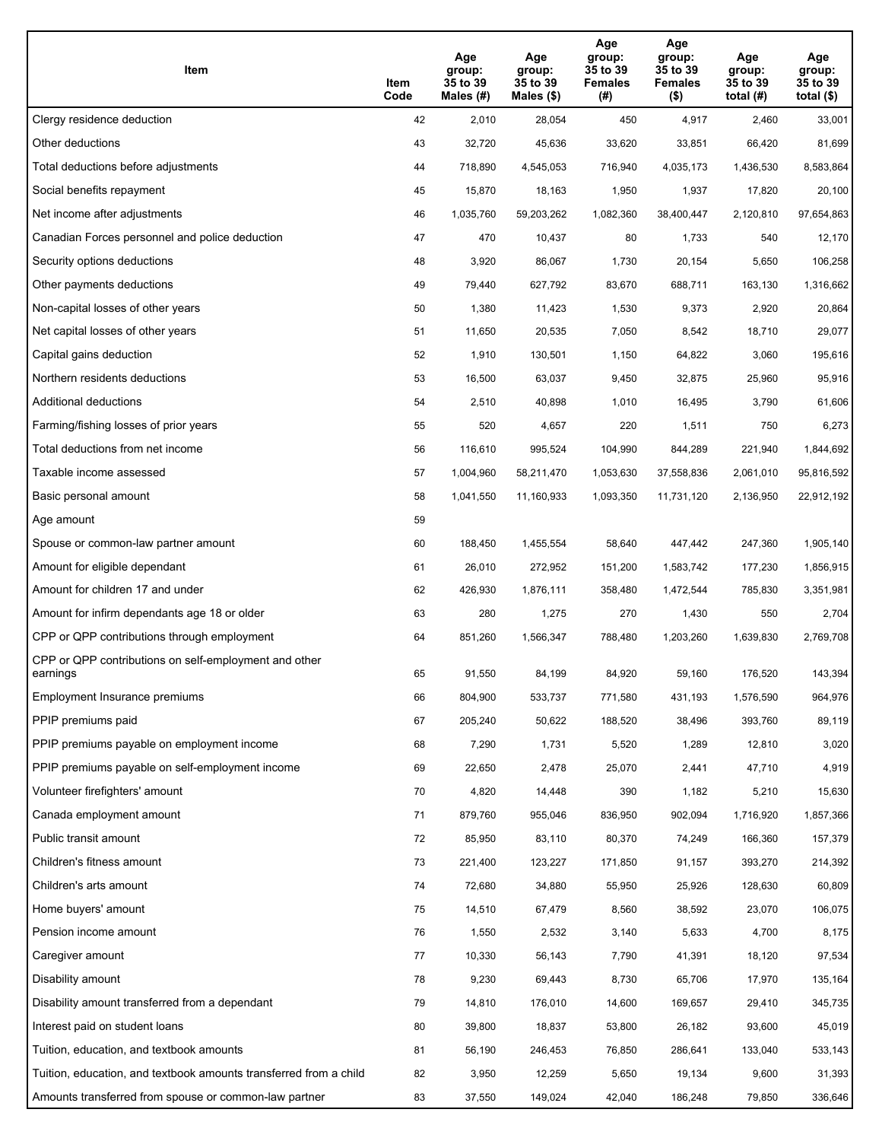| Item                                                              | Item<br>Code | Age<br>group:<br>35 to 39<br>Males (#) | Age<br>group:<br>35 to 39<br>Males (\$) | Age<br>group:<br>35 to 39<br><b>Females</b><br>(#) | Age<br>group:<br>35 to 39<br><b>Females</b><br>$($ \$) | Age<br>group:<br>35 to 39<br>total $(H)$ | Age<br>group:<br>35 to 39<br>total $($)$ |
|-------------------------------------------------------------------|--------------|----------------------------------------|-----------------------------------------|----------------------------------------------------|--------------------------------------------------------|------------------------------------------|------------------------------------------|
| Clergy residence deduction                                        | 42           | 2,010                                  | 28,054                                  | 450                                                | 4,917                                                  | 2,460                                    | 33,001                                   |
| Other deductions                                                  | 43           | 32,720                                 | 45,636                                  | 33,620                                             | 33,851                                                 | 66,420                                   | 81,699                                   |
| Total deductions before adjustments                               | 44           | 718,890                                | 4,545,053                               | 716,940                                            | 4,035,173                                              | 1,436,530                                | 8,583,864                                |
| Social benefits repayment                                         | 45           | 15,870                                 | 18,163                                  | 1,950                                              | 1,937                                                  | 17,820                                   | 20,100                                   |
| Net income after adjustments                                      | 46           | 1,035,760                              | 59,203,262                              | 1,082,360                                          | 38,400,447                                             | 2,120,810                                | 97,654,863                               |
| Canadian Forces personnel and police deduction                    | 47           | 470                                    | 10,437                                  | 80                                                 | 1,733                                                  | 540                                      | 12,170                                   |
| Security options deductions                                       | 48           | 3,920                                  | 86,067                                  | 1,730                                              | 20,154                                                 | 5,650                                    | 106,258                                  |
| Other payments deductions                                         | 49           | 79,440                                 | 627,792                                 | 83,670                                             | 688,711                                                | 163,130                                  | 1,316,662                                |
| Non-capital losses of other years                                 | 50           | 1,380                                  | 11,423                                  | 1,530                                              | 9,373                                                  | 2,920                                    | 20,864                                   |
| Net capital losses of other years                                 | 51           | 11,650                                 | 20,535                                  | 7,050                                              | 8,542                                                  | 18,710                                   | 29,077                                   |
| Capital gains deduction                                           | 52           | 1,910                                  | 130,501                                 | 1,150                                              | 64,822                                                 | 3,060                                    | 195,616                                  |
| Northern residents deductions                                     | 53           | 16,500                                 | 63,037                                  | 9,450                                              | 32,875                                                 | 25,960                                   | 95,916                                   |
| Additional deductions                                             | 54           | 2,510                                  | 40,898                                  | 1,010                                              | 16,495                                                 | 3,790                                    | 61,606                                   |
| Farming/fishing losses of prior years                             | 55           | 520                                    | 4,657                                   | 220                                                | 1,511                                                  | 750                                      | 6,273                                    |
| Total deductions from net income                                  | 56           | 116,610                                | 995,524                                 | 104,990                                            | 844,289                                                | 221,940                                  | 1,844,692                                |
| Taxable income assessed                                           | 57           | 1,004,960                              | 58,211,470                              | 1,053,630                                          | 37,558,836                                             | 2,061,010                                | 95,816,592                               |
| Basic personal amount                                             | 58           | 1,041,550                              | 11,160,933                              | 1,093,350                                          | 11,731,120                                             | 2,136,950                                | 22,912,192                               |
| Age amount                                                        | 59           |                                        |                                         |                                                    |                                                        |                                          |                                          |
| Spouse or common-law partner amount                               | 60           | 188,450                                | 1,455,554                               | 58,640                                             | 447,442                                                | 247,360                                  | 1,905,140                                |
| Amount for eligible dependant                                     | 61           | 26,010                                 | 272,952                                 | 151,200                                            | 1,583,742                                              | 177,230                                  | 1,856,915                                |
| Amount for children 17 and under                                  | 62           | 426,930                                | 1,876,111                               | 358,480                                            | 1,472,544                                              | 785,830                                  | 3,351,981                                |
| Amount for infirm dependants age 18 or older                      | 63           | 280                                    | 1,275                                   | 270                                                | 1,430                                                  | 550                                      | 2,704                                    |
| CPP or QPP contributions through employment                       | 64           | 851,260                                | 1,566,347                               | 788,480                                            | 1,203,260                                              | 1,639,830                                | 2,769,708                                |
| CPP or QPP contributions on self-employment and other<br>earnings | 65           | 91,550                                 | 84,199                                  | 84,920                                             | 59,160                                                 | 176,520                                  | 143,394                                  |
| Employment Insurance premiums                                     | 66           | 804,900                                | 533,737                                 | 771,580                                            | 431,193                                                | 1,576,590                                | 964,976                                  |
| PPIP premiums paid                                                | 67           | 205,240                                | 50,622                                  | 188,520                                            | 38,496                                                 | 393,760                                  | 89,119                                   |
| PPIP premiums payable on employment income                        | 68           | 7,290                                  | 1,731                                   | 5,520                                              | 1,289                                                  | 12,810                                   | 3,020                                    |
| PPIP premiums payable on self-employment income                   | 69           | 22,650                                 | 2,478                                   | 25,070                                             | 2,441                                                  | 47,710                                   | 4,919                                    |
| Volunteer firefighters' amount                                    | 70           | 4,820                                  | 14,448                                  | 390                                                | 1,182                                                  | 5,210                                    | 15,630                                   |
| Canada employment amount                                          | 71           | 879,760                                | 955,046                                 | 836,950                                            | 902,094                                                | 1,716,920                                | 1,857,366                                |
| Public transit amount                                             | 72           | 85,950                                 | 83,110                                  | 80,370                                             | 74,249                                                 | 166,360                                  | 157,379                                  |
| Children's fitness amount                                         | 73           | 221,400                                | 123,227                                 | 171,850                                            | 91,157                                                 | 393,270                                  | 214,392                                  |
| Children's arts amount                                            | 74           | 72,680                                 | 34,880                                  | 55,950                                             | 25,926                                                 | 128,630                                  | 60,809                                   |
| Home buyers' amount                                               | 75           | 14,510                                 | 67,479                                  | 8,560                                              | 38,592                                                 | 23,070                                   | 106,075                                  |
| Pension income amount                                             | 76           | 1,550                                  | 2,532                                   | 3,140                                              | 5,633                                                  | 4,700                                    | 8,175                                    |
| Caregiver amount                                                  | 77           | 10,330                                 | 56,143                                  | 7,790                                              | 41,391                                                 | 18,120                                   | 97,534                                   |
| Disability amount                                                 | 78           | 9,230                                  | 69,443                                  | 8,730                                              | 65,706                                                 | 17,970                                   | 135,164                                  |
| Disability amount transferred from a dependant                    | 79           | 14,810                                 | 176,010                                 | 14,600                                             | 169,657                                                | 29,410                                   | 345,735                                  |
| Interest paid on student loans                                    | 80           | 39,800                                 | 18,837                                  | 53,800                                             | 26,182                                                 | 93,600                                   | 45,019                                   |
| Tuition, education, and textbook amounts                          | 81           | 56,190                                 | 246,453                                 | 76,850                                             | 286,641                                                | 133,040                                  | 533,143                                  |
| Tuition, education, and textbook amounts transferred from a child | 82           | 3,950                                  | 12,259                                  | 5,650                                              | 19,134                                                 | 9,600                                    | 31,393                                   |
| Amounts transferred from spouse or common-law partner             | 83           | 37,550                                 | 149,024                                 | 42,040                                             | 186,248                                                | 79,850                                   | 336,646                                  |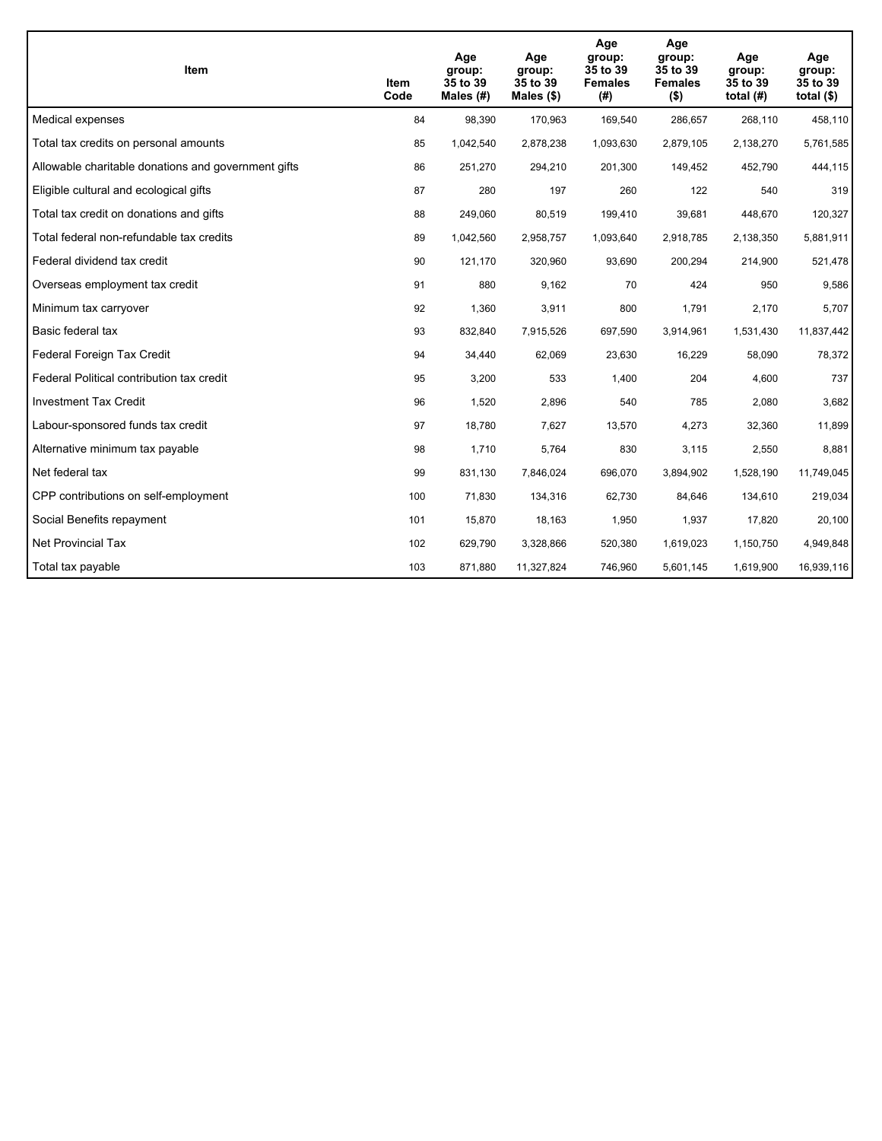| Item                                                | Item<br>Code | Age<br>group:<br>35 to 39<br>Males $(H)$ | Age<br>group:<br>35 to 39<br>Males $(\$)$ | Age<br>group:<br>35 to 39<br><b>Females</b><br>(# ) | Age<br>group:<br>35 to 39<br><b>Females</b><br>$($ \$) | Age<br>group:<br>35 to 39<br>total $(H)$ | Age<br>group:<br>35 to 39<br>total $($)$ |
|-----------------------------------------------------|--------------|------------------------------------------|-------------------------------------------|-----------------------------------------------------|--------------------------------------------------------|------------------------------------------|------------------------------------------|
| Medical expenses                                    | 84           | 98,390                                   | 170,963                                   | 169,540                                             | 286,657                                                | 268,110                                  | 458,110                                  |
| Total tax credits on personal amounts               | 85           | 1,042,540                                | 2,878,238                                 | 1,093,630                                           | 2,879,105                                              | 2,138,270                                | 5,761,585                                |
| Allowable charitable donations and government gifts | 86           | 251,270                                  | 294,210                                   | 201,300                                             | 149,452                                                | 452,790                                  | 444,115                                  |
| Eligible cultural and ecological gifts              | 87           | 280                                      | 197                                       | 260                                                 | 122                                                    | 540                                      | 319                                      |
| Total tax credit on donations and gifts             | 88           | 249,060                                  | 80,519                                    | 199,410                                             | 39,681                                                 | 448,670                                  | 120,327                                  |
| Total federal non-refundable tax credits            | 89           | 1,042,560                                | 2,958,757                                 | 1,093,640                                           | 2,918,785                                              | 2,138,350                                | 5,881,911                                |
| Federal dividend tax credit                         | 90           | 121,170                                  | 320,960                                   | 93,690                                              | 200,294                                                | 214,900                                  | 521,478                                  |
| Overseas employment tax credit                      | 91           | 880                                      | 9,162                                     | 70                                                  | 424                                                    | 950                                      | 9,586                                    |
| Minimum tax carryover                               | 92           | 1,360                                    | 3,911                                     | 800                                                 | 1,791                                                  | 2,170                                    | 5,707                                    |
| Basic federal tax                                   | 93           | 832,840                                  | 7,915,526                                 | 697,590                                             | 3,914,961                                              | 1,531,430                                | 11,837,442                               |
| Federal Foreign Tax Credit                          | 94           | 34,440                                   | 62,069                                    | 23,630                                              | 16,229                                                 | 58,090                                   | 78,372                                   |
| Federal Political contribution tax credit           | 95           | 3,200                                    | 533                                       | 1,400                                               | 204                                                    | 4,600                                    | 737                                      |
| <b>Investment Tax Credit</b>                        | 96           | 1,520                                    | 2,896                                     | 540                                                 | 785                                                    | 2,080                                    | 3,682                                    |
| Labour-sponsored funds tax credit                   | 97           | 18,780                                   | 7,627                                     | 13,570                                              | 4,273                                                  | 32,360                                   | 11,899                                   |
| Alternative minimum tax payable                     | 98           | 1,710                                    | 5,764                                     | 830                                                 | 3,115                                                  | 2,550                                    | 8,881                                    |
| Net federal tax                                     | 99           | 831,130                                  | 7,846,024                                 | 696,070                                             | 3,894,902                                              | 1,528,190                                | 11,749,045                               |
| CPP contributions on self-employment                | 100          | 71,830                                   | 134,316                                   | 62,730                                              | 84,646                                                 | 134,610                                  | 219,034                                  |
| Social Benefits repayment                           | 101          | 15,870                                   | 18,163                                    | 1,950                                               | 1,937                                                  | 17,820                                   | 20,100                                   |
| <b>Net Provincial Tax</b>                           | 102          | 629,790                                  | 3,328,866                                 | 520,380                                             | 1,619,023                                              | 1,150,750                                | 4,949,848                                |
| Total tax payable                                   | 103          | 871,880                                  | 11,327,824                                | 746,960                                             | 5,601,145                                              | 1,619,900                                | 16,939,116                               |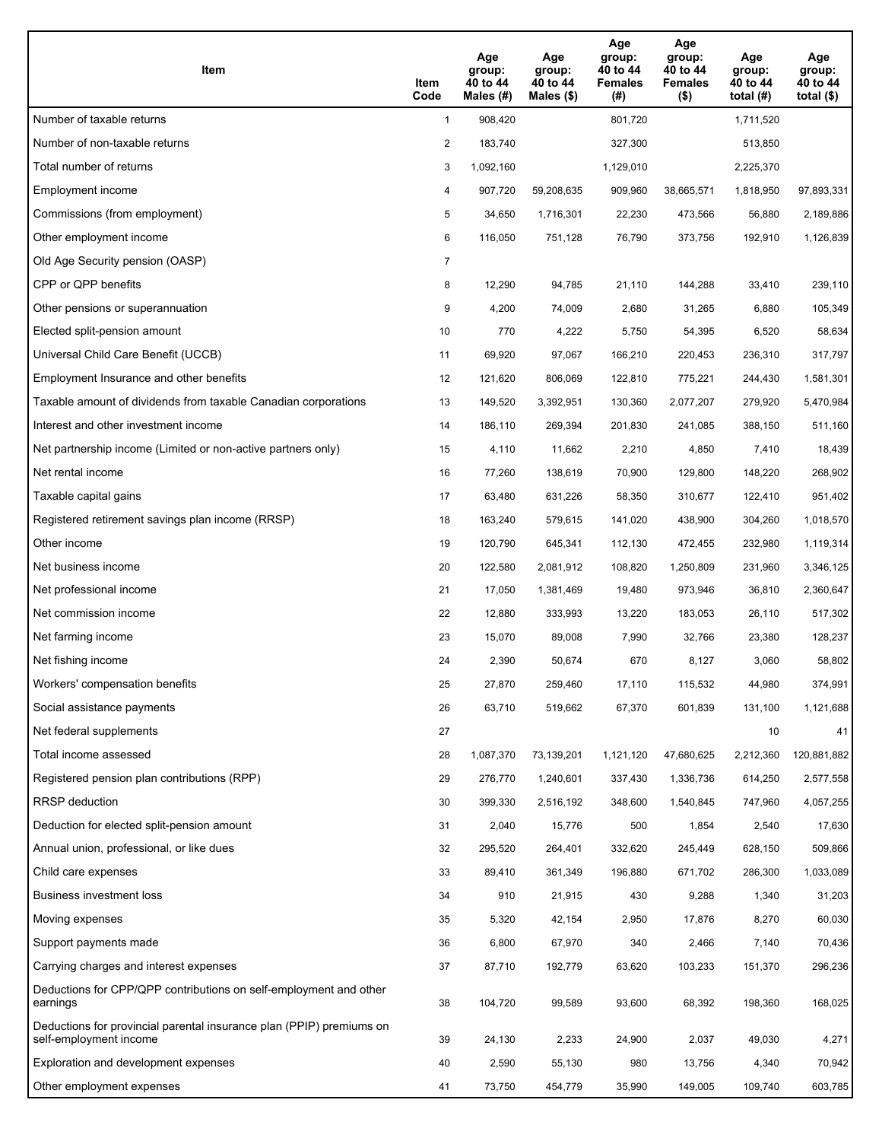| Item                                                                                           | Item<br>Code   | Age<br>group:<br>40 to 44<br>Males (#) | Age<br>group:<br>40 to 44<br>Males $(\$)$ | Age<br>group:<br>40 to 44<br><b>Females</b><br>(#) | Age<br>group:<br>40 to 44<br><b>Females</b><br>$($ \$) | Age<br>group:<br>40 to 44<br>total $(H)$ | Age<br>group:<br>40 to 44<br>total $($)$ |
|------------------------------------------------------------------------------------------------|----------------|----------------------------------------|-------------------------------------------|----------------------------------------------------|--------------------------------------------------------|------------------------------------------|------------------------------------------|
| Number of taxable returns                                                                      | $\mathbf{1}$   | 908,420                                |                                           | 801,720                                            |                                                        | 1,711,520                                |                                          |
| Number of non-taxable returns                                                                  | 2              | 183,740                                |                                           | 327,300                                            |                                                        | 513,850                                  |                                          |
| Total number of returns                                                                        | 3              | 1,092,160                              |                                           | 1,129,010                                          |                                                        | 2,225,370                                |                                          |
| Employment income                                                                              | 4              | 907,720                                | 59,208,635                                | 909,960                                            | 38,665,571                                             | 1,818,950                                | 97,893,331                               |
| Commissions (from employment)                                                                  | 5              | 34,650                                 | 1,716,301                                 | 22,230                                             | 473,566                                                | 56,880                                   | 2,189,886                                |
| Other employment income                                                                        | 6              | 116,050                                | 751,128                                   | 76,790                                             | 373,756                                                | 192,910                                  | 1,126,839                                |
| Old Age Security pension (OASP)                                                                | $\overline{7}$ |                                        |                                           |                                                    |                                                        |                                          |                                          |
| CPP or QPP benefits                                                                            | 8              | 12,290                                 | 94,785                                    | 21,110                                             | 144,288                                                | 33,410                                   | 239,110                                  |
| Other pensions or superannuation                                                               | 9              | 4,200                                  | 74,009                                    | 2,680                                              | 31,265                                                 | 6,880                                    | 105,349                                  |
| Elected split-pension amount                                                                   | 10             | 770                                    | 4,222                                     | 5,750                                              | 54,395                                                 | 6,520                                    | 58,634                                   |
| Universal Child Care Benefit (UCCB)                                                            | 11             | 69,920                                 | 97,067                                    | 166,210                                            | 220,453                                                | 236,310                                  | 317,797                                  |
| Employment Insurance and other benefits                                                        | 12             | 121,620                                | 806,069                                   | 122,810                                            | 775,221                                                | 244,430                                  | 1,581,301                                |
| Taxable amount of dividends from taxable Canadian corporations                                 | 13             | 149,520                                | 3,392,951                                 | 130,360                                            | 2,077,207                                              | 279,920                                  | 5,470,984                                |
| Interest and other investment income                                                           | 14             | 186,110                                | 269,394                                   | 201,830                                            | 241,085                                                | 388,150                                  | 511,160                                  |
| Net partnership income (Limited or non-active partners only)                                   | 15             | 4,110                                  | 11,662                                    | 2,210                                              | 4,850                                                  | 7,410                                    | 18,439                                   |
| Net rental income                                                                              | 16             | 77,260                                 | 138,619                                   | 70,900                                             | 129,800                                                | 148,220                                  | 268,902                                  |
| Taxable capital gains                                                                          | 17             | 63,480                                 | 631,226                                   | 58,350                                             | 310,677                                                | 122,410                                  | 951,402                                  |
| Registered retirement savings plan income (RRSP)                                               | 18             | 163,240                                | 579,615                                   | 141,020                                            | 438,900                                                | 304,260                                  | 1,018,570                                |
| Other income                                                                                   | 19             | 120,790                                | 645,341                                   | 112,130                                            | 472,455                                                | 232,980                                  | 1,119,314                                |
| Net business income                                                                            | 20             | 122,580                                | 2,081,912                                 | 108,820                                            | 1,250,809                                              | 231,960                                  | 3,346,125                                |
| Net professional income                                                                        | 21             | 17,050                                 | 1,381,469                                 | 19,480                                             | 973,946                                                | 36,810                                   | 2,360,647                                |
| Net commission income                                                                          | 22             | 12,880                                 | 333,993                                   | 13,220                                             | 183,053                                                | 26,110                                   | 517,302                                  |
| Net farming income                                                                             | 23             | 15,070                                 | 89,008                                    | 7,990                                              | 32,766                                                 | 23,380                                   | 128,237                                  |
| Net fishing income                                                                             | 24             | 2,390                                  | 50,674                                    | 670                                                | 8,127                                                  | 3,060                                    | 58,802                                   |
| Workers' compensation benefits                                                                 | 25             | 27,870                                 | 259,460                                   | 17,110                                             | 115,532                                                | 44,980                                   | 374,991                                  |
| Social assistance payments                                                                     | 26             | 63,710                                 | 519,662                                   | 67,370                                             | 601,839                                                | 131,100                                  | 1,121,688                                |
| Net federal supplements                                                                        | 27             |                                        |                                           |                                                    |                                                        | 10                                       | 41                                       |
| Total income assessed                                                                          | 28             | 1,087,370                              | 73,139,201                                | 1,121,120                                          | 47,680,625                                             | 2,212,360                                | 120,881,882                              |
| Registered pension plan contributions (RPP)                                                    | 29             | 276,770                                | 1,240,601                                 | 337,430                                            | 1,336,736                                              | 614,250                                  | 2,577,558                                |
| RRSP deduction                                                                                 | 30             | 399,330                                | 2,516,192                                 | 348,600                                            | 1,540,845                                              | 747,960                                  | 4,057,255                                |
| Deduction for elected split-pension amount                                                     | 31             | 2,040                                  | 15,776                                    | 500                                                | 1,854                                                  | 2,540                                    | 17,630                                   |
| Annual union, professional, or like dues                                                       | 32             | 295,520                                | 264,401                                   | 332,620                                            | 245,449                                                | 628,150                                  | 509,866                                  |
| Child care expenses                                                                            | 33             | 89,410                                 | 361,349                                   | 196,880                                            | 671,702                                                | 286,300                                  | 1,033,089                                |
| Business investment loss                                                                       | 34             | 910                                    | 21,915                                    | 430                                                | 9,288                                                  | 1,340                                    | 31,203                                   |
| Moving expenses                                                                                | 35             | 5,320                                  | 42,154                                    | 2,950                                              | 17,876                                                 | 8,270                                    | 60,030                                   |
| Support payments made                                                                          | 36             | 6,800                                  | 67,970                                    | 340                                                | 2,466                                                  | 7,140                                    | 70,436                                   |
| Carrying charges and interest expenses                                                         | 37             | 87,710                                 | 192,779                                   | 63,620                                             | 103,233                                                | 151,370                                  | 296,236                                  |
| Deductions for CPP/QPP contributions on self-employment and other<br>earnings                  | 38             | 104,720                                | 99,589                                    | 93,600                                             | 68,392                                                 | 198,360                                  | 168,025                                  |
| Deductions for provincial parental insurance plan (PPIP) premiums on<br>self-employment income | 39             | 24,130                                 | 2,233                                     | 24,900                                             | 2,037                                                  | 49,030                                   | 4,271                                    |
| Exploration and development expenses                                                           | 40             | 2,590                                  | 55,130                                    | 980                                                | 13,756                                                 | 4,340                                    | 70,942                                   |
| Other employment expenses                                                                      | 41             | 73,750                                 | 454,779                                   | 35,990                                             | 149,005                                                | 109,740                                  | 603,785                                  |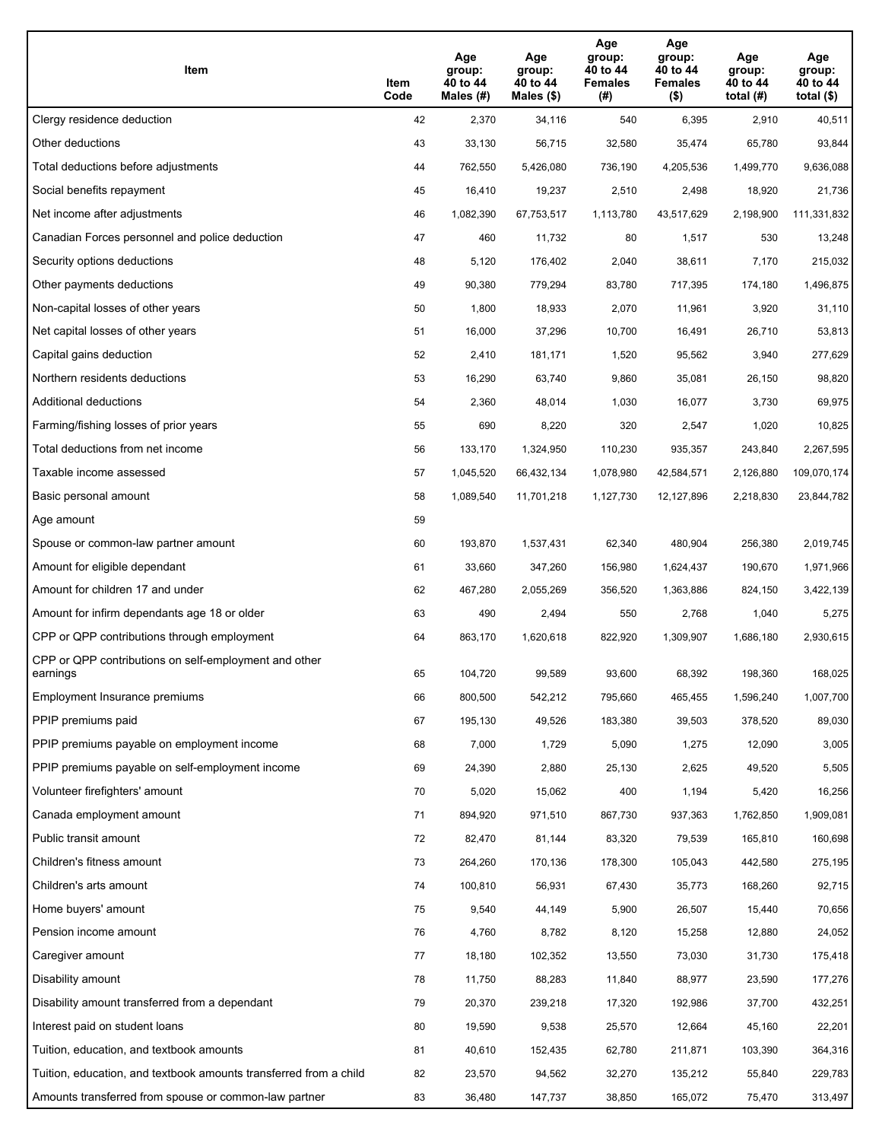| Item                                                              | Item<br>Code | Age<br>group:<br>40 to 44<br>Males (#) | Age<br>group:<br>40 to 44<br>Males (\$) | Age<br>group:<br>40 to 44<br><b>Females</b><br>(#) | Age<br>group:<br>40 to 44<br><b>Females</b><br>$($ \$) | Age<br>group:<br>40 to 44<br>total $(H)$ | Age<br>group:<br>40 to 44<br>total $($)$ |
|-------------------------------------------------------------------|--------------|----------------------------------------|-----------------------------------------|----------------------------------------------------|--------------------------------------------------------|------------------------------------------|------------------------------------------|
| Clergy residence deduction                                        | 42           | 2,370                                  | 34,116                                  | 540                                                | 6,395                                                  | 2,910                                    | 40,511                                   |
| Other deductions                                                  | 43           | 33,130                                 | 56,715                                  | 32,580                                             | 35,474                                                 | 65,780                                   | 93,844                                   |
| Total deductions before adjustments                               | 44           | 762,550                                | 5,426,080                               | 736,190                                            | 4,205,536                                              | 1,499,770                                | 9,636,088                                |
| Social benefits repayment                                         | 45           | 16,410                                 | 19,237                                  | 2,510                                              | 2,498                                                  | 18,920                                   | 21,736                                   |
| Net income after adjustments                                      | 46           | 1,082,390                              | 67,753,517                              | 1,113,780                                          | 43,517,629                                             | 2,198,900                                | 111,331,832                              |
| Canadian Forces personnel and police deduction                    | 47           | 460                                    | 11,732                                  | 80                                                 | 1,517                                                  | 530                                      | 13,248                                   |
| Security options deductions                                       | 48           | 5,120                                  | 176,402                                 | 2,040                                              | 38,611                                                 | 7,170                                    | 215,032                                  |
| Other payments deductions                                         | 49           | 90,380                                 | 779,294                                 | 83,780                                             | 717,395                                                | 174,180                                  | 1,496,875                                |
| Non-capital losses of other years                                 | 50           | 1,800                                  | 18,933                                  | 2,070                                              | 11,961                                                 | 3,920                                    | 31,110                                   |
| Net capital losses of other years                                 | 51           | 16,000                                 | 37,296                                  | 10,700                                             | 16,491                                                 | 26,710                                   | 53,813                                   |
| Capital gains deduction                                           | 52           | 2,410                                  | 181,171                                 | 1,520                                              | 95,562                                                 | 3,940                                    | 277,629                                  |
| Northern residents deductions                                     | 53           | 16,290                                 | 63,740                                  | 9,860                                              | 35,081                                                 | 26,150                                   | 98,820                                   |
| Additional deductions                                             | 54           | 2,360                                  | 48,014                                  | 1,030                                              | 16,077                                                 | 3,730                                    | 69,975                                   |
| Farming/fishing losses of prior years                             | 55           | 690                                    | 8,220                                   | 320                                                | 2,547                                                  | 1,020                                    | 10,825                                   |
| Total deductions from net income                                  | 56           | 133,170                                | 1,324,950                               | 110,230                                            | 935,357                                                | 243,840                                  | 2,267,595                                |
| Taxable income assessed                                           | 57           | 1,045,520                              | 66,432,134                              | 1,078,980                                          | 42,584,571                                             | 2,126,880                                | 109,070,174                              |
| Basic personal amount                                             | 58           | 1,089,540                              | 11,701,218                              | 1,127,730                                          | 12,127,896                                             | 2,218,830                                | 23,844,782                               |
| Age amount                                                        | 59           |                                        |                                         |                                                    |                                                        |                                          |                                          |
| Spouse or common-law partner amount                               | 60           | 193,870                                | 1,537,431                               | 62,340                                             | 480,904                                                | 256,380                                  | 2,019,745                                |
| Amount for eligible dependant                                     | 61           | 33,660                                 | 347,260                                 | 156,980                                            | 1,624,437                                              | 190,670                                  | 1,971,966                                |
| Amount for children 17 and under                                  | 62           | 467,280                                | 2,055,269                               | 356,520                                            | 1,363,886                                              | 824,150                                  | 3,422,139                                |
| Amount for infirm dependants age 18 or older                      | 63           | 490                                    | 2,494                                   | 550                                                | 2,768                                                  | 1,040                                    | 5,275                                    |
| CPP or QPP contributions through employment                       | 64           | 863,170                                | 1,620,618                               | 822,920                                            | 1,309,907                                              | 1,686,180                                | 2,930,615                                |
| CPP or QPP contributions on self-employment and other<br>earnings | 65           | 104,720                                | 99,589                                  | 93,600                                             | 68,392                                                 | 198,360                                  | 168,025                                  |
| Employment Insurance premiums                                     | 66           | 800,500                                | 542,212                                 | 795,660                                            | 465,455                                                | 1,596,240                                | 1,007,700                                |
| PPIP premiums paid                                                | 67           | 195,130                                | 49,526                                  | 183,380                                            | 39,503                                                 | 378,520                                  | 89,030                                   |
| PPIP premiums payable on employment income                        | 68           | 7,000                                  | 1,729                                   | 5,090                                              | 1,275                                                  | 12,090                                   | 3,005                                    |
| PPIP premiums payable on self-employment income                   | 69           | 24,390                                 | 2,880                                   | 25,130                                             | 2,625                                                  | 49,520                                   | 5,505                                    |
| Volunteer firefighters' amount                                    | 70           | 5,020                                  | 15,062                                  | 400                                                | 1,194                                                  | 5,420                                    | 16,256                                   |
| Canada employment amount                                          | 71           | 894,920                                | 971,510                                 | 867,730                                            | 937,363                                                | 1,762,850                                | 1,909,081                                |
| Public transit amount                                             | 72           | 82,470                                 | 81,144                                  | 83,320                                             | 79,539                                                 | 165,810                                  | 160,698                                  |
| Children's fitness amount                                         | 73           | 264,260                                | 170,136                                 | 178,300                                            | 105,043                                                | 442,580                                  | 275,195                                  |
| Children's arts amount                                            | 74           | 100,810                                | 56,931                                  | 67,430                                             | 35,773                                                 | 168,260                                  | 92,715                                   |
| Home buyers' amount                                               | 75           | 9,540                                  | 44,149                                  | 5,900                                              | 26,507                                                 | 15,440                                   | 70,656                                   |
| Pension income amount                                             | 76           | 4,760                                  | 8,782                                   | 8,120                                              | 15,258                                                 | 12,880                                   | 24,052                                   |
| Caregiver amount                                                  | 77           | 18,180                                 | 102,352                                 | 13,550                                             | 73,030                                                 | 31,730                                   | 175,418                                  |
| Disability amount                                                 | 78           | 11,750                                 | 88,283                                  | 11,840                                             | 88,977                                                 | 23,590                                   | 177,276                                  |
| Disability amount transferred from a dependant                    | 79           | 20,370                                 | 239,218                                 | 17,320                                             | 192,986                                                | 37,700                                   | 432,251                                  |
| Interest paid on student loans                                    | 80           | 19,590                                 | 9,538                                   | 25,570                                             | 12,664                                                 | 45,160                                   | 22,201                                   |
| Tuition, education, and textbook amounts                          | 81           | 40,610                                 | 152,435                                 | 62,780                                             | 211,871                                                | 103,390                                  | 364,316                                  |
| Tuition, education, and textbook amounts transferred from a child | 82           | 23,570                                 | 94,562                                  | 32,270                                             | 135,212                                                | 55,840                                   | 229,783                                  |
| Amounts transferred from spouse or common-law partner             | 83           | 36,480                                 | 147,737                                 | 38,850                                             | 165,072                                                | 75,470                                   | 313,497                                  |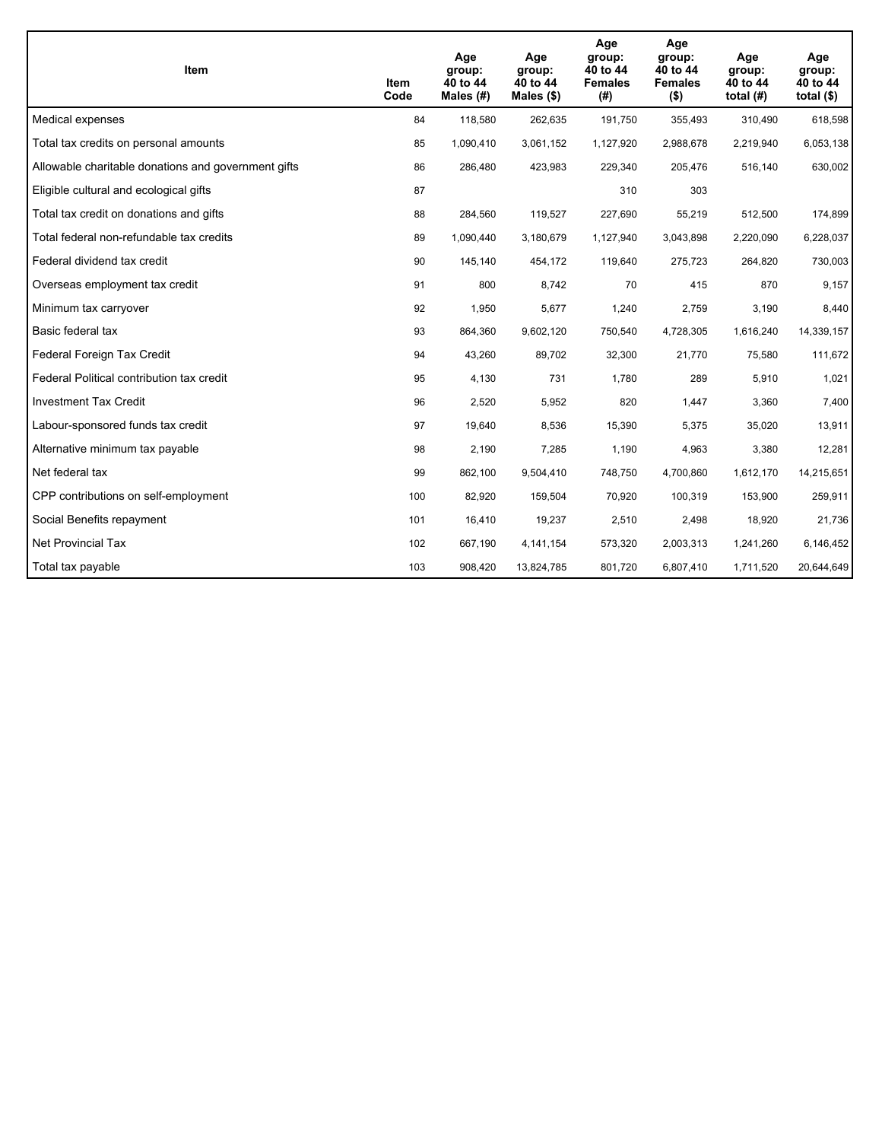| <b>Item</b>                                         | Item<br>Code | Age<br>group:<br>40 to 44<br>Males $(H)$ | Age<br>group:<br>40 to 44<br>Males $(\$)$ | Age<br>group:<br>40 to 44<br><b>Females</b><br>(#) | Age<br>group:<br>40 to 44<br><b>Females</b><br>$($ \$) | Age<br>group:<br>40 to 44<br>total $(H)$ | Age<br>group:<br>40 to 44<br>total $($)$ |
|-----------------------------------------------------|--------------|------------------------------------------|-------------------------------------------|----------------------------------------------------|--------------------------------------------------------|------------------------------------------|------------------------------------------|
| Medical expenses                                    | 84           | 118,580                                  | 262,635                                   | 191,750                                            | 355,493                                                | 310,490                                  | 618,598                                  |
| Total tax credits on personal amounts               | 85           | 1,090,410                                | 3,061,152                                 | 1,127,920                                          | 2,988,678                                              | 2,219,940                                | 6,053,138                                |
| Allowable charitable donations and government gifts | 86           | 286,480                                  | 423,983                                   | 229,340                                            | 205,476                                                | 516,140                                  | 630,002                                  |
| Eligible cultural and ecological gifts              | 87           |                                          |                                           | 310                                                | 303                                                    |                                          |                                          |
| Total tax credit on donations and gifts             | 88           | 284,560                                  | 119,527                                   | 227,690                                            | 55,219                                                 | 512,500                                  | 174,899                                  |
| Total federal non-refundable tax credits            | 89           | 1,090,440                                | 3,180,679                                 | 1,127,940                                          | 3,043,898                                              | 2,220,090                                | 6,228,037                                |
| Federal dividend tax credit                         | 90           | 145,140                                  | 454,172                                   | 119,640                                            | 275,723                                                | 264,820                                  | 730,003                                  |
| Overseas employment tax credit                      | 91           | 800                                      | 8,742                                     | 70                                                 | 415                                                    | 870                                      | 9,157                                    |
| Minimum tax carryover                               | 92           | 1,950                                    | 5,677                                     | 1,240                                              | 2,759                                                  | 3,190                                    | 8,440                                    |
| Basic federal tax                                   | 93           | 864,360                                  | 9,602,120                                 | 750,540                                            | 4,728,305                                              | 1,616,240                                | 14,339,157                               |
| Federal Foreign Tax Credit                          | 94           | 43,260                                   | 89,702                                    | 32,300                                             | 21,770                                                 | 75,580                                   | 111,672                                  |
| Federal Political contribution tax credit           | 95           | 4,130                                    | 731                                       | 1,780                                              | 289                                                    | 5,910                                    | 1,021                                    |
| <b>Investment Tax Credit</b>                        | 96           | 2,520                                    | 5,952                                     | 820                                                | 1,447                                                  | 3,360                                    | 7,400                                    |
| Labour-sponsored funds tax credit                   | 97           | 19,640                                   | 8,536                                     | 15,390                                             | 5,375                                                  | 35,020                                   | 13,911                                   |
| Alternative minimum tax payable                     | 98           | 2,190                                    | 7,285                                     | 1,190                                              | 4,963                                                  | 3,380                                    | 12,281                                   |
| Net federal tax                                     | 99           | 862,100                                  | 9,504,410                                 | 748,750                                            | 4,700,860                                              | 1,612,170                                | 14,215,651                               |
| CPP contributions on self-employment                | 100          | 82,920                                   | 159,504                                   | 70,920                                             | 100,319                                                | 153,900                                  | 259,911                                  |
| Social Benefits repayment                           | 101          | 16,410                                   | 19,237                                    | 2,510                                              | 2,498                                                  | 18,920                                   | 21,736                                   |
| <b>Net Provincial Tax</b>                           | 102          | 667,190                                  | 4,141,154                                 | 573,320                                            | 2,003,313                                              | 1,241,260                                | 6,146,452                                |
| Total tax payable                                   | 103          | 908,420                                  | 13,824,785                                | 801,720                                            | 6,807,410                                              | 1,711,520                                | 20,644,649                               |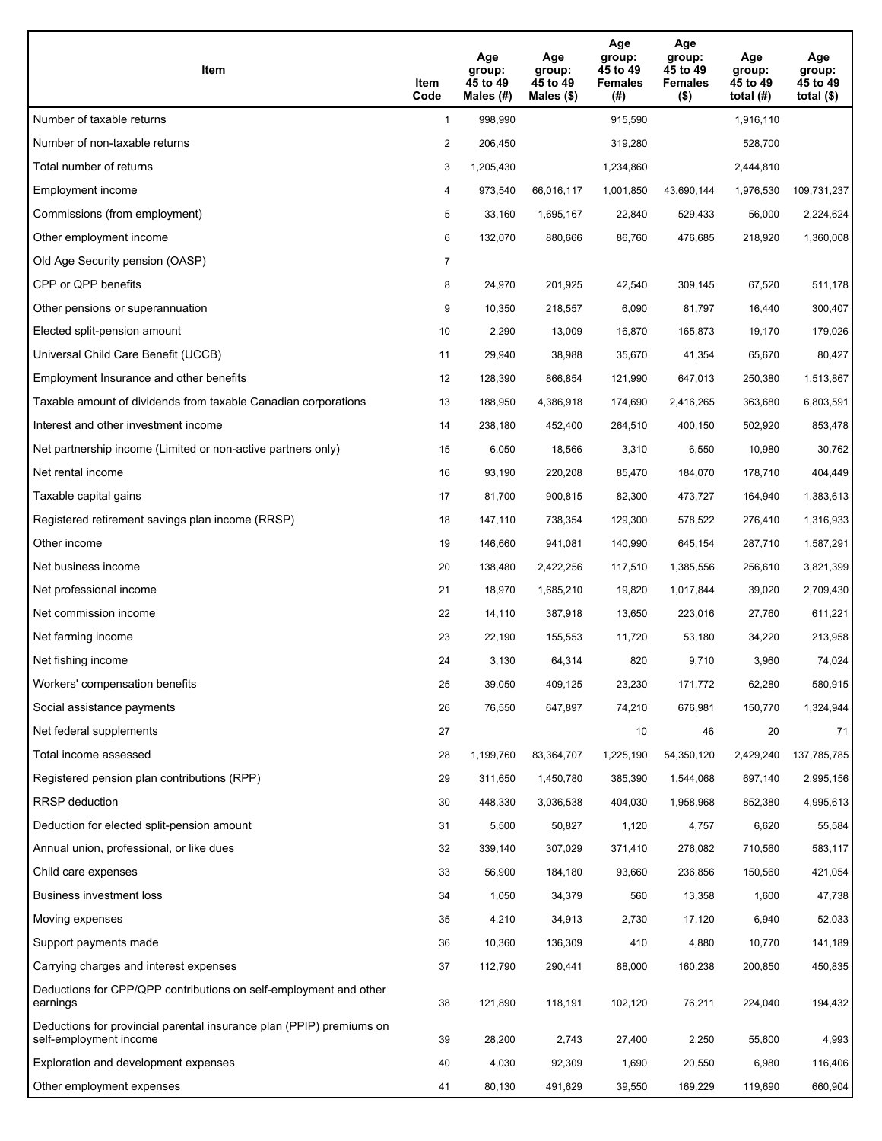| Item                                                                                           | Item<br>Code   | Age<br>group:<br>45 to 49<br>Males (#) | Age<br>group:<br>45 to 49<br>Males $(\$)$ | Age<br>group:<br>45 to 49<br><b>Females</b><br>(#) | Age<br>group:<br>45 to 49<br><b>Females</b><br>$($ \$) | Age<br>group:<br>45 to 49<br>total $(H)$ | Age<br>group:<br>45 to 49<br>total $($)$ |
|------------------------------------------------------------------------------------------------|----------------|----------------------------------------|-------------------------------------------|----------------------------------------------------|--------------------------------------------------------|------------------------------------------|------------------------------------------|
| Number of taxable returns                                                                      | $\mathbf{1}$   | 998,990                                |                                           | 915,590                                            |                                                        | 1,916,110                                |                                          |
| Number of non-taxable returns                                                                  | 2              | 206,450                                |                                           | 319,280                                            |                                                        | 528,700                                  |                                          |
| Total number of returns                                                                        | 3              | 1,205,430                              |                                           | 1,234,860                                          |                                                        | 2,444,810                                |                                          |
| Employment income                                                                              | 4              | 973,540                                | 66,016,117                                | 1,001,850                                          | 43,690,144                                             | 1,976,530                                | 109,731,237                              |
| Commissions (from employment)                                                                  | 5              | 33,160                                 | 1,695,167                                 | 22,840                                             | 529,433                                                | 56,000                                   | 2,224,624                                |
| Other employment income                                                                        | 6              | 132,070                                | 880,666                                   | 86,760                                             | 476,685                                                | 218,920                                  | 1,360,008                                |
| Old Age Security pension (OASP)                                                                | $\overline{7}$ |                                        |                                           |                                                    |                                                        |                                          |                                          |
| CPP or QPP benefits                                                                            | 8              | 24,970                                 | 201,925                                   | 42,540                                             | 309,145                                                | 67,520                                   | 511,178                                  |
| Other pensions or superannuation                                                               | 9              | 10,350                                 | 218,557                                   | 6,090                                              | 81,797                                                 | 16,440                                   | 300,407                                  |
| Elected split-pension amount                                                                   | 10             | 2,290                                  | 13,009                                    | 16,870                                             | 165,873                                                | 19,170                                   | 179,026                                  |
| Universal Child Care Benefit (UCCB)                                                            | 11             | 29,940                                 | 38,988                                    | 35,670                                             | 41,354                                                 | 65,670                                   | 80,427                                   |
| Employment Insurance and other benefits                                                        | 12             | 128,390                                | 866,854                                   | 121,990                                            | 647,013                                                | 250,380                                  | 1,513,867                                |
| Taxable amount of dividends from taxable Canadian corporations                                 | 13             | 188,950                                | 4,386,918                                 | 174,690                                            | 2,416,265                                              | 363,680                                  | 6,803,591                                |
| Interest and other investment income                                                           | 14             | 238,180                                | 452,400                                   | 264,510                                            | 400,150                                                | 502,920                                  | 853,478                                  |
| Net partnership income (Limited or non-active partners only)                                   | 15             | 6,050                                  | 18,566                                    | 3,310                                              | 6,550                                                  | 10,980                                   | 30,762                                   |
| Net rental income                                                                              | 16             | 93,190                                 | 220,208                                   | 85,470                                             | 184,070                                                | 178,710                                  | 404,449                                  |
| Taxable capital gains                                                                          | 17             | 81,700                                 | 900,815                                   | 82,300                                             | 473,727                                                | 164,940                                  | 1,383,613                                |
| Registered retirement savings plan income (RRSP)                                               | 18             | 147,110                                | 738,354                                   | 129,300                                            | 578,522                                                | 276,410                                  | 1,316,933                                |
| Other income                                                                                   | 19             | 146,660                                | 941,081                                   | 140,990                                            | 645,154                                                | 287,710                                  | 1,587,291                                |
| Net business income                                                                            | 20             | 138,480                                | 2,422,256                                 | 117,510                                            | 1,385,556                                              | 256,610                                  | 3,821,399                                |
| Net professional income                                                                        | 21             | 18,970                                 | 1,685,210                                 | 19,820                                             | 1,017,844                                              | 39,020                                   | 2,709,430                                |
| Net commission income                                                                          | 22             | 14,110                                 | 387,918                                   | 13,650                                             | 223,016                                                | 27,760                                   | 611,221                                  |
| Net farming income                                                                             | 23             | 22,190                                 | 155,553                                   | 11,720                                             | 53,180                                                 | 34,220                                   | 213,958                                  |
| Net fishing income                                                                             | 24             | 3,130                                  | 64,314                                    | 820                                                | 9,710                                                  | 3,960                                    | 74,024                                   |
| Workers' compensation benefits                                                                 | 25             | 39,050                                 | 409,125                                   | 23,230                                             | 171,772                                                | 62,280                                   | 580,915                                  |
| Social assistance payments                                                                     | 26             | 76,550                                 | 647,897                                   | 74,210                                             | 676,981                                                | 150,770                                  | 1,324,944                                |
| Net federal supplements                                                                        | 27             |                                        |                                           | 10                                                 | 46                                                     | 20                                       | 71                                       |
| Total income assessed                                                                          | 28             | 1,199,760                              | 83,364,707                                | 1,225,190                                          | 54,350,120                                             | 2,429,240                                | 137,785,785                              |
| Registered pension plan contributions (RPP)                                                    | 29             | 311,650                                | 1,450,780                                 | 385,390                                            | 1,544,068                                              | 697,140                                  | 2,995,156                                |
| RRSP deduction                                                                                 | 30             | 448,330                                | 3,036,538                                 | 404,030                                            | 1,958,968                                              | 852,380                                  | 4,995,613                                |
| Deduction for elected split-pension amount                                                     | 31             | 5,500                                  | 50,827                                    | 1,120                                              | 4,757                                                  | 6,620                                    | 55,584                                   |
| Annual union, professional, or like dues                                                       | 32             | 339,140                                | 307,029                                   | 371,410                                            | 276,082                                                | 710,560                                  | 583,117                                  |
| Child care expenses                                                                            | 33             | 56,900                                 | 184,180                                   | 93,660                                             | 236,856                                                | 150,560                                  | 421,054                                  |
| Business investment loss                                                                       | 34             | 1,050                                  | 34,379                                    | 560                                                | 13,358                                                 | 1,600                                    | 47,738                                   |
| Moving expenses                                                                                | 35             | 4,210                                  | 34,913                                    | 2,730                                              | 17,120                                                 | 6,940                                    | 52,033                                   |
| Support payments made                                                                          | 36             | 10,360                                 | 136,309                                   | 410                                                | 4,880                                                  | 10,770                                   | 141,189                                  |
| Carrying charges and interest expenses                                                         | 37             | 112,790                                | 290,441                                   | 88,000                                             | 160,238                                                | 200,850                                  | 450,835                                  |
| Deductions for CPP/QPP contributions on self-employment and other<br>earnings                  | 38             | 121,890                                | 118,191                                   | 102,120                                            | 76,211                                                 | 224,040                                  | 194,432                                  |
| Deductions for provincial parental insurance plan (PPIP) premiums on<br>self-employment income | 39             | 28,200                                 | 2,743                                     | 27,400                                             | 2,250                                                  | 55,600                                   | 4,993                                    |
| Exploration and development expenses                                                           | 40             | 4,030                                  | 92,309                                    | 1,690                                              | 20,550                                                 | 6,980                                    | 116,406                                  |
| Other employment expenses                                                                      | 41             | 80,130                                 | 491,629                                   | 39,550                                             | 169,229                                                | 119,690                                  | 660,904                                  |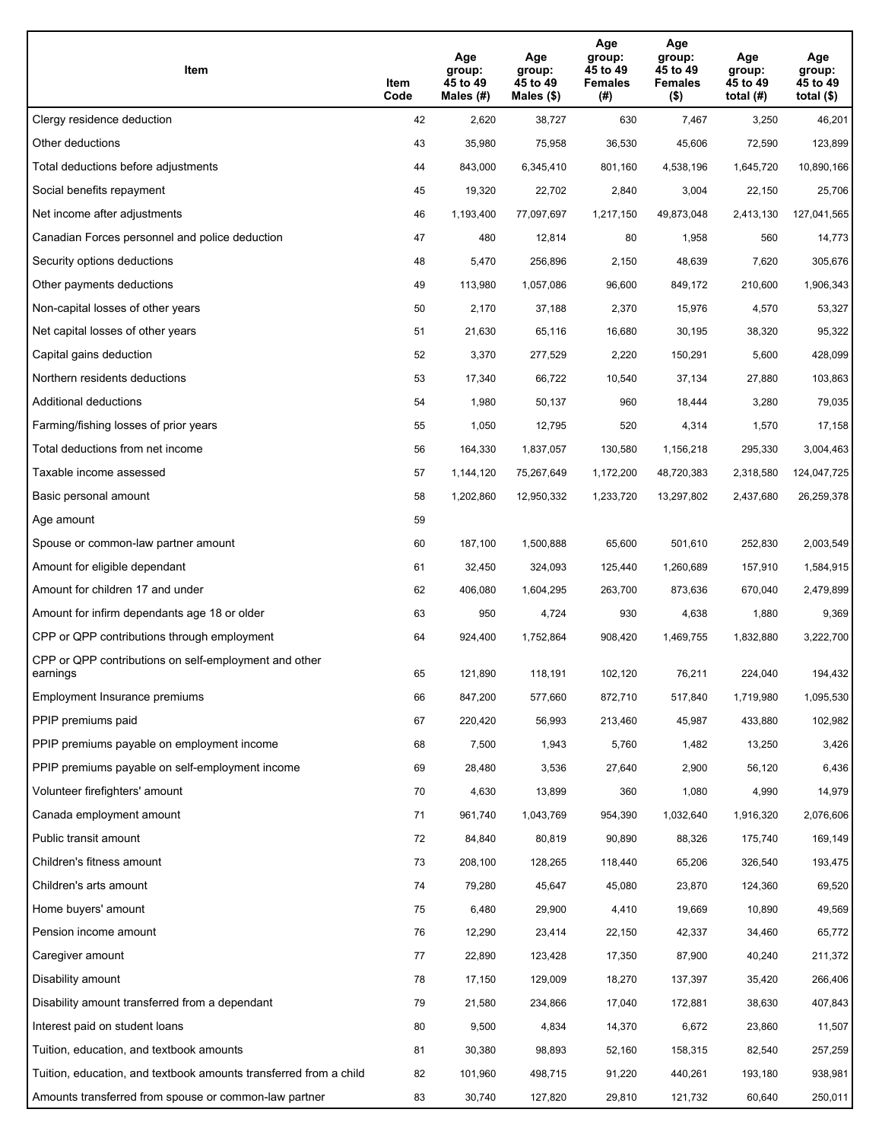| Item                                                              | Item<br>Code | Age<br>group:<br>45 to 49<br>Males (#) | Age<br>group:<br>45 to 49<br>Males (\$) | Age<br>group:<br>45 to 49<br><b>Females</b><br>(#) | Age<br>group:<br>45 to 49<br><b>Females</b><br>$($ \$) | Age<br>group:<br>45 to 49<br>total $(H)$ | Age<br>group:<br>45 to 49<br>total $($)$ |
|-------------------------------------------------------------------|--------------|----------------------------------------|-----------------------------------------|----------------------------------------------------|--------------------------------------------------------|------------------------------------------|------------------------------------------|
| Clergy residence deduction                                        | 42           | 2,620                                  | 38,727                                  | 630                                                | 7,467                                                  | 3,250                                    | 46,201                                   |
| Other deductions                                                  | 43           | 35,980                                 | 75,958                                  | 36,530                                             | 45,606                                                 | 72,590                                   | 123,899                                  |
| Total deductions before adjustments                               | 44           | 843,000                                | 6,345,410                               | 801,160                                            | 4,538,196                                              | 1,645,720                                | 10,890,166                               |
| Social benefits repayment                                         | 45           | 19,320                                 | 22,702                                  | 2,840                                              | 3,004                                                  | 22,150                                   | 25,706                                   |
| Net income after adjustments                                      | 46           | 1,193,400                              | 77,097,697                              | 1,217,150                                          | 49,873,048                                             | 2,413,130                                | 127,041,565                              |
| Canadian Forces personnel and police deduction                    | 47           | 480                                    | 12,814                                  | 80                                                 | 1,958                                                  | 560                                      | 14,773                                   |
| Security options deductions                                       | 48           | 5,470                                  | 256,896                                 | 2,150                                              | 48,639                                                 | 7,620                                    | 305,676                                  |
| Other payments deductions                                         | 49           | 113,980                                | 1,057,086                               | 96,600                                             | 849,172                                                | 210,600                                  | 1,906,343                                |
| Non-capital losses of other years                                 | 50           | 2,170                                  | 37,188                                  | 2,370                                              | 15,976                                                 | 4,570                                    | 53,327                                   |
| Net capital losses of other years                                 | 51           | 21,630                                 | 65,116                                  | 16,680                                             | 30,195                                                 | 38,320                                   | 95,322                                   |
| Capital gains deduction                                           | 52           | 3,370                                  | 277,529                                 | 2,220                                              | 150,291                                                | 5,600                                    | 428,099                                  |
| Northern residents deductions                                     | 53           | 17,340                                 | 66,722                                  | 10,540                                             | 37,134                                                 | 27,880                                   | 103,863                                  |
| Additional deductions                                             | 54           | 1,980                                  | 50,137                                  | 960                                                | 18,444                                                 | 3,280                                    | 79,035                                   |
| Farming/fishing losses of prior years                             | 55           | 1,050                                  | 12,795                                  | 520                                                | 4,314                                                  | 1,570                                    | 17,158                                   |
| Total deductions from net income                                  | 56           | 164,330                                | 1,837,057                               | 130,580                                            | 1,156,218                                              | 295,330                                  | 3,004,463                                |
| Taxable income assessed                                           | 57           | 1,144,120                              | 75,267,649                              | 1,172,200                                          | 48,720,383                                             | 2,318,580                                | 124,047,725                              |
| Basic personal amount                                             | 58           | 1,202,860                              | 12,950,332                              | 1,233,720                                          | 13,297,802                                             | 2,437,680                                | 26,259,378                               |
| Age amount                                                        | 59           |                                        |                                         |                                                    |                                                        |                                          |                                          |
| Spouse or common-law partner amount                               | 60           | 187,100                                | 1,500,888                               | 65,600                                             | 501,610                                                | 252,830                                  | 2,003,549                                |
| Amount for eligible dependant                                     | 61           | 32,450                                 | 324,093                                 | 125,440                                            | 1,260,689                                              | 157,910                                  | 1,584,915                                |
| Amount for children 17 and under                                  | 62           | 406,080                                | 1,604,295                               | 263,700                                            | 873,636                                                | 670,040                                  | 2,479,899                                |
| Amount for infirm dependants age 18 or older                      | 63           | 950                                    | 4,724                                   | 930                                                | 4,638                                                  | 1,880                                    | 9,369                                    |
| CPP or QPP contributions through employment                       | 64           | 924,400                                | 1,752,864                               | 908,420                                            | 1,469,755                                              | 1,832,880                                | 3,222,700                                |
| CPP or QPP contributions on self-employment and other<br>earnings | 65           | 121,890                                | 118,191                                 | 102,120                                            | 76,211                                                 | 224,040                                  | 194,432                                  |
| Employment Insurance premiums                                     | 66           | 847,200                                | 577,660                                 | 872,710                                            | 517,840                                                | 1,719,980                                | 1,095,530                                |
| PPIP premiums paid                                                | 67           | 220,420                                | 56,993                                  | 213,460                                            | 45,987                                                 | 433,880                                  | 102,982                                  |
| PPIP premiums payable on employment income                        | 68           | 7,500                                  | 1,943                                   | 5,760                                              | 1,482                                                  | 13,250                                   | 3,426                                    |
| PPIP premiums payable on self-employment income                   | 69           | 28,480                                 | 3,536                                   | 27,640                                             | 2,900                                                  | 56,120                                   | 6,436                                    |
| Volunteer firefighters' amount                                    | 70           | 4,630                                  | 13,899                                  | 360                                                | 1,080                                                  | 4,990                                    | 14,979                                   |
| Canada employment amount                                          | 71           | 961,740                                | 1,043,769                               | 954,390                                            | 1,032,640                                              | 1,916,320                                | 2,076,606                                |
| Public transit amount                                             | 72           | 84,840                                 | 80,819                                  | 90,890                                             | 88,326                                                 | 175,740                                  | 169,149                                  |
| Children's fitness amount                                         | 73           | 208,100                                | 128,265                                 | 118,440                                            | 65,206                                                 | 326,540                                  | 193,475                                  |
| Children's arts amount                                            | 74           | 79,280                                 | 45,647                                  | 45,080                                             | 23,870                                                 | 124,360                                  | 69,520                                   |
| Home buyers' amount                                               | 75           | 6,480                                  | 29,900                                  | 4,410                                              | 19,669                                                 | 10,890                                   | 49,569                                   |
| Pension income amount                                             | 76           | 12,290                                 | 23,414                                  | 22,150                                             | 42,337                                                 | 34,460                                   | 65,772                                   |
| Caregiver amount                                                  | 77           | 22,890                                 | 123,428                                 | 17,350                                             | 87,900                                                 | 40,240                                   | 211,372                                  |
| Disability amount                                                 | 78           | 17,150                                 | 129,009                                 | 18,270                                             | 137,397                                                | 35,420                                   | 266,406                                  |
| Disability amount transferred from a dependant                    | 79           | 21,580                                 | 234,866                                 | 17,040                                             | 172,881                                                | 38,630                                   | 407,843                                  |
| Interest paid on student loans                                    | 80           | 9,500                                  | 4,834                                   | 14,370                                             | 6,672                                                  | 23,860                                   | 11,507                                   |
| Tuition, education, and textbook amounts                          | 81           | 30,380                                 | 98,893                                  | 52,160                                             | 158,315                                                | 82,540                                   | 257,259                                  |
| Tuition, education, and textbook amounts transferred from a child | 82           | 101,960                                | 498,715                                 | 91,220                                             | 440,261                                                | 193,180                                  | 938,981                                  |
| Amounts transferred from spouse or common-law partner             | 83           | 30,740                                 | 127,820                                 | 29,810                                             | 121,732                                                | 60,640                                   | 250,011                                  |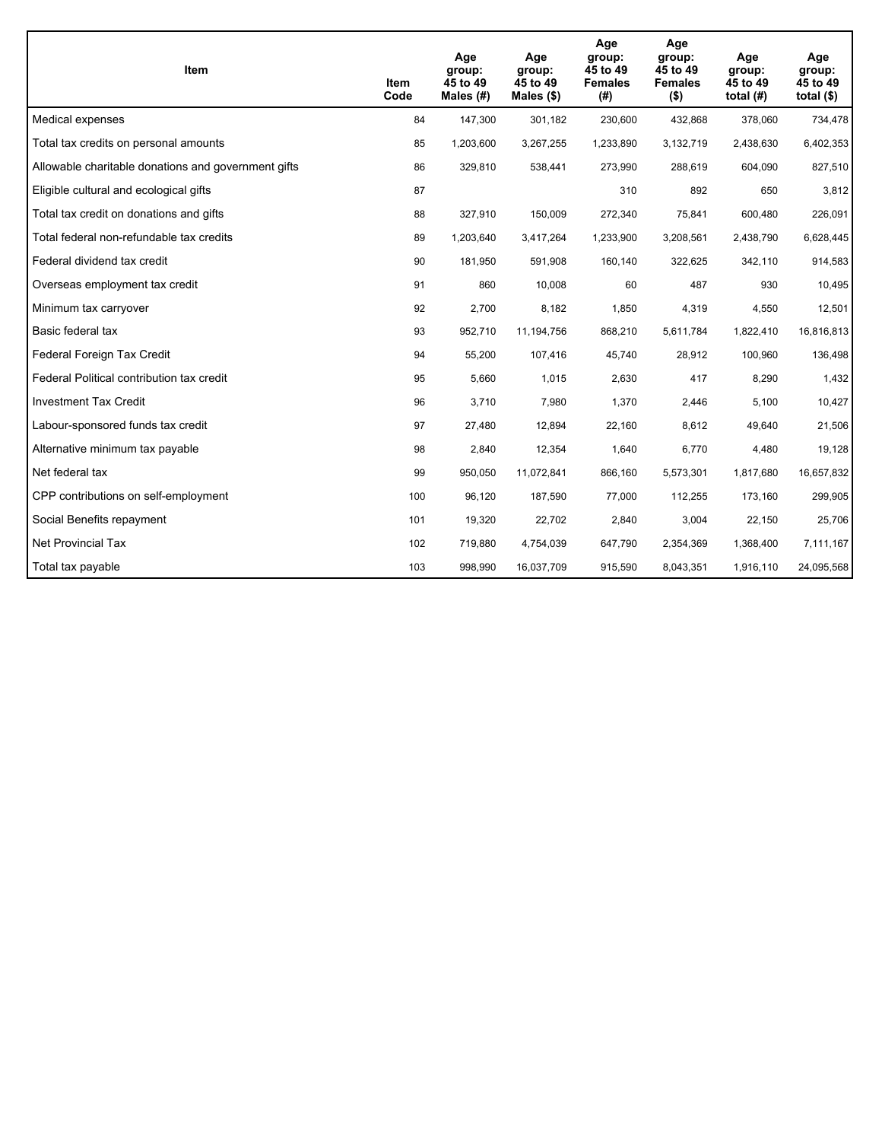| <b>Item</b>                                         | Item<br>Code | Age<br>group:<br>45 to 49<br>Males $(H)$ | Age<br>group:<br>45 to 49<br>Males $(\$)$ | Age<br>group:<br>45 to 49<br><b>Females</b><br>(#) | Age<br>group:<br>45 to 49<br><b>Females</b><br>$($ \$) | Age<br>group:<br>45 to 49<br>total $(H)$ | Age<br>group:<br>45 to 49<br>total $($)$ |
|-----------------------------------------------------|--------------|------------------------------------------|-------------------------------------------|----------------------------------------------------|--------------------------------------------------------|------------------------------------------|------------------------------------------|
| Medical expenses                                    | 84           | 147,300                                  | 301,182                                   | 230,600                                            | 432,868                                                | 378,060                                  | 734,478                                  |
| Total tax credits on personal amounts               | 85           | 1,203,600                                | 3,267,255                                 | 1,233,890                                          | 3,132,719                                              | 2,438,630                                | 6,402,353                                |
| Allowable charitable donations and government gifts | 86           | 329,810                                  | 538,441                                   | 273,990                                            | 288,619                                                | 604,090                                  | 827,510                                  |
| Eligible cultural and ecological gifts              | 87           |                                          |                                           | 310                                                | 892                                                    | 650                                      | 3,812                                    |
| Total tax credit on donations and gifts             | 88           | 327,910                                  | 150,009                                   | 272,340                                            | 75,841                                                 | 600,480                                  | 226,091                                  |
| Total federal non-refundable tax credits            | 89           | 1,203,640                                | 3,417,264                                 | 1,233,900                                          | 3,208,561                                              | 2,438,790                                | 6,628,445                                |
| Federal dividend tax credit                         | 90           | 181,950                                  | 591,908                                   | 160,140                                            | 322,625                                                | 342,110                                  | 914,583                                  |
| Overseas employment tax credit                      | 91           | 860                                      | 10,008                                    | 60                                                 | 487                                                    | 930                                      | 10,495                                   |
| Minimum tax carryover                               | 92           | 2,700                                    | 8,182                                     | 1,850                                              | 4,319                                                  | 4,550                                    | 12,501                                   |
| Basic federal tax                                   | 93           | 952,710                                  | 11,194,756                                | 868,210                                            | 5,611,784                                              | 1,822,410                                | 16,816,813                               |
| Federal Foreign Tax Credit                          | 94           | 55,200                                   | 107,416                                   | 45,740                                             | 28,912                                                 | 100,960                                  | 136,498                                  |
| Federal Political contribution tax credit           | 95           | 5,660                                    | 1,015                                     | 2,630                                              | 417                                                    | 8,290                                    | 1,432                                    |
| <b>Investment Tax Credit</b>                        | 96           | 3,710                                    | 7,980                                     | 1,370                                              | 2,446                                                  | 5,100                                    | 10,427                                   |
| Labour-sponsored funds tax credit                   | 97           | 27,480                                   | 12,894                                    | 22,160                                             | 8,612                                                  | 49,640                                   | 21,506                                   |
| Alternative minimum tax payable                     | 98           | 2,840                                    | 12,354                                    | 1,640                                              | 6,770                                                  | 4,480                                    | 19,128                                   |
| Net federal tax                                     | 99           | 950,050                                  | 11,072,841                                | 866,160                                            | 5,573,301                                              | 1,817,680                                | 16,657,832                               |
| CPP contributions on self-employment                | 100          | 96,120                                   | 187,590                                   | 77,000                                             | 112,255                                                | 173,160                                  | 299,905                                  |
| Social Benefits repayment                           | 101          | 19,320                                   | 22,702                                    | 2,840                                              | 3,004                                                  | 22,150                                   | 25,706                                   |
| <b>Net Provincial Tax</b>                           | 102          | 719,880                                  | 4,754,039                                 | 647,790                                            | 2,354,369                                              | 1,368,400                                | 7,111,167                                |
| Total tax payable                                   | 103          | 998,990                                  | 16,037,709                                | 915,590                                            | 8,043,351                                              | 1,916,110                                | 24,095,568                               |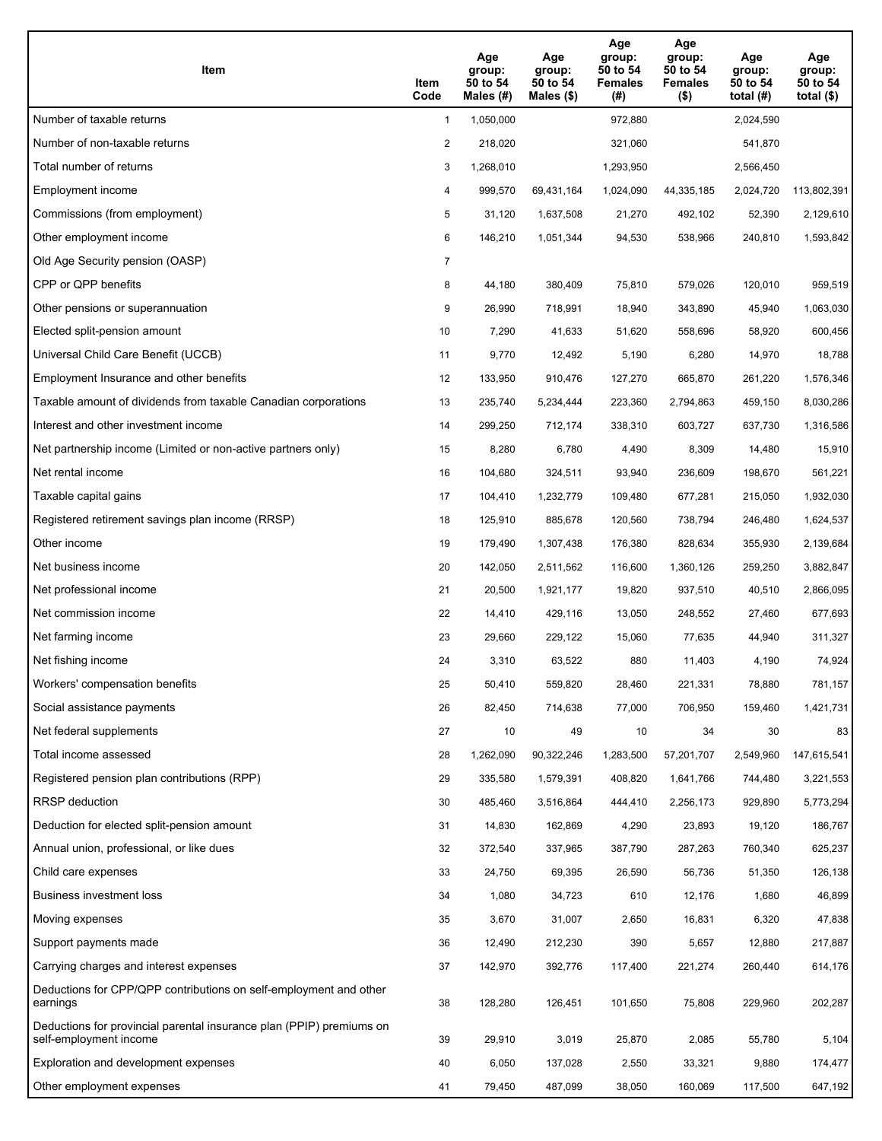| Item                                                                                           | Item<br>Code   | Age<br>group:<br>50 to 54<br>Males (#) | Age<br>group:<br>50 to 54<br>Males $(\$)$ | Age<br>group:<br>50 to 54<br><b>Females</b><br>(# ) | Age<br>group:<br>50 to 54<br><b>Females</b><br>$($ \$) | Age<br>group:<br>50 to 54<br>total $(H)$ | Age<br>group:<br>50 to 54<br>total $($)$ |
|------------------------------------------------------------------------------------------------|----------------|----------------------------------------|-------------------------------------------|-----------------------------------------------------|--------------------------------------------------------|------------------------------------------|------------------------------------------|
| Number of taxable returns                                                                      | $\mathbf{1}$   | 1,050,000                              |                                           | 972.880                                             |                                                        | 2,024,590                                |                                          |
| Number of non-taxable returns                                                                  | 2              | 218,020                                |                                           | 321,060                                             |                                                        | 541,870                                  |                                          |
| Total number of returns                                                                        | 3              | 1,268,010                              |                                           | 1,293,950                                           |                                                        | 2,566,450                                |                                          |
| Employment income                                                                              | 4              | 999,570                                | 69,431,164                                | 1,024,090                                           | 44,335,185                                             | 2,024,720                                | 113,802,391                              |
| Commissions (from employment)                                                                  | 5              | 31,120                                 | 1,637,508                                 | 21,270                                              | 492,102                                                | 52,390                                   | 2,129,610                                |
| Other employment income                                                                        | 6              | 146,210                                | 1,051,344                                 | 94,530                                              | 538,966                                                | 240,810                                  | 1,593,842                                |
| Old Age Security pension (OASP)                                                                | $\overline{7}$ |                                        |                                           |                                                     |                                                        |                                          |                                          |
| CPP or QPP benefits                                                                            | 8              | 44,180                                 | 380,409                                   | 75,810                                              | 579,026                                                | 120,010                                  | 959,519                                  |
| Other pensions or superannuation                                                               | 9              | 26,990                                 | 718,991                                   | 18,940                                              | 343,890                                                | 45,940                                   | 1,063,030                                |
| Elected split-pension amount                                                                   | 10             | 7,290                                  | 41,633                                    | 51,620                                              | 558,696                                                | 58,920                                   | 600,456                                  |
| Universal Child Care Benefit (UCCB)                                                            | 11             | 9,770                                  | 12,492                                    | 5,190                                               | 6,280                                                  | 14,970                                   | 18,788                                   |
| Employment Insurance and other benefits                                                        | 12             | 133,950                                | 910,476                                   | 127,270                                             | 665,870                                                | 261,220                                  | 1,576,346                                |
| Taxable amount of dividends from taxable Canadian corporations                                 | 13             | 235,740                                | 5,234,444                                 | 223,360                                             | 2,794,863                                              | 459,150                                  | 8,030,286                                |
| Interest and other investment income                                                           | 14             | 299,250                                | 712,174                                   | 338,310                                             | 603,727                                                | 637,730                                  | 1,316,586                                |
| Net partnership income (Limited or non-active partners only)                                   | 15             | 8,280                                  | 6,780                                     | 4,490                                               | 8,309                                                  | 14,480                                   | 15,910                                   |
| Net rental income                                                                              | 16             | 104,680                                | 324,511                                   | 93,940                                              | 236,609                                                | 198,670                                  | 561,221                                  |
| Taxable capital gains                                                                          | 17             | 104,410                                | 1,232,779                                 | 109,480                                             | 677,281                                                | 215,050                                  | 1,932,030                                |
| Registered retirement savings plan income (RRSP)                                               | 18             | 125,910                                | 885,678                                   | 120,560                                             | 738,794                                                | 246,480                                  | 1,624,537                                |
| Other income                                                                                   | 19             | 179,490                                | 1,307,438                                 | 176,380                                             | 828,634                                                | 355,930                                  | 2,139,684                                |
| Net business income                                                                            | 20             | 142,050                                | 2,511,562                                 | 116,600                                             | 1,360,126                                              | 259,250                                  | 3,882,847                                |
| Net professional income                                                                        | 21             | 20,500                                 | 1,921,177                                 | 19,820                                              | 937,510                                                | 40,510                                   | 2,866,095                                |
| Net commission income                                                                          | 22             | 14,410                                 | 429,116                                   | 13,050                                              | 248,552                                                | 27,460                                   | 677,693                                  |
| Net farming income                                                                             | 23             | 29,660                                 | 229,122                                   | 15,060                                              | 77,635                                                 | 44,940                                   | 311,327                                  |
| Net fishing income                                                                             | 24             | 3,310                                  | 63,522                                    | 880                                                 | 11,403                                                 | 4,190                                    | 74,924                                   |
| Workers' compensation benefits                                                                 | 25             | 50,410                                 | 559,820                                   | 28,460                                              | 221,331                                                | 78,880                                   | 781,157                                  |
| Social assistance payments                                                                     | 26             | 82,450                                 | 714,638                                   | 77,000                                              | 706,950                                                | 159,460                                  | 1,421,731                                |
| Net federal supplements                                                                        | 27             | 10                                     | 49                                        | 10                                                  | 34                                                     | 30                                       | 83                                       |
| Total income assessed                                                                          | 28             | 1,262,090                              | 90,322,246                                | 1,283,500                                           | 57,201,707                                             | 2,549,960                                | 147,615,541                              |
| Registered pension plan contributions (RPP)                                                    | 29             | 335,580                                | 1,579,391                                 | 408,820                                             | 1,641,766                                              | 744,480                                  | 3,221,553                                |
| RRSP deduction                                                                                 | 30             | 485,460                                | 3,516,864                                 | 444,410                                             | 2,256,173                                              | 929,890                                  | 5,773,294                                |
| Deduction for elected split-pension amount                                                     | 31             | 14,830                                 | 162,869                                   | 4,290                                               | 23,893                                                 | 19,120                                   | 186,767                                  |
| Annual union, professional, or like dues                                                       | 32             | 372,540                                | 337,965                                   | 387,790                                             | 287,263                                                | 760,340                                  | 625,237                                  |
| Child care expenses                                                                            | 33             | 24,750                                 | 69,395                                    | 26,590                                              | 56,736                                                 | 51,350                                   | 126,138                                  |
| Business investment loss                                                                       | 34             | 1,080                                  | 34,723                                    | 610                                                 | 12,176                                                 | 1,680                                    | 46,899                                   |
| Moving expenses                                                                                | 35             | 3,670                                  | 31,007                                    | 2,650                                               | 16,831                                                 | 6,320                                    | 47,838                                   |
| Support payments made                                                                          | 36             | 12,490                                 | 212,230                                   | 390                                                 | 5,657                                                  | 12,880                                   | 217,887                                  |
| Carrying charges and interest expenses                                                         | 37             | 142,970                                | 392,776                                   | 117,400                                             | 221,274                                                | 260,440                                  | 614,176                                  |
| Deductions for CPP/QPP contributions on self-employment and other<br>earnings                  | 38             | 128,280                                | 126,451                                   | 101,650                                             | 75,808                                                 | 229,960                                  | 202,287                                  |
| Deductions for provincial parental insurance plan (PPIP) premiums on<br>self-employment income | 39             | 29,910                                 | 3,019                                     | 25,870                                              | 2,085                                                  | 55,780                                   | 5,104                                    |
| Exploration and development expenses                                                           | 40             | 6,050                                  | 137,028                                   | 2,550                                               | 33,321                                                 | 9,880                                    | 174,477                                  |
| Other employment expenses                                                                      | 41             | 79,450                                 | 487,099                                   | 38,050                                              | 160,069                                                | 117,500                                  | 647,192                                  |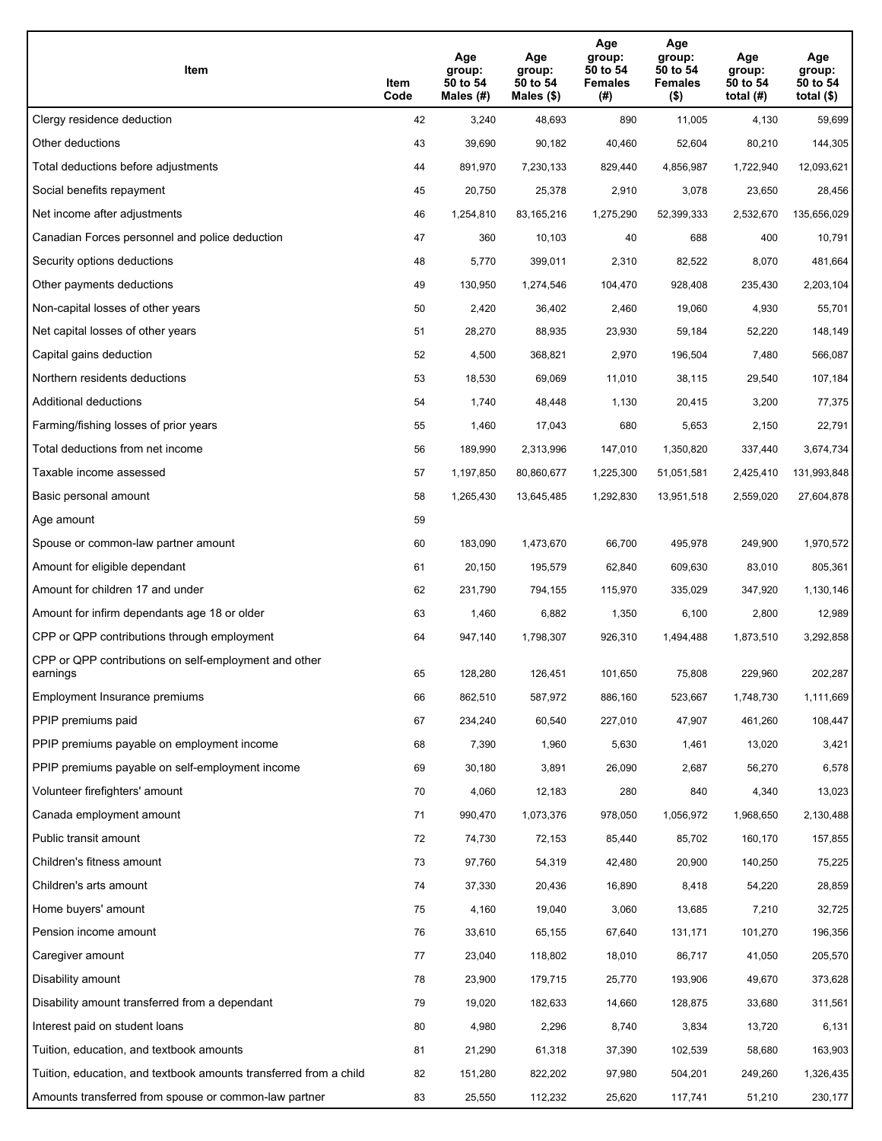| Item                                                              | Item<br>Code | Age<br>group:<br>50 to 54<br>Males (#) | Age<br>group:<br>50 to 54<br>Males (\$) | Age<br>group:<br>50 to 54<br><b>Females</b><br>(#) | Age<br>group:<br>50 to 54<br><b>Females</b><br>$($ \$) | Age<br>group:<br>50 to 54<br>total $(H)$ | Age<br>group:<br>50 to 54<br>total $($)$ |
|-------------------------------------------------------------------|--------------|----------------------------------------|-----------------------------------------|----------------------------------------------------|--------------------------------------------------------|------------------------------------------|------------------------------------------|
| Clergy residence deduction                                        | 42           | 3,240                                  | 48,693                                  | 890                                                | 11,005                                                 | 4,130                                    | 59,699                                   |
| Other deductions                                                  | 43           | 39,690                                 | 90,182                                  | 40,460                                             | 52,604                                                 | 80,210                                   | 144,305                                  |
| Total deductions before adjustments                               | 44           | 891,970                                | 7,230,133                               | 829,440                                            | 4,856,987                                              | 1,722,940                                | 12,093,621                               |
| Social benefits repayment                                         | 45           | 20,750                                 | 25,378                                  | 2,910                                              | 3,078                                                  | 23,650                                   | 28,456                                   |
| Net income after adjustments                                      | 46           | 1,254,810                              | 83,165,216                              | 1,275,290                                          | 52,399,333                                             | 2,532,670                                | 135,656,029                              |
| Canadian Forces personnel and police deduction                    | 47           | 360                                    | 10,103                                  | 40                                                 | 688                                                    | 400                                      | 10,791                                   |
| Security options deductions                                       | 48           | 5,770                                  | 399,011                                 | 2,310                                              | 82,522                                                 | 8,070                                    | 481,664                                  |
| Other payments deductions                                         | 49           | 130,950                                | 1,274,546                               | 104,470                                            | 928,408                                                | 235,430                                  | 2,203,104                                |
| Non-capital losses of other years                                 | 50           | 2,420                                  | 36,402                                  | 2,460                                              | 19,060                                                 | 4,930                                    | 55,701                                   |
| Net capital losses of other years                                 | 51           | 28,270                                 | 88,935                                  | 23,930                                             | 59,184                                                 | 52,220                                   | 148,149                                  |
| Capital gains deduction                                           | 52           | 4,500                                  | 368,821                                 | 2,970                                              | 196,504                                                | 7,480                                    | 566,087                                  |
| Northern residents deductions                                     | 53           | 18,530                                 | 69,069                                  | 11,010                                             | 38,115                                                 | 29,540                                   | 107,184                                  |
| Additional deductions                                             | 54           | 1,740                                  | 48,448                                  | 1,130                                              | 20,415                                                 | 3,200                                    | 77,375                                   |
| Farming/fishing losses of prior years                             | 55           | 1,460                                  | 17,043                                  | 680                                                | 5,653                                                  | 2,150                                    | 22,791                                   |
| Total deductions from net income                                  | 56           | 189,990                                | 2,313,996                               | 147,010                                            | 1,350,820                                              | 337,440                                  | 3,674,734                                |
| Taxable income assessed                                           | 57           | 1,197,850                              | 80,860,677                              | 1,225,300                                          | 51,051,581                                             | 2,425,410                                | 131,993,848                              |
| Basic personal amount                                             | 58           | 1,265,430                              | 13,645,485                              | 1,292,830                                          | 13,951,518                                             | 2,559,020                                | 27,604,878                               |
| Age amount                                                        | 59           |                                        |                                         |                                                    |                                                        |                                          |                                          |
| Spouse or common-law partner amount                               | 60           | 183,090                                | 1,473,670                               | 66,700                                             | 495,978                                                | 249,900                                  | 1,970,572                                |
| Amount for eligible dependant                                     | 61           | 20,150                                 | 195,579                                 | 62,840                                             | 609,630                                                | 83,010                                   | 805,361                                  |
| Amount for children 17 and under                                  | 62           | 231,790                                | 794,155                                 | 115,970                                            | 335,029                                                | 347,920                                  | 1,130,146                                |
| Amount for infirm dependants age 18 or older                      | 63           | 1,460                                  | 6,882                                   | 1,350                                              | 6,100                                                  | 2,800                                    | 12,989                                   |
| CPP or QPP contributions through employment                       | 64           | 947,140                                | 1,798,307                               | 926,310                                            | 1,494,488                                              | 1,873,510                                | 3,292,858                                |
| CPP or QPP contributions on self-employment and other<br>earnings | 65           | 128,280                                | 126,451                                 | 101,650                                            | 75,808                                                 | 229,960                                  | 202,287                                  |
| Employment Insurance premiums                                     | 66           | 862,510                                | 587,972                                 | 886,160                                            | 523,667                                                | 1,748,730                                | 1,111,669                                |
| PPIP premiums paid                                                | 67           | 234,240                                | 60,540                                  | 227,010                                            | 47,907                                                 | 461,260                                  | 108,447                                  |
| PPIP premiums payable on employment income                        | 68           | 7,390                                  | 1,960                                   | 5,630                                              | 1,461                                                  | 13,020                                   | 3,421                                    |
| PPIP premiums payable on self-employment income                   | 69           | 30,180                                 | 3,891                                   | 26,090                                             | 2,687                                                  | 56,270                                   | 6,578                                    |
| Volunteer firefighters' amount                                    | 70           | 4,060                                  | 12,183                                  | 280                                                | 840                                                    | 4,340                                    | 13,023                                   |
| Canada employment amount                                          | 71           | 990,470                                | 1,073,376                               | 978,050                                            | 1,056,972                                              | 1,968,650                                | 2,130,488                                |
| Public transit amount                                             | 72           | 74,730                                 | 72,153                                  | 85,440                                             | 85,702                                                 | 160,170                                  | 157,855                                  |
| Children's fitness amount                                         | 73           | 97,760                                 | 54,319                                  | 42,480                                             | 20,900                                                 | 140,250                                  | 75,225                                   |
| Children's arts amount                                            | 74           | 37,330                                 | 20,436                                  | 16,890                                             | 8,418                                                  | 54,220                                   | 28,859                                   |
| Home buyers' amount                                               | 75           | 4,160                                  | 19,040                                  | 3,060                                              | 13,685                                                 | 7,210                                    | 32,725                                   |
| Pension income amount                                             | 76           | 33,610                                 | 65,155                                  | 67,640                                             | 131,171                                                | 101,270                                  | 196,356                                  |
| Caregiver amount                                                  | 77           | 23,040                                 | 118,802                                 | 18,010                                             | 86,717                                                 | 41,050                                   | 205,570                                  |
| Disability amount                                                 | 78           | 23,900                                 | 179,715                                 | 25,770                                             | 193,906                                                | 49,670                                   | 373,628                                  |
| Disability amount transferred from a dependant                    | 79           | 19,020                                 | 182,633                                 | 14,660                                             | 128,875                                                | 33,680                                   | 311,561                                  |
| Interest paid on student loans                                    | 80           | 4,980                                  | 2,296                                   | 8,740                                              | 3,834                                                  | 13,720                                   | 6,131                                    |
| Tuition, education, and textbook amounts                          | 81           | 21,290                                 | 61,318                                  | 37,390                                             | 102,539                                                | 58,680                                   | 163,903                                  |
| Tuition, education, and textbook amounts transferred from a child | 82           | 151,280                                | 822,202                                 | 97,980                                             | 504,201                                                | 249,260                                  | 1,326,435                                |
| Amounts transferred from spouse or common-law partner             | 83           | 25,550                                 | 112,232                                 | 25,620                                             | 117,741                                                | 51,210                                   | 230,177                                  |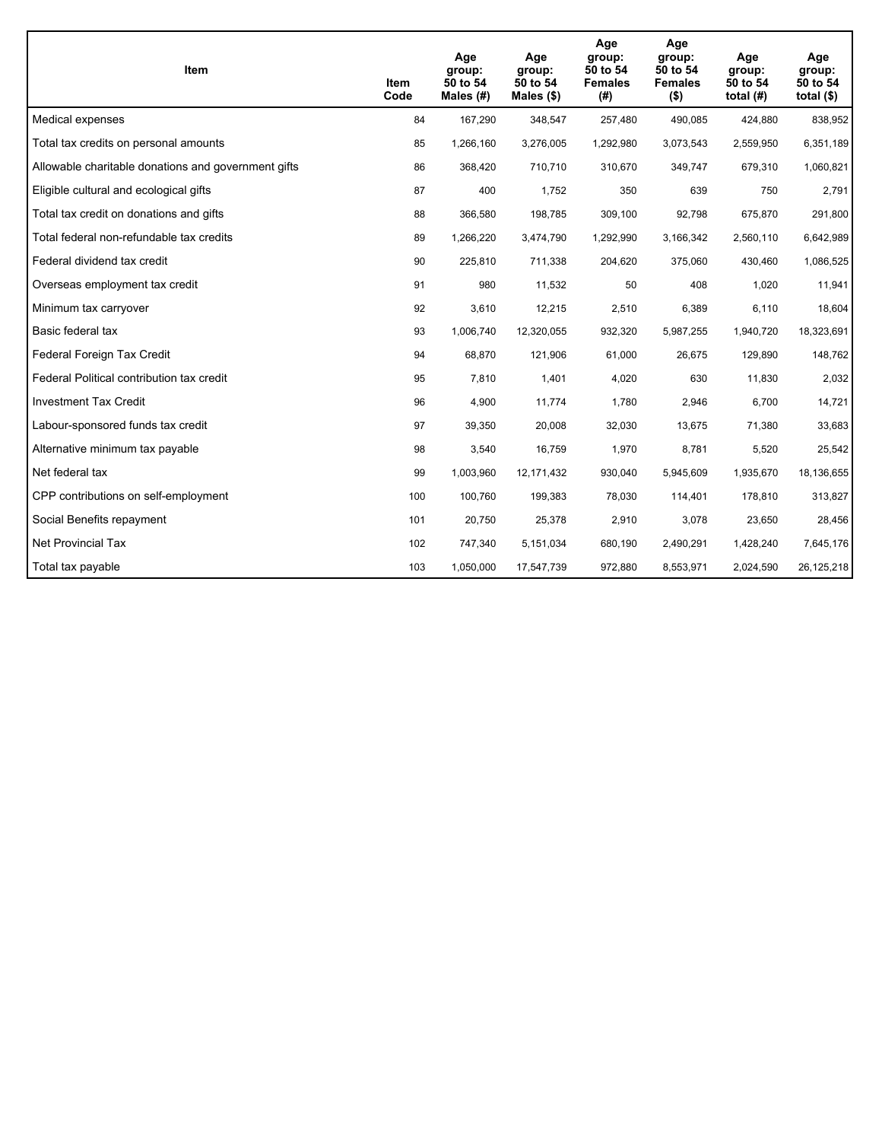| <b>Item</b>                                         | <b>Item</b><br>Code | Age<br>group:<br>50 to 54<br>Males $(H)$ | Age<br>group:<br>50 to 54<br>Males $(\$)$ | Age<br>group:<br>50 to 54<br><b>Females</b><br>(# ) | Age<br>group:<br>50 to 54<br><b>Females</b><br>$($ \$) | Age<br>group:<br>50 to 54<br>total $(H)$ | Age<br>group:<br>50 to 54<br>total $($)$ |
|-----------------------------------------------------|---------------------|------------------------------------------|-------------------------------------------|-----------------------------------------------------|--------------------------------------------------------|------------------------------------------|------------------------------------------|
| Medical expenses                                    | 84                  | 167,290                                  | 348,547                                   | 257,480                                             | 490,085                                                | 424,880                                  | 838,952                                  |
| Total tax credits on personal amounts               | 85                  | 1,266,160                                | 3,276,005                                 | 1,292,980                                           | 3,073,543                                              | 2,559,950                                | 6,351,189                                |
| Allowable charitable donations and government gifts | 86                  | 368,420                                  | 710,710                                   | 310,670                                             | 349,747                                                | 679,310                                  | 1,060,821                                |
| Eligible cultural and ecological gifts              | 87                  | 400                                      | 1,752                                     | 350                                                 | 639                                                    | 750                                      | 2,791                                    |
| Total tax credit on donations and gifts             | 88                  | 366,580                                  | 198,785                                   | 309.100                                             | 92,798                                                 | 675,870                                  | 291,800                                  |
| Total federal non-refundable tax credits            | 89                  | 1,266,220                                | 3,474,790                                 | 1,292,990                                           | 3,166,342                                              | 2,560,110                                | 6,642,989                                |
| Federal dividend tax credit                         | 90                  | 225,810                                  | 711,338                                   | 204,620                                             | 375,060                                                | 430,460                                  | 1,086,525                                |
| Overseas employment tax credit                      | 91                  | 980                                      | 11,532                                    | 50                                                  | 408                                                    | 1,020                                    | 11,941                                   |
| Minimum tax carryover                               | 92                  | 3,610                                    | 12,215                                    | 2,510                                               | 6,389                                                  | 6,110                                    | 18,604                                   |
| Basic federal tax                                   | 93                  | 1,006,740                                | 12,320,055                                | 932,320                                             | 5,987,255                                              | 1,940,720                                | 18,323,691                               |
| Federal Foreign Tax Credit                          | 94                  | 68,870                                   | 121,906                                   | 61,000                                              | 26,675                                                 | 129,890                                  | 148,762                                  |
| Federal Political contribution tax credit           | 95                  | 7,810                                    | 1,401                                     | 4,020                                               | 630                                                    | 11,830                                   | 2,032                                    |
| <b>Investment Tax Credit</b>                        | 96                  | 4,900                                    | 11,774                                    | 1.780                                               | 2,946                                                  | 6,700                                    | 14,721                                   |
| Labour-sponsored funds tax credit                   | 97                  | 39,350                                   | 20,008                                    | 32,030                                              | 13,675                                                 | 71,380                                   | 33,683                                   |
| Alternative minimum tax payable                     | 98                  | 3,540                                    | 16,759                                    | 1,970                                               | 8,781                                                  | 5,520                                    | 25,542                                   |
| Net federal tax                                     | 99                  | 1,003,960                                | 12,171,432                                | 930,040                                             | 5,945,609                                              | 1,935,670                                | 18,136,655                               |
| CPP contributions on self-employment                | 100                 | 100,760                                  | 199,383                                   | 78,030                                              | 114,401                                                | 178,810                                  | 313,827                                  |
| Social Benefits repayment                           | 101                 | 20,750                                   | 25,378                                    | 2,910                                               | 3,078                                                  | 23,650                                   | 28,456                                   |
| Net Provincial Tax                                  | 102                 | 747,340                                  | 5,151,034                                 | 680,190                                             | 2,490,291                                              | 1,428,240                                | 7,645,176                                |
| Total tax payable                                   | 103                 | 1,050,000                                | 17,547,739                                | 972,880                                             | 8,553,971                                              | 2,024,590                                | 26,125,218                               |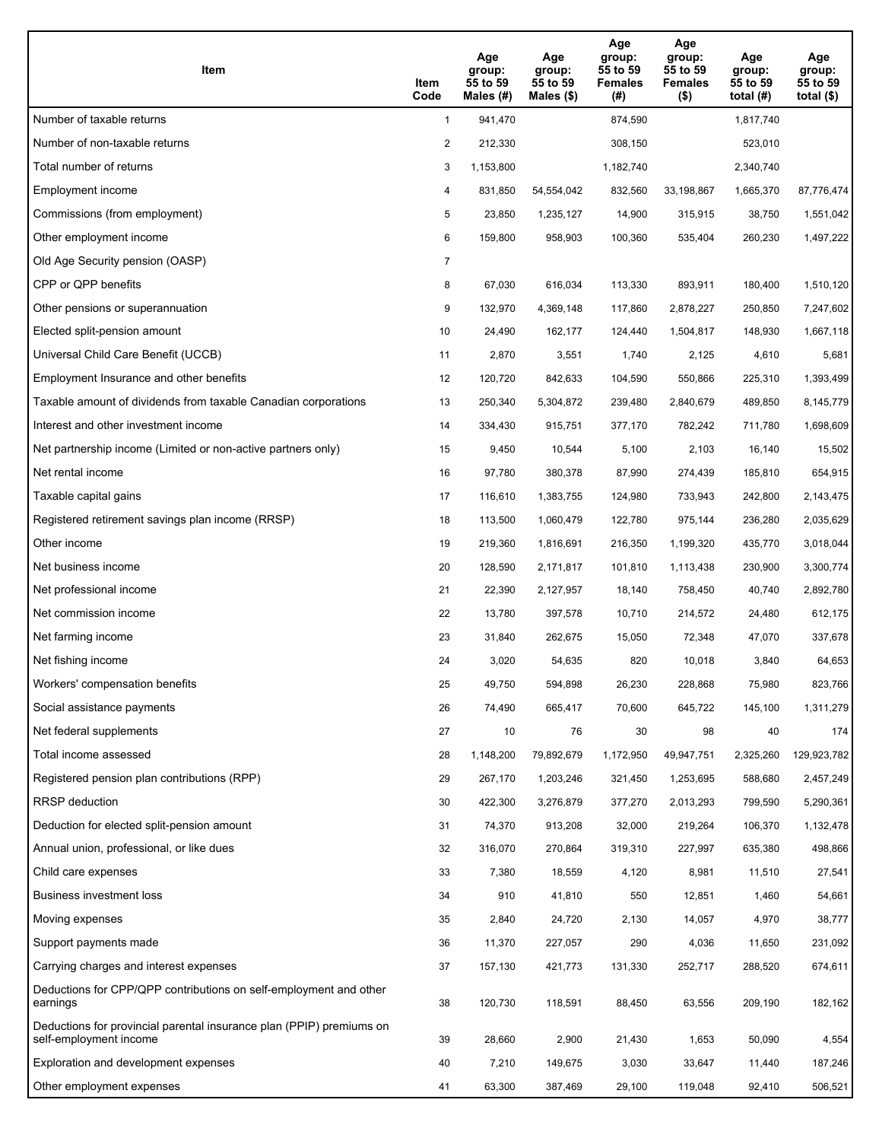| Item                                                                                           | Item<br>Code   | Age<br>group:<br>55 to 59<br>Males (#) | Age<br>group:<br>55 to 59<br>Males $(\$)$ | Age<br>group:<br>55 to 59<br><b>Females</b><br>(# ) | Age<br>group:<br>55 to 59<br><b>Females</b><br>$($ \$) | Age<br>group:<br>55 to 59<br>total $(H)$ | Age<br>group:<br>55 to 59<br>total $($)$ |
|------------------------------------------------------------------------------------------------|----------------|----------------------------------------|-------------------------------------------|-----------------------------------------------------|--------------------------------------------------------|------------------------------------------|------------------------------------------|
| Number of taxable returns                                                                      | $\mathbf{1}$   | 941,470                                |                                           | 874,590                                             |                                                        | 1,817,740                                |                                          |
| Number of non-taxable returns                                                                  | 2              | 212,330                                |                                           | 308,150                                             |                                                        | 523,010                                  |                                          |
| Total number of returns                                                                        | 3              | 1,153,800                              |                                           | 1,182,740                                           |                                                        | 2,340,740                                |                                          |
| Employment income                                                                              | 4              | 831,850                                | 54,554,042                                | 832,560                                             | 33,198,867                                             | 1,665,370                                | 87,776,474                               |
| Commissions (from employment)                                                                  | 5              | 23,850                                 | 1,235,127                                 | 14,900                                              | 315,915                                                | 38,750                                   | 1,551,042                                |
| Other employment income                                                                        | 6              | 159,800                                | 958,903                                   | 100,360                                             | 535,404                                                | 260,230                                  | 1,497,222                                |
| Old Age Security pension (OASP)                                                                | $\overline{7}$ |                                        |                                           |                                                     |                                                        |                                          |                                          |
| CPP or QPP benefits                                                                            | 8              | 67,030                                 | 616,034                                   | 113,330                                             | 893,911                                                | 180,400                                  | 1,510,120                                |
| Other pensions or superannuation                                                               | 9              | 132,970                                | 4,369,148                                 | 117,860                                             | 2,878,227                                              | 250,850                                  | 7,247,602                                |
| Elected split-pension amount                                                                   | 10             | 24,490                                 | 162,177                                   | 124,440                                             | 1,504,817                                              | 148,930                                  | 1,667,118                                |
| Universal Child Care Benefit (UCCB)                                                            | 11             | 2,870                                  | 3,551                                     | 1,740                                               | 2,125                                                  | 4,610                                    | 5,681                                    |
| Employment Insurance and other benefits                                                        | 12             | 120,720                                | 842,633                                   | 104,590                                             | 550,866                                                | 225,310                                  | 1,393,499                                |
| Taxable amount of dividends from taxable Canadian corporations                                 | 13             | 250,340                                | 5,304,872                                 | 239,480                                             | 2,840,679                                              | 489,850                                  | 8,145,779                                |
| Interest and other investment income                                                           | 14             | 334,430                                | 915,751                                   | 377,170                                             | 782,242                                                | 711,780                                  | 1,698,609                                |
| Net partnership income (Limited or non-active partners only)                                   | 15             | 9,450                                  | 10,544                                    | 5,100                                               | 2,103                                                  | 16,140                                   | 15,502                                   |
| Net rental income                                                                              | 16             | 97,780                                 | 380,378                                   | 87,990                                              | 274,439                                                | 185,810                                  | 654,915                                  |
| Taxable capital gains                                                                          | 17             | 116,610                                | 1,383,755                                 | 124,980                                             | 733,943                                                | 242,800                                  | 2,143,475                                |
| Registered retirement savings plan income (RRSP)                                               | 18             | 113,500                                | 1,060,479                                 | 122,780                                             | 975,144                                                | 236,280                                  | 2,035,629                                |
| Other income                                                                                   | 19             | 219,360                                | 1,816,691                                 | 216,350                                             | 1,199,320                                              | 435,770                                  | 3,018,044                                |
| Net business income                                                                            | 20             | 128,590                                | 2,171,817                                 | 101,810                                             | 1,113,438                                              | 230,900                                  | 3,300,774                                |
| Net professional income                                                                        | 21             | 22,390                                 | 2,127,957                                 | 18,140                                              | 758,450                                                | 40,740                                   | 2,892,780                                |
| Net commission income                                                                          | 22             | 13,780                                 | 397,578                                   | 10,710                                              | 214,572                                                | 24,480                                   | 612,175                                  |
| Net farming income                                                                             | 23             | 31,840                                 | 262,675                                   | 15,050                                              | 72,348                                                 | 47,070                                   | 337,678                                  |
| Net fishing income                                                                             | 24             | 3,020                                  | 54,635                                    | 820                                                 | 10,018                                                 | 3,840                                    | 64,653                                   |
| Workers' compensation benefits                                                                 | 25             | 49,750                                 | 594,898                                   | 26,230                                              | 228,868                                                | 75,980                                   | 823,766                                  |
| Social assistance payments                                                                     | 26             | 74,490                                 | 665,417                                   | 70,600                                              | 645,722                                                | 145,100                                  | 1,311,279                                |
| Net federal supplements                                                                        | 27             | 10                                     | 76                                        | 30                                                  | 98                                                     | 40                                       | 174                                      |
| Total income assessed                                                                          | 28             | 1,148,200                              | 79,892,679                                | 1,172,950                                           | 49,947,751                                             | 2,325,260                                | 129,923,782                              |
| Registered pension plan contributions (RPP)                                                    | 29             | 267,170                                | 1,203,246                                 | 321,450                                             | 1,253,695                                              | 588,680                                  | 2,457,249                                |
| RRSP deduction                                                                                 | 30             | 422,300                                | 3,276,879                                 | 377,270                                             | 2,013,293                                              | 799,590                                  | 5,290,361                                |
| Deduction for elected split-pension amount                                                     | 31             | 74,370                                 | 913,208                                   | 32,000                                              | 219,264                                                | 106,370                                  | 1,132,478                                |
| Annual union, professional, or like dues                                                       | 32             | 316,070                                | 270,864                                   | 319,310                                             | 227,997                                                | 635,380                                  | 498,866                                  |
| Child care expenses                                                                            | 33             | 7,380                                  | 18,559                                    | 4,120                                               | 8,981                                                  | 11,510                                   | 27,541                                   |
| <b>Business investment loss</b>                                                                | 34             | 910                                    | 41,810                                    | 550                                                 | 12,851                                                 | 1,460                                    | 54,661                                   |
| Moving expenses                                                                                | 35             | 2,840                                  | 24,720                                    | 2,130                                               | 14,057                                                 | 4,970                                    | 38,777                                   |
| Support payments made                                                                          | 36             | 11,370                                 | 227,057                                   | 290                                                 | 4,036                                                  | 11,650                                   | 231,092                                  |
| Carrying charges and interest expenses                                                         | 37             | 157,130                                | 421,773                                   | 131,330                                             | 252,717                                                | 288,520                                  | 674,611                                  |
| Deductions for CPP/QPP contributions on self-employment and other<br>earnings                  | 38             | 120,730                                | 118,591                                   | 88,450                                              | 63,556                                                 | 209,190                                  | 182,162                                  |
| Deductions for provincial parental insurance plan (PPIP) premiums on<br>self-employment income | 39             | 28,660                                 | 2,900                                     | 21,430                                              | 1,653                                                  | 50,090                                   | 4,554                                    |
| Exploration and development expenses                                                           | 40             | 7,210                                  | 149,675                                   | 3,030                                               | 33,647                                                 | 11,440                                   | 187,246                                  |
| Other employment expenses                                                                      | 41             | 63,300                                 | 387,469                                   | 29,100                                              | 119,048                                                | 92,410                                   | 506,521                                  |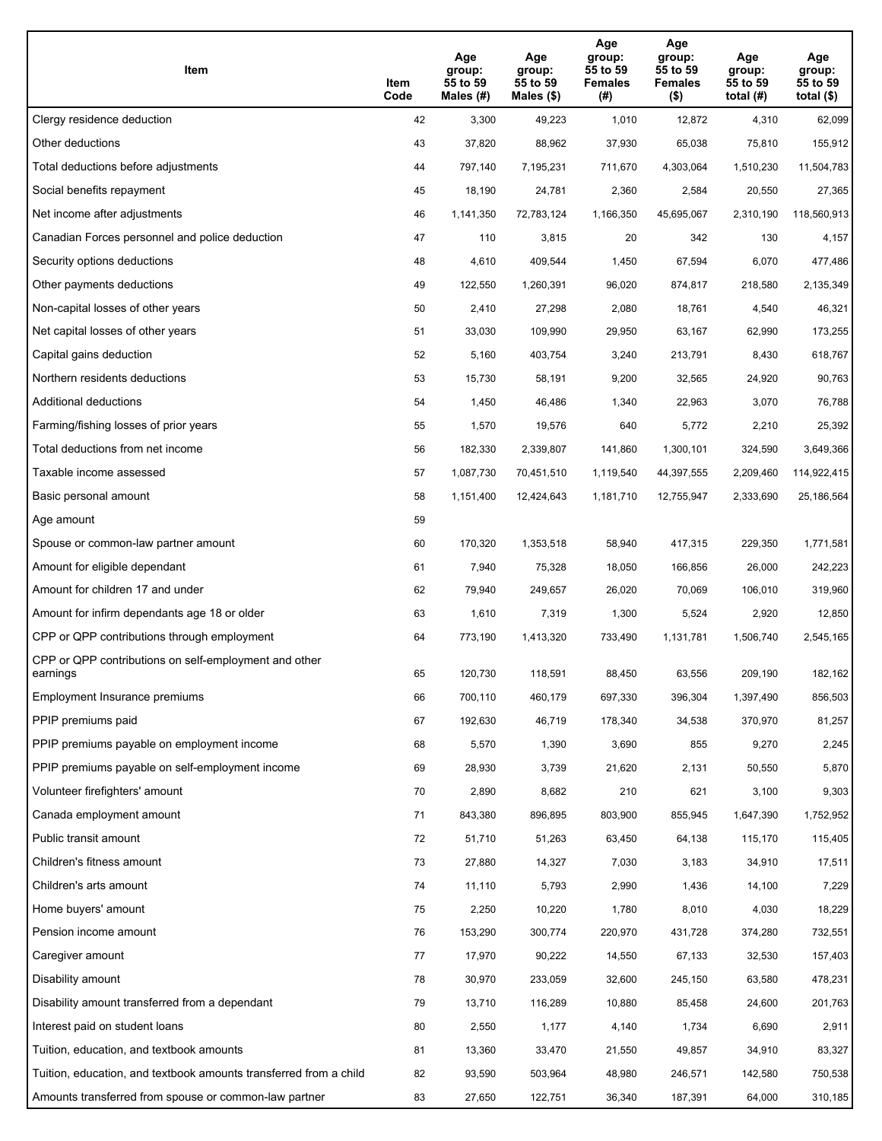| Item                                                              | Item<br>Code | Age<br>group:<br>55 to 59<br>Males (#) | Age<br>group:<br>55 to 59<br>Males (\$) | Age<br>group:<br>55 to 59<br><b>Females</b><br>(#) | Age<br>group:<br>55 to 59<br><b>Females</b><br>$($ \$) | Age<br>group:<br>55 to 59<br>total $(H)$ | Age<br>group:<br>55 to 59<br>total $($)$ |
|-------------------------------------------------------------------|--------------|----------------------------------------|-----------------------------------------|----------------------------------------------------|--------------------------------------------------------|------------------------------------------|------------------------------------------|
| Clergy residence deduction                                        | 42           | 3,300                                  | 49,223                                  | 1,010                                              | 12,872                                                 | 4,310                                    | 62,099                                   |
| Other deductions                                                  | 43           | 37,820                                 | 88,962                                  | 37,930                                             | 65,038                                                 | 75,810                                   | 155,912                                  |
| Total deductions before adjustments                               | 44           | 797,140                                | 7,195,231                               | 711,670                                            | 4,303,064                                              | 1,510,230                                | 11,504,783                               |
| Social benefits repayment                                         | 45           | 18,190                                 | 24,781                                  | 2,360                                              | 2,584                                                  | 20,550                                   | 27,365                                   |
| Net income after adjustments                                      | 46           | 1,141,350                              | 72,783,124                              | 1,166,350                                          | 45,695,067                                             | 2,310,190                                | 118,560,913                              |
| Canadian Forces personnel and police deduction                    | 47           | 110                                    | 3,815                                   | 20                                                 | 342                                                    | 130                                      | 4,157                                    |
| Security options deductions                                       | 48           | 4,610                                  | 409,544                                 | 1,450                                              | 67,594                                                 | 6,070                                    | 477,486                                  |
| Other payments deductions                                         | 49           | 122,550                                | 1,260,391                               | 96,020                                             | 874,817                                                | 218,580                                  | 2,135,349                                |
| Non-capital losses of other years                                 | 50           | 2,410                                  | 27,298                                  | 2,080                                              | 18,761                                                 | 4,540                                    | 46,321                                   |
| Net capital losses of other years                                 | 51           | 33,030                                 | 109,990                                 | 29,950                                             | 63,167                                                 | 62,990                                   | 173,255                                  |
| Capital gains deduction                                           | 52           | 5,160                                  | 403,754                                 | 3,240                                              | 213,791                                                | 8,430                                    | 618,767                                  |
| Northern residents deductions                                     | 53           | 15,730                                 | 58,191                                  | 9,200                                              | 32,565                                                 | 24,920                                   | 90,763                                   |
| Additional deductions                                             | 54           | 1,450                                  | 46,486                                  | 1,340                                              | 22,963                                                 | 3,070                                    | 76,788                                   |
| Farming/fishing losses of prior years                             | 55           | 1,570                                  | 19,576                                  | 640                                                | 5,772                                                  | 2,210                                    | 25,392                                   |
| Total deductions from net income                                  | 56           | 182,330                                | 2,339,807                               | 141,860                                            | 1,300,101                                              | 324,590                                  | 3,649,366                                |
| Taxable income assessed                                           | 57           | 1,087,730                              | 70,451,510                              | 1,119,540                                          | 44,397,555                                             | 2,209,460                                | 114,922,415                              |
| Basic personal amount                                             | 58           | 1,151,400                              | 12,424,643                              | 1,181,710                                          | 12,755,947                                             | 2,333,690                                | 25,186,564                               |
| Age amount                                                        | 59           |                                        |                                         |                                                    |                                                        |                                          |                                          |
| Spouse or common-law partner amount                               | 60           | 170,320                                | 1,353,518                               | 58,940                                             | 417,315                                                | 229,350                                  | 1,771,581                                |
| Amount for eligible dependant                                     | 61           | 7,940                                  | 75,328                                  | 18,050                                             | 166,856                                                | 26,000                                   | 242,223                                  |
| Amount for children 17 and under                                  | 62           | 79,940                                 | 249,657                                 | 26,020                                             | 70,069                                                 | 106,010                                  | 319,960                                  |
| Amount for infirm dependants age 18 or older                      | 63           | 1,610                                  | 7,319                                   | 1,300                                              | 5,524                                                  | 2,920                                    | 12,850                                   |
| CPP or QPP contributions through employment                       | 64           | 773,190                                | 1,413,320                               | 733,490                                            | 1,131,781                                              | 1,506,740                                | 2,545,165                                |
| CPP or QPP contributions on self-employment and other<br>earnings | 65           | 120,730                                | 118,591                                 | 88,450                                             | 63,556                                                 | 209,190                                  | 182,162                                  |
| Employment Insurance premiums                                     | 66           | 700,110                                | 460,179                                 | 697,330                                            | 396,304                                                | 1,397,490                                | 856,503                                  |
| PPIP premiums paid                                                | 67           | 192,630                                | 46,719                                  | 178,340                                            | 34,538                                                 | 370,970                                  | 81,257                                   |
| PPIP premiums payable on employment income                        | 68           | 5,570                                  | 1,390                                   | 3,690                                              | 855                                                    | 9,270                                    | 2,245                                    |
| PPIP premiums payable on self-employment income                   | 69           | 28,930                                 | 3,739                                   | 21,620                                             | 2,131                                                  | 50,550                                   | 5,870                                    |
| Volunteer firefighters' amount                                    | 70           | 2,890                                  | 8,682                                   | 210                                                | 621                                                    | 3,100                                    | 9,303                                    |
| Canada employment amount                                          | 71           | 843,380                                | 896,895                                 | 803,900                                            | 855,945                                                | 1,647,390                                | 1,752,952                                |
| Public transit amount                                             | 72           | 51,710                                 | 51,263                                  | 63,450                                             | 64,138                                                 | 115,170                                  | 115,405                                  |
| Children's fitness amount                                         | 73           | 27,880                                 | 14,327                                  | 7,030                                              | 3,183                                                  | 34,910                                   | 17,511                                   |
| Children's arts amount                                            | 74           | 11,110                                 | 5,793                                   | 2,990                                              | 1,436                                                  | 14,100                                   | 7,229                                    |
| Home buyers' amount                                               | 75           | 2,250                                  | 10,220                                  | 1,780                                              | 8,010                                                  | 4,030                                    | 18,229                                   |
| Pension income amount                                             | 76           | 153,290                                | 300,774                                 | 220,970                                            | 431,728                                                | 374,280                                  | 732,551                                  |
| Caregiver amount                                                  | 77           | 17,970                                 | 90,222                                  | 14,550                                             | 67,133                                                 | 32,530                                   | 157,403                                  |
| Disability amount                                                 | 78           | 30,970                                 | 233,059                                 | 32,600                                             | 245,150                                                | 63,580                                   | 478,231                                  |
| Disability amount transferred from a dependant                    | 79           | 13,710                                 | 116,289                                 | 10,880                                             | 85,458                                                 | 24,600                                   | 201,763                                  |
| Interest paid on student loans                                    | 80           | 2,550                                  | 1,177                                   | 4,140                                              | 1,734                                                  | 6,690                                    | 2,911                                    |
| Tuition, education, and textbook amounts                          | 81           | 13,360                                 | 33,470                                  | 21,550                                             | 49,857                                                 | 34,910                                   | 83,327                                   |
| Tuition, education, and textbook amounts transferred from a child | 82           | 93,590                                 | 503,964                                 | 48,980                                             | 246,571                                                | 142,580                                  | 750,538                                  |
| Amounts transferred from spouse or common-law partner             | 83           | 27,650                                 | 122,751                                 | 36,340                                             | 187,391                                                | 64,000                                   | 310,185                                  |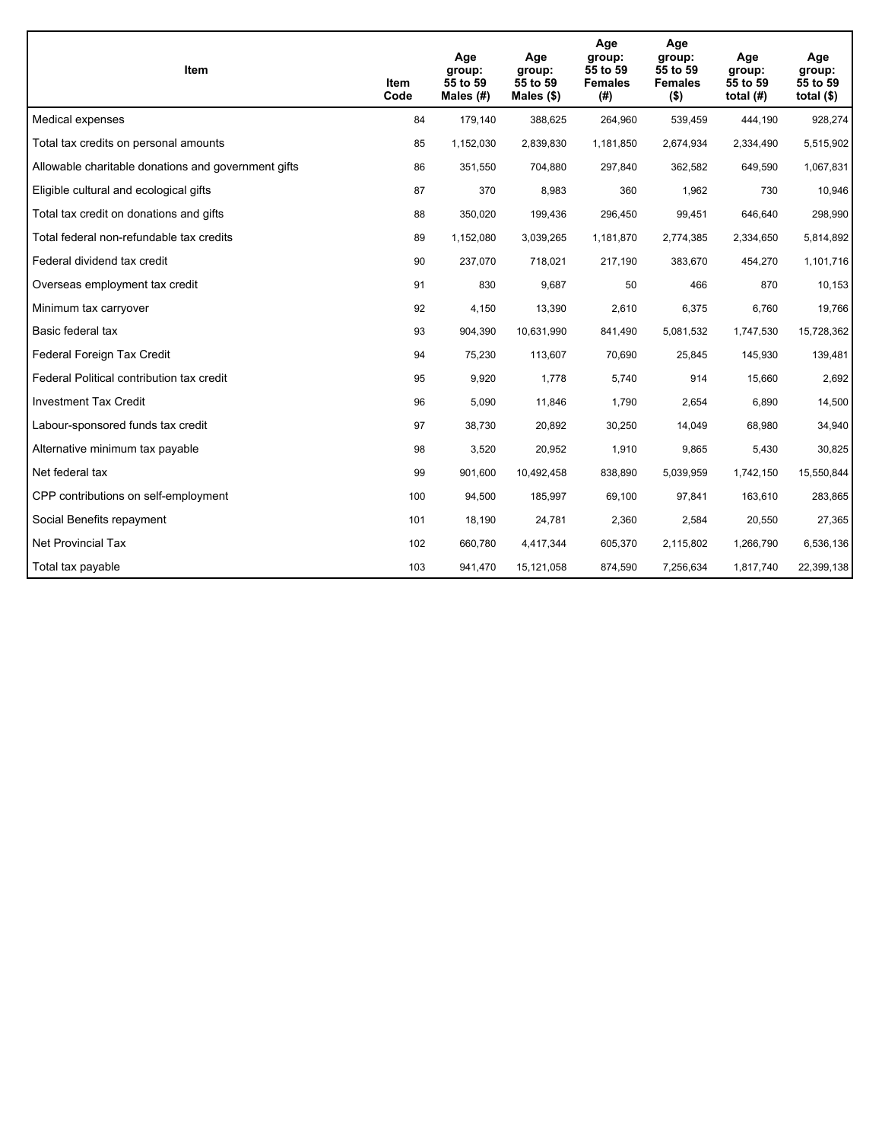| <b>Item</b>                                         | Item<br>Code | Age<br>group:<br>55 to 59<br>Males $(H)$ | Age<br>group:<br>55 to 59<br>Males $(\$)$ | Age<br>group:<br>55 to 59<br><b>Females</b><br>(#) | Age<br>group:<br>55 to 59<br><b>Females</b><br>$($ \$) | Age<br>group:<br>55 to 59<br>total $(H)$ | Age<br>group:<br>55 to 59<br>total $($)$ |
|-----------------------------------------------------|--------------|------------------------------------------|-------------------------------------------|----------------------------------------------------|--------------------------------------------------------|------------------------------------------|------------------------------------------|
| Medical expenses                                    | 84           | 179,140                                  | 388,625                                   | 264,960                                            | 539,459                                                | 444,190                                  | 928,274                                  |
| Total tax credits on personal amounts               | 85           | 1,152,030                                | 2,839,830                                 | 1,181,850                                          | 2,674,934                                              | 2,334,490                                | 5,515,902                                |
| Allowable charitable donations and government gifts | 86           | 351,550                                  | 704,880                                   | 297,840                                            | 362,582                                                | 649,590                                  | 1,067,831                                |
| Eligible cultural and ecological gifts              | 87           | 370                                      | 8,983                                     | 360                                                | 1,962                                                  | 730                                      | 10,946                                   |
| Total tax credit on donations and gifts             | 88           | 350,020                                  | 199,436                                   | 296,450                                            | 99,451                                                 | 646,640                                  | 298,990                                  |
| Total federal non-refundable tax credits            | 89           | 1,152,080                                | 3,039,265                                 | 1,181,870                                          | 2,774,385                                              | 2,334,650                                | 5,814,892                                |
| Federal dividend tax credit                         | 90           | 237,070                                  | 718,021                                   | 217,190                                            | 383,670                                                | 454,270                                  | 1,101,716                                |
| Overseas employment tax credit                      | 91           | 830                                      | 9,687                                     | 50                                                 | 466                                                    | 870                                      | 10, 153                                  |
| Minimum tax carryover                               | 92           | 4,150                                    | 13,390                                    | 2,610                                              | 6,375                                                  | 6,760                                    | 19,766                                   |
| Basic federal tax                                   | 93           | 904,390                                  | 10,631,990                                | 841,490                                            | 5,081,532                                              | 1,747,530                                | 15,728,362                               |
| Federal Foreign Tax Credit                          | 94           | 75,230                                   | 113,607                                   | 70,690                                             | 25,845                                                 | 145,930                                  | 139,481                                  |
| Federal Political contribution tax credit           | 95           | 9,920                                    | 1,778                                     | 5,740                                              | 914                                                    | 15,660                                   | 2,692                                    |
| <b>Investment Tax Credit</b>                        | 96           | 5,090                                    | 11,846                                    | 1,790                                              | 2,654                                                  | 6,890                                    | 14,500                                   |
| Labour-sponsored funds tax credit                   | 97           | 38,730                                   | 20,892                                    | 30,250                                             | 14,049                                                 | 68,980                                   | 34,940                                   |
| Alternative minimum tax payable                     | 98           | 3,520                                    | 20,952                                    | 1,910                                              | 9,865                                                  | 5,430                                    | 30,825                                   |
| Net federal tax                                     | 99           | 901,600                                  | 10,492,458                                | 838,890                                            | 5,039,959                                              | 1,742,150                                | 15,550,844                               |
| CPP contributions on self-employment                | 100          | 94,500                                   | 185,997                                   | 69,100                                             | 97,841                                                 | 163,610                                  | 283,865                                  |
| Social Benefits repayment                           | 101          | 18,190                                   | 24,781                                    | 2,360                                              | 2,584                                                  | 20,550                                   | 27,365                                   |
| <b>Net Provincial Tax</b>                           | 102          | 660,780                                  | 4,417,344                                 | 605,370                                            | 2,115,802                                              | 1,266,790                                | 6,536,136                                |
| Total tax payable                                   | 103          | 941,470                                  | 15,121,058                                | 874,590                                            | 7,256,634                                              | 1,817,740                                | 22,399,138                               |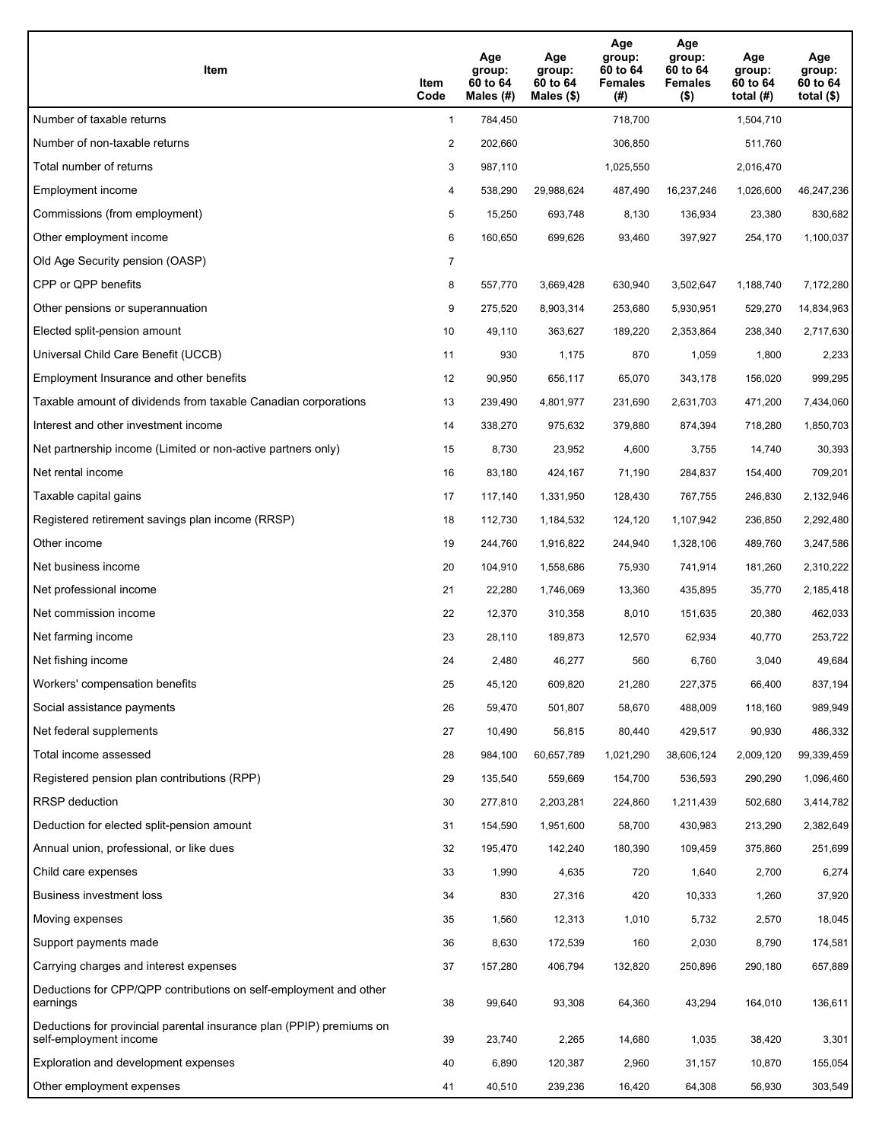| Item                                                                                           | Item<br>Code   | Age<br>group:<br>60 to 64<br>Males (#) | Age<br>group:<br>60 to 64<br>Males $(\$)$ | Age<br>group:<br>60 to 64<br><b>Females</b><br>(#) | Age<br>group:<br>60 to 64<br><b>Females</b><br>$($ \$) | Age<br>group:<br>60 to 64<br>total $(H)$ | Age<br>group:<br>60 to 64<br>total $(\$)$ |
|------------------------------------------------------------------------------------------------|----------------|----------------------------------------|-------------------------------------------|----------------------------------------------------|--------------------------------------------------------|------------------------------------------|-------------------------------------------|
| Number of taxable returns                                                                      | $\mathbf{1}$   | 784,450                                |                                           | 718,700                                            |                                                        | 1,504,710                                |                                           |
| Number of non-taxable returns                                                                  | 2              | 202,660                                |                                           | 306,850                                            |                                                        | 511,760                                  |                                           |
| Total number of returns                                                                        | 3              | 987,110                                |                                           | 1,025,550                                          |                                                        | 2,016,470                                |                                           |
| Employment income                                                                              | 4              | 538,290                                | 29,988,624                                | 487,490                                            | 16,237,246                                             | 1,026,600                                | 46,247,236                                |
| Commissions (from employment)                                                                  | 5              | 15,250                                 | 693,748                                   | 8,130                                              | 136.934                                                | 23,380                                   | 830,682                                   |
| Other employment income                                                                        | 6              | 160,650                                | 699,626                                   | 93,460                                             | 397,927                                                | 254,170                                  | 1,100,037                                 |
| Old Age Security pension (OASP)                                                                | $\overline{7}$ |                                        |                                           |                                                    |                                                        |                                          |                                           |
| CPP or QPP benefits                                                                            | 8              | 557,770                                | 3,669,428                                 | 630,940                                            | 3,502,647                                              | 1,188,740                                | 7,172,280                                 |
| Other pensions or superannuation                                                               | 9              | 275,520                                | 8,903,314                                 | 253,680                                            | 5,930,951                                              | 529,270                                  | 14,834,963                                |
| Elected split-pension amount                                                                   | 10             | 49,110                                 | 363,627                                   | 189,220                                            | 2,353,864                                              | 238,340                                  | 2,717,630                                 |
| Universal Child Care Benefit (UCCB)                                                            | 11             | 930                                    | 1,175                                     | 870                                                | 1,059                                                  | 1,800                                    | 2,233                                     |
| Employment Insurance and other benefits                                                        | 12             | 90,950                                 | 656,117                                   | 65,070                                             | 343,178                                                | 156,020                                  | 999,295                                   |
| Taxable amount of dividends from taxable Canadian corporations                                 | 13             | 239,490                                | 4,801,977                                 | 231,690                                            | 2,631,703                                              | 471,200                                  | 7,434,060                                 |
| Interest and other investment income                                                           | 14             | 338,270                                | 975,632                                   | 379,880                                            | 874,394                                                | 718,280                                  | 1,850,703                                 |
| Net partnership income (Limited or non-active partners only)                                   | 15             | 8,730                                  | 23,952                                    | 4,600                                              | 3,755                                                  | 14,740                                   | 30,393                                    |
| Net rental income                                                                              | 16             | 83,180                                 | 424,167                                   | 71,190                                             | 284,837                                                | 154,400                                  | 709,201                                   |
| Taxable capital gains                                                                          | 17             | 117,140                                | 1,331,950                                 | 128,430                                            | 767,755                                                | 246,830                                  | 2,132,946                                 |
| Registered retirement savings plan income (RRSP)                                               | 18             | 112,730                                | 1,184,532                                 | 124,120                                            | 1,107,942                                              | 236,850                                  | 2,292,480                                 |
| Other income                                                                                   | 19             | 244,760                                | 1,916,822                                 | 244,940                                            | 1,328,106                                              | 489,760                                  | 3,247,586                                 |
| Net business income                                                                            | 20             | 104,910                                | 1,558,686                                 | 75,930                                             | 741,914                                                | 181,260                                  | 2,310,222                                 |
| Net professional income                                                                        | 21             | 22,280                                 | 1,746,069                                 | 13,360                                             | 435,895                                                | 35,770                                   | 2,185,418                                 |
| Net commission income                                                                          | 22             | 12,370                                 | 310,358                                   | 8,010                                              | 151,635                                                | 20,380                                   | 462,033                                   |
| Net farming income                                                                             | 23             | 28,110                                 | 189,873                                   | 12,570                                             | 62,934                                                 | 40,770                                   | 253,722                                   |
| Net fishing income                                                                             | 24             | 2,480                                  | 46,277                                    | 560                                                | 6,760                                                  | 3,040                                    | 49,684                                    |
| Workers' compensation benefits                                                                 | 25             | 45,120                                 | 609,820                                   | 21,280                                             | 227,375                                                | 66,400                                   | 837,194                                   |
| Social assistance payments                                                                     | 26             | 59,470                                 | 501,807                                   | 58,670                                             | 488,009                                                | 118,160                                  | 989,949                                   |
| Net federal supplements                                                                        | 27             | 10,490                                 | 56,815                                    | 80,440                                             | 429,517                                                | 90,930                                   | 486,332                                   |
| Total income assessed                                                                          | 28             | 984,100                                | 60,657,789                                | 1,021,290                                          | 38,606,124                                             | 2,009,120                                | 99,339,459                                |
| Registered pension plan contributions (RPP)                                                    | 29             | 135,540                                | 559,669                                   | 154,700                                            | 536,593                                                | 290,290                                  | 1,096,460                                 |
| <b>RRSP</b> deduction                                                                          | 30             | 277,810                                | 2,203,281                                 | 224,860                                            | 1,211,439                                              | 502,680                                  | 3,414,782                                 |
| Deduction for elected split-pension amount                                                     | 31             | 154,590                                | 1,951,600                                 | 58,700                                             | 430,983                                                | 213,290                                  | 2,382,649                                 |
| Annual union, professional, or like dues                                                       | 32             | 195,470                                | 142,240                                   | 180,390                                            | 109,459                                                | 375,860                                  | 251,699                                   |
| Child care expenses                                                                            | 33             | 1,990                                  | 4,635                                     | 720                                                | 1,640                                                  | 2,700                                    | 6,274                                     |
| Business investment loss                                                                       | 34             | 830                                    | 27,316                                    | 420                                                | 10,333                                                 | 1,260                                    | 37,920                                    |
| Moving expenses                                                                                | 35             | 1,560                                  | 12,313                                    | 1,010                                              | 5,732                                                  | 2,570                                    | 18,045                                    |
| Support payments made                                                                          | 36             | 8,630                                  | 172,539                                   | 160                                                | 2,030                                                  | 8,790                                    | 174,581                                   |
| Carrying charges and interest expenses                                                         | 37             | 157,280                                | 406,794                                   | 132,820                                            | 250,896                                                | 290,180                                  | 657,889                                   |
| Deductions for CPP/QPP contributions on self-employment and other<br>earnings                  | 38             | 99,640                                 | 93,308                                    | 64,360                                             | 43,294                                                 | 164,010                                  | 136,611                                   |
| Deductions for provincial parental insurance plan (PPIP) premiums on<br>self-employment income | 39             | 23,740                                 | 2,265                                     | 14,680                                             | 1,035                                                  | 38,420                                   | 3,301                                     |
| Exploration and development expenses                                                           | 40             | 6,890                                  | 120,387                                   | 2,960                                              | 31,157                                                 | 10,870                                   | 155,054                                   |
| Other employment expenses                                                                      | 41             | 40,510                                 | 239,236                                   | 16,420                                             | 64,308                                                 | 56,930                                   | 303,549                                   |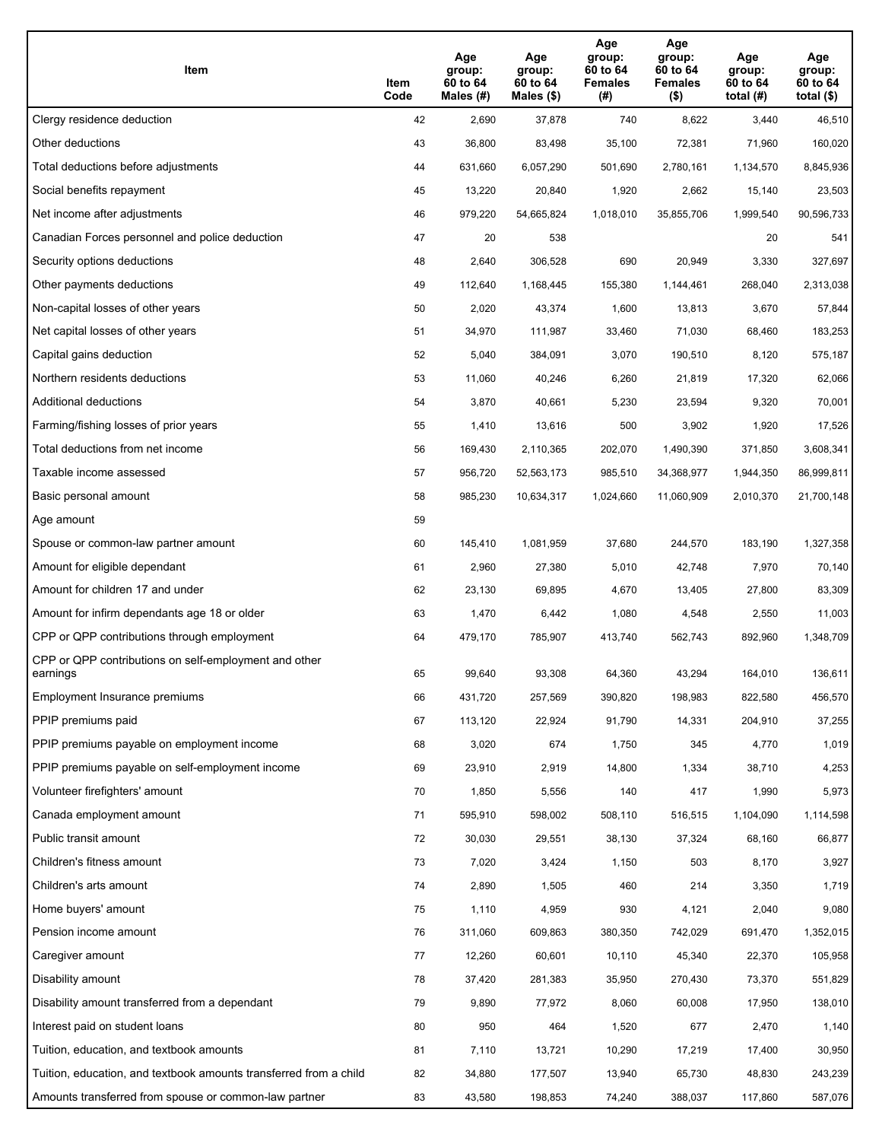| Item                                                              | Item<br>Code | Age<br>group:<br>60 to 64<br>Males (#) | Age<br>group:<br>60 to 64<br>Males (\$) | Age<br>group:<br>60 to 64<br><b>Females</b><br>(#) | Age<br>group:<br>60 to 64<br><b>Females</b><br>$($ \$) | Age<br>group:<br>60 to 64<br>total $(H)$ | Age<br>group:<br>60 to 64<br>total $($)$ |
|-------------------------------------------------------------------|--------------|----------------------------------------|-----------------------------------------|----------------------------------------------------|--------------------------------------------------------|------------------------------------------|------------------------------------------|
| Clergy residence deduction                                        | 42           | 2,690                                  | 37,878                                  | 740                                                | 8,622                                                  | 3,440                                    | 46,510                                   |
| Other deductions                                                  | 43           | 36,800                                 | 83,498                                  | 35,100                                             | 72,381                                                 | 71,960                                   | 160,020                                  |
| Total deductions before adjustments                               | 44           | 631,660                                | 6,057,290                               | 501,690                                            | 2,780,161                                              | 1,134,570                                | 8,845,936                                |
| Social benefits repayment                                         | 45           | 13,220                                 | 20,840                                  | 1,920                                              | 2,662                                                  | 15,140                                   | 23,503                                   |
| Net income after adjustments                                      | 46           | 979,220                                | 54,665,824                              | 1,018,010                                          | 35,855,706                                             | 1,999,540                                | 90,596,733                               |
| Canadian Forces personnel and police deduction                    | 47           | 20                                     | 538                                     |                                                    |                                                        | 20                                       | 541                                      |
| Security options deductions                                       | 48           | 2,640                                  | 306,528                                 | 690                                                | 20,949                                                 | 3,330                                    | 327,697                                  |
| Other payments deductions                                         | 49           | 112,640                                | 1,168,445                               | 155,380                                            | 1,144,461                                              | 268,040                                  | 2,313,038                                |
| Non-capital losses of other years                                 | 50           | 2,020                                  | 43,374                                  | 1,600                                              | 13,813                                                 | 3,670                                    | 57,844                                   |
| Net capital losses of other years                                 | 51           | 34,970                                 | 111,987                                 | 33,460                                             | 71,030                                                 | 68,460                                   | 183,253                                  |
| Capital gains deduction                                           | 52           | 5,040                                  | 384,091                                 | 3,070                                              | 190,510                                                | 8,120                                    | 575,187                                  |
| Northern residents deductions                                     | 53           | 11,060                                 | 40,246                                  | 6,260                                              | 21,819                                                 | 17,320                                   | 62,066                                   |
| Additional deductions                                             | 54           | 3,870                                  | 40,661                                  | 5,230                                              | 23,594                                                 | 9,320                                    | 70,001                                   |
| Farming/fishing losses of prior years                             | 55           | 1,410                                  | 13,616                                  | 500                                                | 3,902                                                  | 1,920                                    | 17,526                                   |
| Total deductions from net income                                  | 56           | 169,430                                | 2,110,365                               | 202,070                                            | 1,490,390                                              | 371,850                                  | 3,608,341                                |
| Taxable income assessed                                           | 57           | 956,720                                | 52,563,173                              | 985,510                                            | 34,368,977                                             | 1,944,350                                | 86,999,811                               |
| Basic personal amount                                             | 58           | 985,230                                | 10,634,317                              | 1,024,660                                          | 11,060,909                                             | 2,010,370                                | 21,700,148                               |
| Age amount                                                        | 59           |                                        |                                         |                                                    |                                                        |                                          |                                          |
| Spouse or common-law partner amount                               | 60           | 145,410                                | 1,081,959                               | 37,680                                             | 244,570                                                | 183,190                                  | 1,327,358                                |
| Amount for eligible dependant                                     | 61           | 2,960                                  | 27,380                                  | 5,010                                              | 42,748                                                 | 7,970                                    | 70,140                                   |
| Amount for children 17 and under                                  | 62           | 23,130                                 | 69,895                                  | 4,670                                              | 13,405                                                 | 27,800                                   | 83,309                                   |
| Amount for infirm dependants age 18 or older                      | 63           | 1,470                                  | 6,442                                   | 1,080                                              | 4,548                                                  | 2,550                                    | 11,003                                   |
| CPP or QPP contributions through employment                       | 64           | 479,170                                | 785,907                                 | 413,740                                            | 562,743                                                | 892,960                                  | 1,348,709                                |
| CPP or QPP contributions on self-employment and other<br>earnings | 65           | 99,640                                 | 93,308                                  | 64,360                                             | 43,294                                                 | 164,010                                  | 136,611                                  |
| Employment Insurance premiums                                     | 66           | 431,720                                | 257,569                                 | 390,820                                            | 198,983                                                | 822,580                                  | 456,570                                  |
| PPIP premiums paid                                                | 67           | 113,120                                | 22,924                                  | 91,790                                             | 14,331                                                 | 204,910                                  | 37,255                                   |
| PPIP premiums payable on employment income                        | 68           | 3,020                                  | 674                                     | 1,750                                              | 345                                                    | 4,770                                    | 1,019                                    |
| PPIP premiums payable on self-employment income                   | 69           | 23,910                                 | 2,919                                   | 14,800                                             | 1,334                                                  | 38,710                                   | 4,253                                    |
| Volunteer firefighters' amount                                    | 70           | 1,850                                  | 5,556                                   | 140                                                | 417                                                    | 1,990                                    | 5,973                                    |
| Canada employment amount                                          | 71           | 595,910                                | 598,002                                 | 508,110                                            | 516,515                                                | 1,104,090                                | 1,114,598                                |
| Public transit amount                                             | 72           | 30,030                                 | 29,551                                  | 38,130                                             | 37,324                                                 | 68,160                                   | 66,877                                   |
| Children's fitness amount                                         | 73           | 7,020                                  | 3,424                                   | 1,150                                              | 503                                                    | 8,170                                    | 3,927                                    |
| Children's arts amount                                            | 74           | 2,890                                  | 1,505                                   | 460                                                | 214                                                    | 3,350                                    | 1,719                                    |
| Home buyers' amount                                               | 75           | 1,110                                  | 4,959                                   | 930                                                | 4,121                                                  | 2,040                                    | 9,080                                    |
| Pension income amount                                             | 76           | 311,060                                | 609,863                                 | 380,350                                            | 742,029                                                | 691,470                                  | 1,352,015                                |
| Caregiver amount                                                  | 77           | 12,260                                 | 60,601                                  | 10,110                                             | 45,340                                                 | 22,370                                   | 105,958                                  |
| Disability amount                                                 | 78           | 37,420                                 | 281,383                                 | 35,950                                             | 270,430                                                | 73,370                                   | 551,829                                  |
| Disability amount transferred from a dependant                    | 79           | 9,890                                  | 77,972                                  | 8,060                                              | 60,008                                                 | 17,950                                   | 138,010                                  |
| Interest paid on student loans                                    | 80           | 950                                    | 464                                     | 1,520                                              | 677                                                    | 2,470                                    | 1,140                                    |
| Tuition, education, and textbook amounts                          | 81           | 7,110                                  | 13,721                                  | 10,290                                             | 17,219                                                 | 17,400                                   | 30,950                                   |
| Tuition, education, and textbook amounts transferred from a child | 82           | 34,880                                 | 177,507                                 | 13,940                                             | 65,730                                                 | 48,830                                   | 243,239                                  |
| Amounts transferred from spouse or common-law partner             | 83           | 43,580                                 | 198,853                                 | 74,240                                             | 388,037                                                | 117,860                                  | 587,076                                  |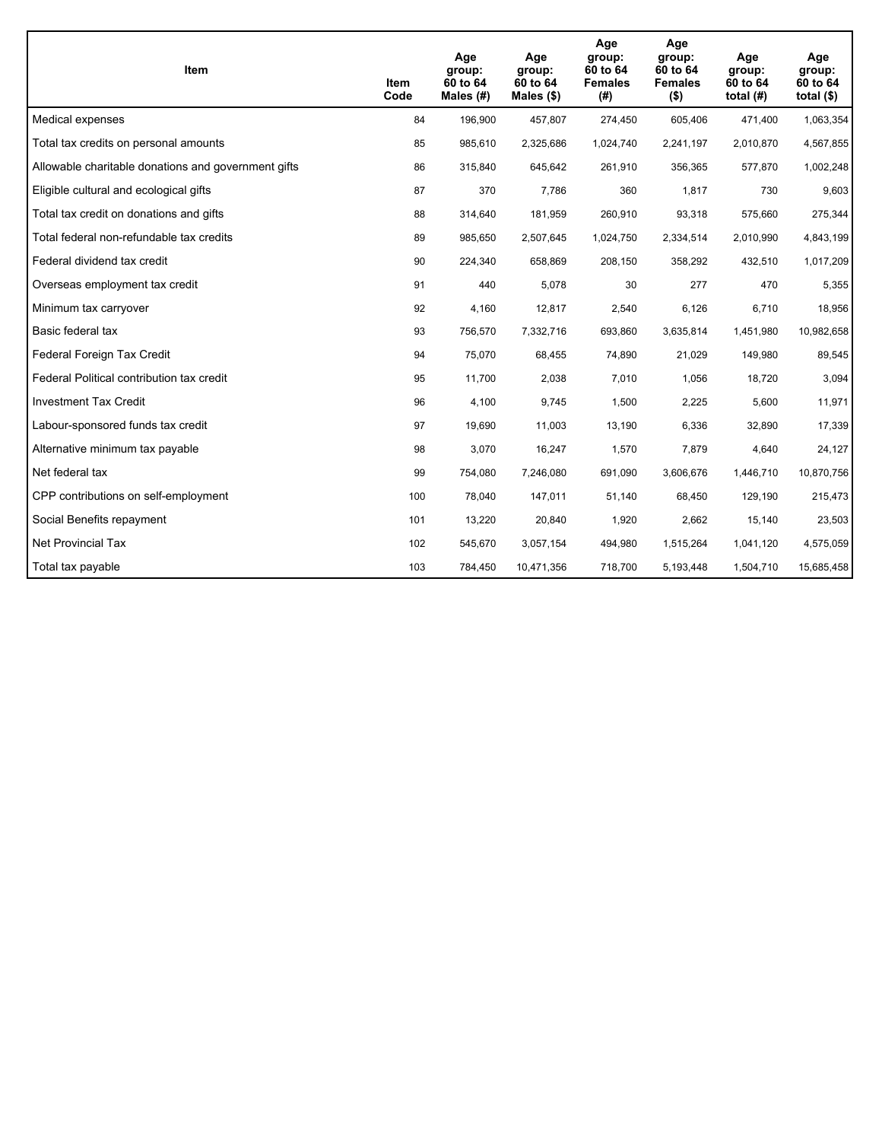| <b>Item</b>                                         | Item<br>Code | Age<br>group:<br>60 to 64<br>Males $(H)$ | Age<br>group:<br>60 to 64<br>Males $(\$)$ | Age<br>group:<br>60 to 64<br><b>Females</b><br>(#) | Age<br>group:<br>60 to 64<br><b>Females</b><br>$($ \$) | Age<br>group:<br>60 to 64<br>total $(H)$ | Age<br>group:<br>60 to 64<br>total $($)$ |
|-----------------------------------------------------|--------------|------------------------------------------|-------------------------------------------|----------------------------------------------------|--------------------------------------------------------|------------------------------------------|------------------------------------------|
| Medical expenses                                    | 84           | 196,900                                  | 457,807                                   | 274,450                                            | 605,406                                                | 471,400                                  | 1,063,354                                |
| Total tax credits on personal amounts               | 85           | 985,610                                  | 2,325,686                                 | 1,024,740                                          | 2,241,197                                              | 2,010,870                                | 4,567,855                                |
| Allowable charitable donations and government gifts | 86           | 315,840                                  | 645,642                                   | 261,910                                            | 356,365                                                | 577,870                                  | 1,002,248                                |
| Eligible cultural and ecological gifts              | 87           | 370                                      | 7,786                                     | 360                                                | 1,817                                                  | 730                                      | 9,603                                    |
| Total tax credit on donations and gifts             | 88           | 314,640                                  | 181,959                                   | 260,910                                            | 93,318                                                 | 575,660                                  | 275,344                                  |
| Total federal non-refundable tax credits            | 89           | 985,650                                  | 2,507,645                                 | 1,024,750                                          | 2,334,514                                              | 2,010,990                                | 4,843,199                                |
| Federal dividend tax credit                         | 90           | 224,340                                  | 658,869                                   | 208,150                                            | 358,292                                                | 432,510                                  | 1,017,209                                |
| Overseas employment tax credit                      | 91           | 440                                      | 5,078                                     | 30                                                 | 277                                                    | 470                                      | 5,355                                    |
| Minimum tax carryover                               | 92           | 4,160                                    | 12,817                                    | 2,540                                              | 6,126                                                  | 6,710                                    | 18,956                                   |
| Basic federal tax                                   | 93           | 756,570                                  | 7,332,716                                 | 693,860                                            | 3,635,814                                              | 1,451,980                                | 10,982,658                               |
| Federal Foreign Tax Credit                          | 94           | 75,070                                   | 68,455                                    | 74,890                                             | 21,029                                                 | 149,980                                  | 89,545                                   |
| Federal Political contribution tax credit           | 95           | 11,700                                   | 2,038                                     | 7,010                                              | 1,056                                                  | 18,720                                   | 3,094                                    |
| <b>Investment Tax Credit</b>                        | 96           | 4,100                                    | 9,745                                     | 1,500                                              | 2,225                                                  | 5,600                                    | 11,971                                   |
| Labour-sponsored funds tax credit                   | 97           | 19,690                                   | 11,003                                    | 13,190                                             | 6,336                                                  | 32,890                                   | 17,339                                   |
| Alternative minimum tax payable                     | 98           | 3,070                                    | 16,247                                    | 1,570                                              | 7,879                                                  | 4,640                                    | 24,127                                   |
| Net federal tax                                     | 99           | 754,080                                  | 7,246,080                                 | 691,090                                            | 3,606,676                                              | 1,446,710                                | 10,870,756                               |
| CPP contributions on self-employment                | 100          | 78,040                                   | 147,011                                   | 51,140                                             | 68,450                                                 | 129,190                                  | 215,473                                  |
| Social Benefits repayment                           | 101          | 13,220                                   | 20,840                                    | 1,920                                              | 2,662                                                  | 15,140                                   | 23,503                                   |
| <b>Net Provincial Tax</b>                           | 102          | 545,670                                  | 3,057,154                                 | 494,980                                            | 1,515,264                                              | 1,041,120                                | 4,575,059                                |
| Total tax payable                                   | 103          | 784,450                                  | 10,471,356                                | 718,700                                            | 5,193,448                                              | 1,504,710                                | 15,685,458                               |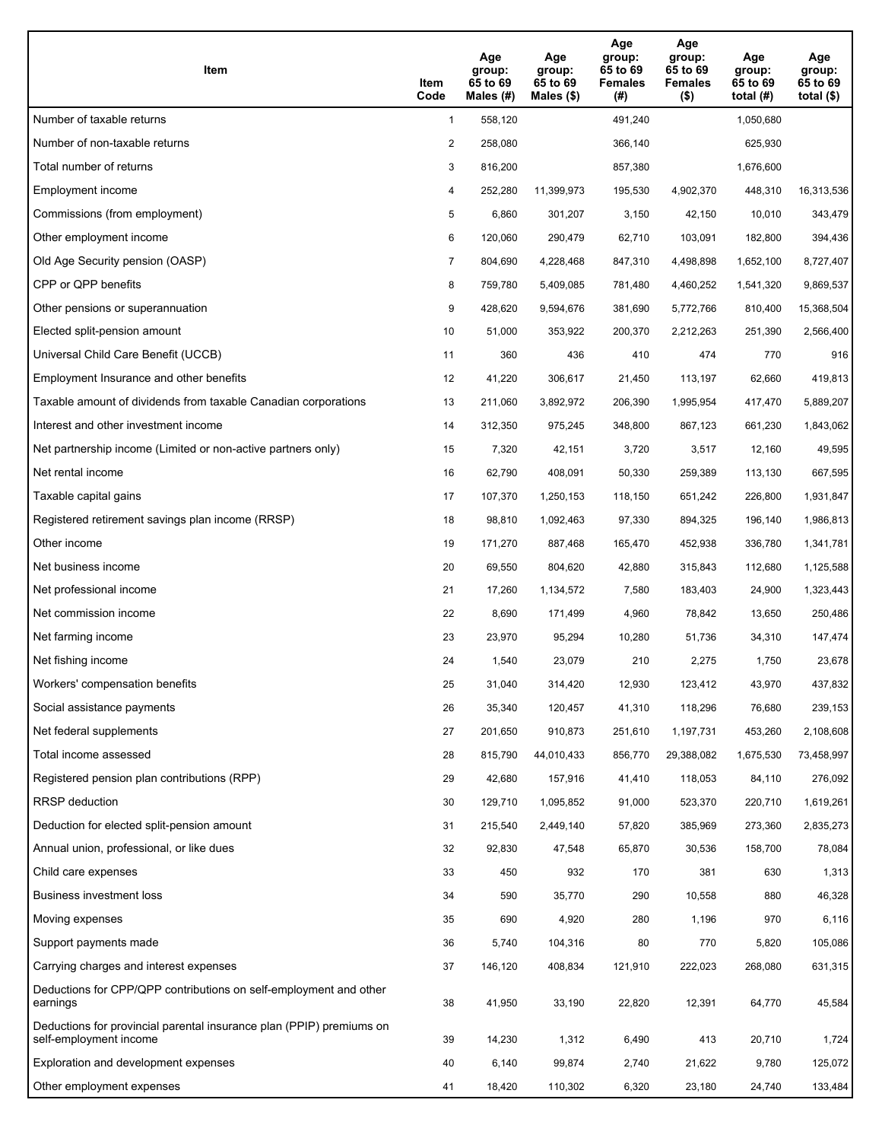| Item                                                                                           | Item<br>Code   | Age<br>group:<br>65 to 69<br>Males (#) | Age<br>group:<br>65 to 69<br>Males $(\$)$ | Age<br>group:<br>65 to 69<br><b>Females</b><br>(#) | Age<br>group:<br>65 to 69<br><b>Females</b><br>$($ \$) | Age<br>group:<br>65 to 69<br>total $(H)$ | Age<br>group:<br>65 to 69<br>total $($)$ |
|------------------------------------------------------------------------------------------------|----------------|----------------------------------------|-------------------------------------------|----------------------------------------------------|--------------------------------------------------------|------------------------------------------|------------------------------------------|
| Number of taxable returns                                                                      | $\mathbf{1}$   | 558,120                                |                                           | 491,240                                            |                                                        | 1,050,680                                |                                          |
| Number of non-taxable returns                                                                  | $\overline{2}$ | 258,080                                |                                           | 366,140                                            |                                                        | 625,930                                  |                                          |
| Total number of returns                                                                        | 3              | 816,200                                |                                           | 857,380                                            |                                                        | 1,676,600                                |                                          |
| Employment income                                                                              | 4              | 252,280                                | 11,399,973                                | 195,530                                            | 4,902,370                                              | 448,310                                  | 16,313,536                               |
| Commissions (from employment)                                                                  | 5              | 6,860                                  | 301,207                                   | 3,150                                              | 42,150                                                 | 10,010                                   | 343,479                                  |
| Other employment income                                                                        | 6              | 120,060                                | 290,479                                   | 62,710                                             | 103,091                                                | 182.800                                  | 394,436                                  |
| Old Age Security pension (OASP)                                                                | $\overline{7}$ | 804,690                                | 4,228,468                                 | 847,310                                            | 4,498,898                                              | 1,652,100                                | 8,727,407                                |
| CPP or QPP benefits                                                                            | 8              | 759,780                                | 5,409,085                                 | 781,480                                            | 4,460,252                                              | 1,541,320                                | 9,869,537                                |
| Other pensions or superannuation                                                               | 9              | 428,620                                | 9,594,676                                 | 381,690                                            | 5,772,766                                              | 810,400                                  | 15,368,504                               |
| Elected split-pension amount                                                                   | 10             | 51,000                                 | 353,922                                   | 200,370                                            | 2,212,263                                              | 251,390                                  | 2,566,400                                |
| Universal Child Care Benefit (UCCB)                                                            | 11             | 360                                    | 436                                       | 410                                                | 474                                                    | 770                                      | 916                                      |
| Employment Insurance and other benefits                                                        | 12             | 41,220                                 | 306,617                                   | 21,450                                             | 113,197                                                | 62,660                                   | 419,813                                  |
| Taxable amount of dividends from taxable Canadian corporations                                 | 13             | 211,060                                | 3,892,972                                 | 206,390                                            | 1,995,954                                              | 417,470                                  | 5,889,207                                |
| Interest and other investment income                                                           | 14             | 312.350                                | 975,245                                   | 348,800                                            | 867,123                                                | 661,230                                  | 1,843,062                                |
| Net partnership income (Limited or non-active partners only)                                   | 15             | 7,320                                  | 42,151                                    | 3,720                                              | 3,517                                                  | 12,160                                   | 49,595                                   |
| Net rental income                                                                              | 16             | 62,790                                 | 408,091                                   | 50,330                                             | 259,389                                                | 113,130                                  | 667,595                                  |
| Taxable capital gains                                                                          | 17             | 107,370                                | 1,250,153                                 | 118,150                                            | 651,242                                                | 226,800                                  | 1,931,847                                |
| Registered retirement savings plan income (RRSP)                                               | 18             | 98,810                                 | 1,092,463                                 | 97,330                                             | 894,325                                                | 196,140                                  | 1,986,813                                |
| Other income                                                                                   | 19             | 171,270                                | 887,468                                   | 165,470                                            | 452,938                                                | 336,780                                  | 1,341,781                                |
| Net business income                                                                            | 20             | 69,550                                 | 804,620                                   | 42,880                                             | 315,843                                                | 112,680                                  | 1,125,588                                |
| Net professional income                                                                        | 21             | 17,260                                 | 1,134,572                                 | 7,580                                              | 183,403                                                | 24,900                                   | 1,323,443                                |
| Net commission income                                                                          | 22             | 8,690                                  | 171,499                                   | 4,960                                              | 78,842                                                 | 13,650                                   | 250,486                                  |
| Net farming income                                                                             | 23             | 23,970                                 | 95,294                                    | 10,280                                             | 51,736                                                 | 34,310                                   | 147,474                                  |
| Net fishing income                                                                             | 24             | 1,540                                  | 23,079                                    | 210                                                | 2,275                                                  | 1,750                                    | 23,678                                   |
| Workers' compensation benefits                                                                 | 25             | 31,040                                 | 314,420                                   | 12,930                                             | 123,412                                                | 43,970                                   | 437,832                                  |
| Social assistance payments                                                                     | 26             | 35,340                                 | 120,457                                   | 41,310                                             | 118,296                                                | 76,680                                   | 239,153                                  |
| Net federal supplements                                                                        | 27             | 201,650                                | 910,873                                   | 251,610                                            | 1,197,731                                              | 453,260                                  | 2,108,608                                |
| Total income assessed                                                                          | 28             | 815,790                                | 44,010,433                                | 856,770                                            | 29,388,082                                             | 1,675,530                                | 73,458,997                               |
| Registered pension plan contributions (RPP)                                                    | 29             | 42,680                                 | 157,916                                   | 41,410                                             | 118,053                                                | 84,110                                   | 276,092                                  |
| RRSP deduction                                                                                 | 30             | 129,710                                | 1,095,852                                 | 91,000                                             | 523,370                                                | 220,710                                  | 1,619,261                                |
| Deduction for elected split-pension amount                                                     | 31             | 215,540                                | 2,449,140                                 | 57,820                                             | 385,969                                                | 273,360                                  | 2,835,273                                |
| Annual union, professional, or like dues                                                       | 32             | 92,830                                 | 47,548                                    | 65,870                                             | 30,536                                                 | 158,700                                  | 78,084                                   |
| Child care expenses                                                                            | 33             | 450                                    | 932                                       | 170                                                | 381                                                    | 630                                      | 1,313                                    |
| Business investment loss                                                                       | 34             | 590                                    | 35,770                                    | 290                                                | 10,558                                                 | 880                                      | 46,328                                   |
| Moving expenses                                                                                | 35             | 690                                    | 4,920                                     | 280                                                | 1,196                                                  | 970                                      | 6,116                                    |
| Support payments made                                                                          | 36             | 5,740                                  | 104,316                                   | 80                                                 | 770                                                    | 5,820                                    | 105,086                                  |
| Carrying charges and interest expenses                                                         | 37             | 146,120                                | 408,834                                   | 121,910                                            | 222,023                                                | 268,080                                  | 631,315                                  |
| Deductions for CPP/QPP contributions on self-employment and other<br>earnings                  | 38             | 41,950                                 | 33,190                                    | 22,820                                             | 12,391                                                 | 64,770                                   | 45,584                                   |
| Deductions for provincial parental insurance plan (PPIP) premiums on<br>self-employment income | 39             | 14,230                                 | 1,312                                     | 6,490                                              | 413                                                    | 20,710                                   | 1,724                                    |
| Exploration and development expenses                                                           | 40             | 6,140                                  | 99,874                                    | 2,740                                              | 21,622                                                 | 9,780                                    | 125,072                                  |
| Other employment expenses                                                                      | 41             | 18,420                                 | 110,302                                   | 6,320                                              | 23,180                                                 | 24,740                                   | 133,484                                  |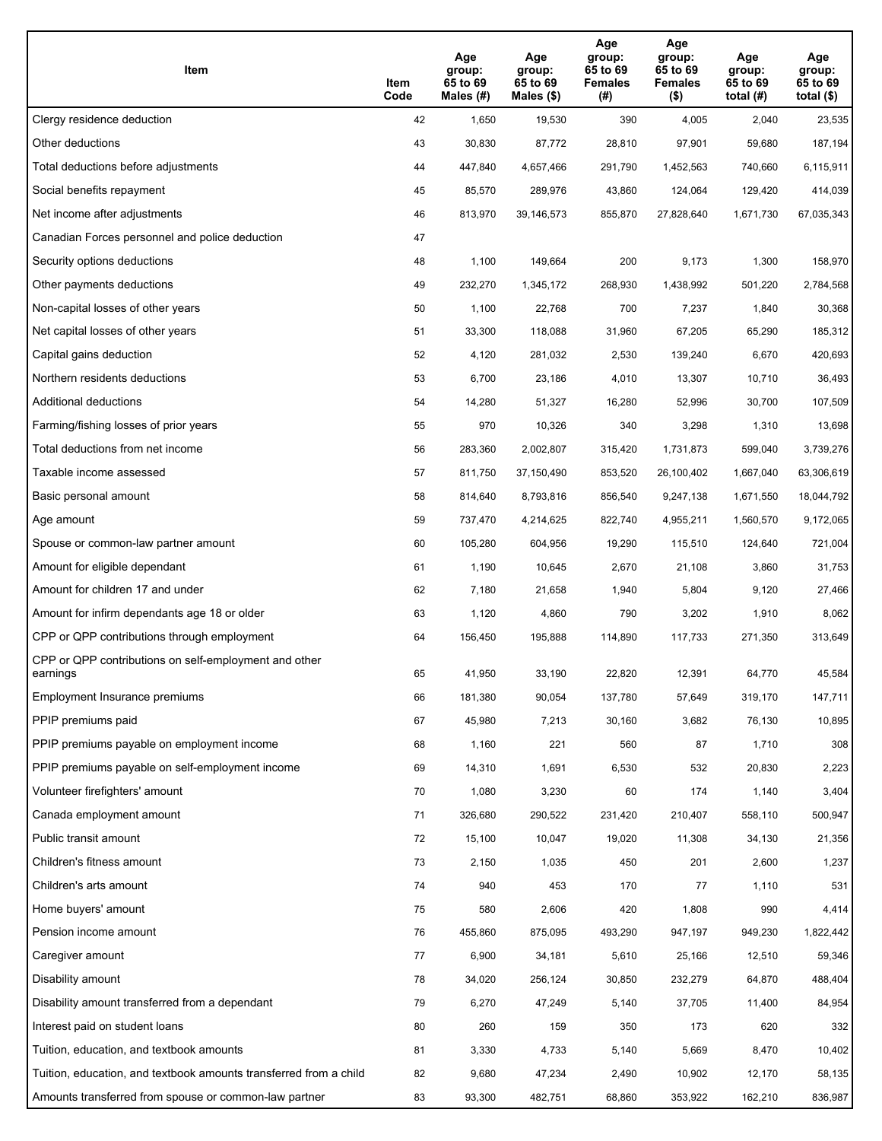| Item                                                              | Item<br>Code | Age<br>group:<br>65 to 69<br>Males (#) | Age<br>group:<br>65 to 69<br>Males (\$) | Age<br>group:<br>65 to 69<br><b>Females</b><br>(#) | Age<br>group:<br>65 to 69<br><b>Females</b><br>$($ \$) | Age<br>group:<br>65 to 69<br>total $(H)$ | Age<br>group:<br>65 to 69<br>total $($)$ |
|-------------------------------------------------------------------|--------------|----------------------------------------|-----------------------------------------|----------------------------------------------------|--------------------------------------------------------|------------------------------------------|------------------------------------------|
| Clergy residence deduction                                        | 42           | 1,650                                  | 19,530                                  | 390                                                | 4,005                                                  | 2,040                                    | 23,535                                   |
| Other deductions                                                  | 43           | 30,830                                 | 87,772                                  | 28,810                                             | 97,901                                                 | 59,680                                   | 187,194                                  |
| Total deductions before adjustments                               | 44           | 447,840                                | 4,657,466                               | 291,790                                            | 1,452,563                                              | 740,660                                  | 6,115,911                                |
| Social benefits repayment                                         | 45           | 85,570                                 | 289,976                                 | 43,860                                             | 124,064                                                | 129,420                                  | 414,039                                  |
| Net income after adjustments                                      | 46           | 813,970                                | 39,146,573                              | 855,870                                            | 27,828,640                                             | 1,671,730                                | 67,035,343                               |
| Canadian Forces personnel and police deduction                    | 47           |                                        |                                         |                                                    |                                                        |                                          |                                          |
| Security options deductions                                       | 48           | 1,100                                  | 149,664                                 | 200                                                | 9,173                                                  | 1,300                                    | 158,970                                  |
| Other payments deductions                                         | 49           | 232,270                                | 1,345,172                               | 268,930                                            | 1,438,992                                              | 501,220                                  | 2,784,568                                |
| Non-capital losses of other years                                 | 50           | 1,100                                  | 22,768                                  | 700                                                | 7,237                                                  | 1,840                                    | 30,368                                   |
| Net capital losses of other years                                 | 51           | 33,300                                 | 118,088                                 | 31,960                                             | 67,205                                                 | 65,290                                   | 185,312                                  |
| Capital gains deduction                                           | 52           | 4,120                                  | 281,032                                 | 2,530                                              | 139,240                                                | 6,670                                    | 420,693                                  |
| Northern residents deductions                                     | 53           | 6,700                                  | 23,186                                  | 4,010                                              | 13,307                                                 | 10,710                                   | 36,493                                   |
| Additional deductions                                             | 54           | 14,280                                 | 51,327                                  | 16,280                                             | 52,996                                                 | 30,700                                   | 107,509                                  |
| Farming/fishing losses of prior years                             | 55           | 970                                    | 10,326                                  | 340                                                | 3,298                                                  | 1,310                                    | 13,698                                   |
| Total deductions from net income                                  | 56           | 283,360                                | 2,002,807                               | 315,420                                            | 1,731,873                                              | 599,040                                  | 3,739,276                                |
| Taxable income assessed                                           | 57           | 811,750                                | 37,150,490                              | 853,520                                            | 26,100,402                                             | 1,667,040                                | 63,306,619                               |
| Basic personal amount                                             | 58           | 814,640                                | 8,793,816                               | 856,540                                            | 9,247,138                                              | 1,671,550                                | 18,044,792                               |
| Age amount                                                        | 59           | 737,470                                | 4,214,625                               | 822,740                                            | 4,955,211                                              | 1,560,570                                | 9,172,065                                |
| Spouse or common-law partner amount                               | 60           | 105,280                                | 604,956                                 | 19,290                                             | 115,510                                                | 124,640                                  | 721,004                                  |
| Amount for eligible dependant                                     | 61           | 1,190                                  | 10,645                                  | 2,670                                              | 21,108                                                 | 3,860                                    | 31,753                                   |
| Amount for children 17 and under                                  | 62           | 7,180                                  | 21,658                                  | 1,940                                              | 5,804                                                  | 9,120                                    | 27,466                                   |
| Amount for infirm dependants age 18 or older                      | 63           | 1,120                                  | 4,860                                   | 790                                                | 3,202                                                  | 1,910                                    | 8,062                                    |
| CPP or QPP contributions through employment                       | 64           | 156,450                                | 195,888                                 | 114,890                                            | 117,733                                                | 271,350                                  | 313,649                                  |
| CPP or QPP contributions on self-employment and other<br>earnings | 65           | 41,950                                 | 33,190                                  | 22,820                                             | 12,391                                                 | 64,770                                   | 45,584                                   |
| Employment Insurance premiums                                     | 66           | 181,380                                | 90,054                                  | 137,780                                            | 57,649                                                 | 319,170                                  | 147,711                                  |
| PPIP premiums paid                                                | 67           | 45,980                                 | 7,213                                   | 30,160                                             | 3,682                                                  | 76,130                                   | 10,895                                   |
| PPIP premiums payable on employment income                        | 68           | 1,160                                  | 221                                     | 560                                                | 87                                                     | 1,710                                    | 308                                      |
| PPIP premiums payable on self-employment income                   | 69           | 14,310                                 | 1,691                                   | 6,530                                              | 532                                                    | 20,830                                   | 2,223                                    |
| Volunteer firefighters' amount                                    | 70           | 1,080                                  | 3,230                                   | 60                                                 | 174                                                    | 1,140                                    | 3,404                                    |
| Canada employment amount                                          | 71           | 326,680                                | 290,522                                 | 231,420                                            | 210,407                                                | 558,110                                  | 500,947                                  |
| Public transit amount                                             | 72           | 15,100                                 | 10,047                                  | 19,020                                             | 11,308                                                 | 34,130                                   | 21,356                                   |
| Children's fitness amount                                         | 73           | 2,150                                  | 1,035                                   | 450                                                | 201                                                    | 2,600                                    | 1,237                                    |
| Children's arts amount                                            | 74           | 940                                    | 453                                     | 170                                                | 77                                                     | 1,110                                    | 531                                      |
| Home buyers' amount                                               | 75           | 580                                    | 2,606                                   | 420                                                | 1,808                                                  | 990                                      | 4,414                                    |
| Pension income amount                                             | 76           | 455,860                                | 875,095                                 | 493,290                                            | 947,197                                                | 949,230                                  | 1,822,442                                |
| Caregiver amount                                                  | 77           | 6,900                                  | 34,181                                  | 5,610                                              | 25,166                                                 | 12,510                                   | 59,346                                   |
| Disability amount                                                 | 78           | 34,020                                 | 256,124                                 | 30,850                                             | 232,279                                                | 64,870                                   | 488,404                                  |
| Disability amount transferred from a dependant                    | 79           | 6,270                                  | 47,249                                  | 5,140                                              | 37,705                                                 | 11,400                                   | 84,954                                   |
| Interest paid on student loans                                    | 80           | 260                                    | 159                                     | 350                                                | 173                                                    | 620                                      | 332                                      |
| Tuition, education, and textbook amounts                          | 81           | 3,330                                  | 4,733                                   | 5,140                                              | 5,669                                                  | 8,470                                    | 10,402                                   |
| Tuition, education, and textbook amounts transferred from a child | 82           | 9,680                                  | 47,234                                  | 2,490                                              | 10,902                                                 | 12,170                                   | 58,135                                   |
| Amounts transferred from spouse or common-law partner             | 83           | 93,300                                 | 482,751                                 | 68,860                                             | 353,922                                                | 162,210                                  | 836,987                                  |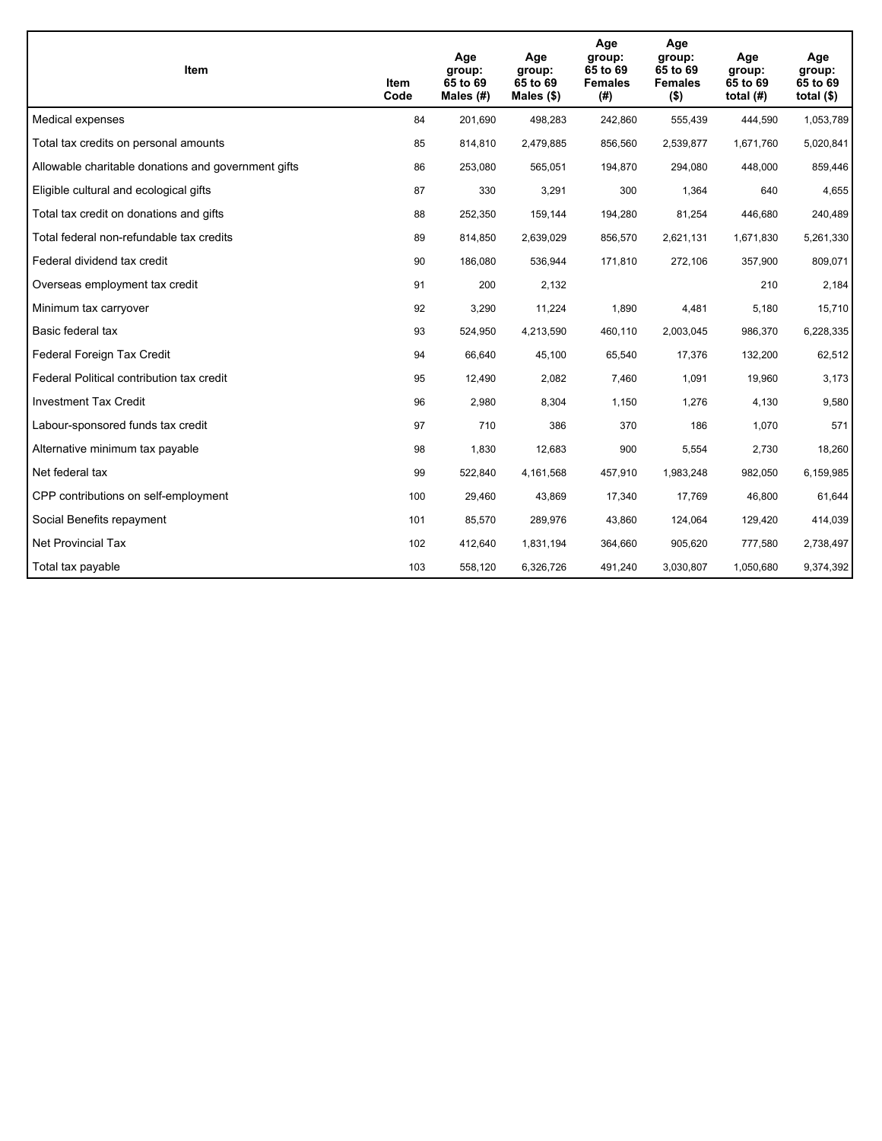| Item                                                | Item<br>Code | Age<br>group:<br>65 to 69<br>Males (#) | Age<br>group:<br>65 to 69<br>Males $(\$)$ | Age<br>group:<br>65 to 69<br><b>Females</b><br>(#) | Age<br>group:<br>65 to 69<br><b>Females</b><br>$($ \$) | Age<br>group:<br>65 to 69<br>total $(H)$ | Age<br>group:<br>65 to 69<br>total $($)$ |
|-----------------------------------------------------|--------------|----------------------------------------|-------------------------------------------|----------------------------------------------------|--------------------------------------------------------|------------------------------------------|------------------------------------------|
| Medical expenses                                    | 84           | 201,690                                | 498,283                                   | 242,860                                            | 555,439                                                | 444,590                                  | 1,053,789                                |
| Total tax credits on personal amounts               | 85           | 814,810                                | 2,479,885                                 | 856,560                                            | 2,539,877                                              | 1,671,760                                | 5,020,841                                |
| Allowable charitable donations and government gifts | 86           | 253,080                                | 565,051                                   | 194,870                                            | 294,080                                                | 448,000                                  | 859,446                                  |
| Eligible cultural and ecological gifts              | 87           | 330                                    | 3,291                                     | 300                                                | 1,364                                                  | 640                                      | 4,655                                    |
| Total tax credit on donations and gifts             | 88           | 252,350                                | 159,144                                   | 194,280                                            | 81,254                                                 | 446,680                                  | 240,489                                  |
| Total federal non-refundable tax credits            | 89           | 814,850                                | 2,639,029                                 | 856,570                                            | 2,621,131                                              | 1,671,830                                | 5,261,330                                |
| Federal dividend tax credit                         | 90           | 186,080                                | 536,944                                   | 171,810                                            | 272,106                                                | 357,900                                  | 809,071                                  |
| Overseas employment tax credit                      | 91           | 200                                    | 2,132                                     |                                                    |                                                        | 210                                      | 2,184                                    |
| Minimum tax carryover                               | 92           | 3,290                                  | 11,224                                    | 1,890                                              | 4,481                                                  | 5,180                                    | 15,710                                   |
| Basic federal tax                                   | 93           | 524,950                                | 4,213,590                                 | 460,110                                            | 2,003,045                                              | 986,370                                  | 6,228,335                                |
| Federal Foreign Tax Credit                          | 94           | 66,640                                 | 45,100                                    | 65,540                                             | 17,376                                                 | 132,200                                  | 62,512                                   |
| Federal Political contribution tax credit           | 95           | 12,490                                 | 2,082                                     | 7,460                                              | 1,091                                                  | 19,960                                   | 3,173                                    |
| <b>Investment Tax Credit</b>                        | 96           | 2,980                                  | 8,304                                     | 1,150                                              | 1,276                                                  | 4,130                                    | 9,580                                    |
| Labour-sponsored funds tax credit                   | 97           | 710                                    | 386                                       | 370                                                | 186                                                    | 1,070                                    | 571                                      |
| Alternative minimum tax payable                     | 98           | 1,830                                  | 12,683                                    | 900                                                | 5,554                                                  | 2,730                                    | 18,260                                   |
| Net federal tax                                     | 99           | 522,840                                | 4,161,568                                 | 457,910                                            | 1,983,248                                              | 982,050                                  | 6,159,985                                |
| CPP contributions on self-employment                | 100          | 29,460                                 | 43,869                                    | 17,340                                             | 17,769                                                 | 46,800                                   | 61,644                                   |
| Social Benefits repayment                           | 101          | 85,570                                 | 289,976                                   | 43,860                                             | 124,064                                                | 129,420                                  | 414,039                                  |
| Net Provincial Tax                                  | 102          | 412,640                                | 1,831,194                                 | 364,660                                            | 905,620                                                | 777,580                                  | 2,738,497                                |
| Total tax payable                                   | 103          | 558,120                                | 6,326,726                                 | 491,240                                            | 3,030,807                                              | 1,050,680                                | 9,374,392                                |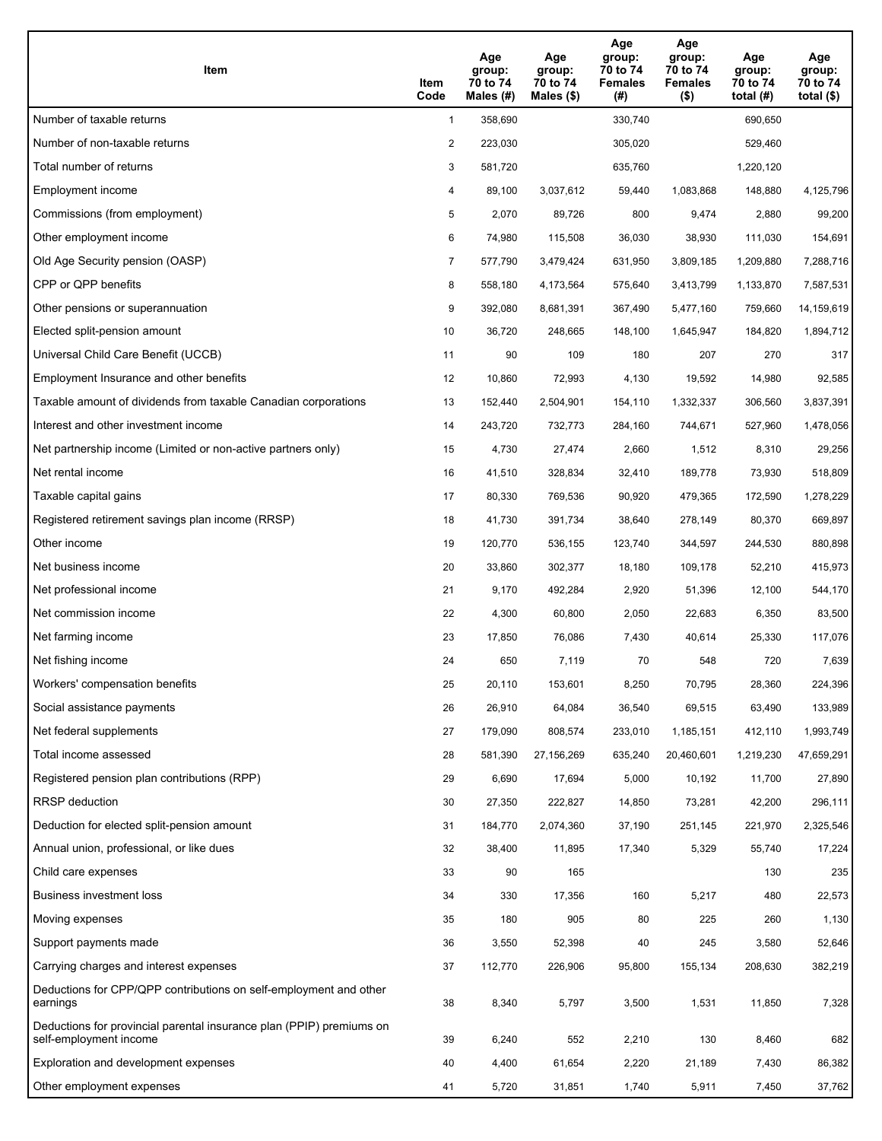| Item                                                                                           | Item<br>Code   | Age<br>group:<br>70 to 74<br>Males $(\#)$ | Age<br>group:<br>70 to 74<br>Males $(\$)$ | Age<br>group:<br>70 to 74<br><b>Females</b><br>(#) | Age<br>group:<br>70 to 74<br><b>Females</b><br>$($ \$) | Age<br>group:<br>70 to 74<br>total $(H)$ | Age<br>group:<br>70 to 74<br>total $($)$ |
|------------------------------------------------------------------------------------------------|----------------|-------------------------------------------|-------------------------------------------|----------------------------------------------------|--------------------------------------------------------|------------------------------------------|------------------------------------------|
| Number of taxable returns                                                                      | $\mathbf{1}$   | 358,690                                   |                                           | 330,740                                            |                                                        | 690,650                                  |                                          |
| Number of non-taxable returns                                                                  | $\overline{2}$ | 223,030                                   |                                           | 305,020                                            |                                                        | 529,460                                  |                                          |
| Total number of returns                                                                        | 3              | 581,720                                   |                                           | 635,760                                            |                                                        | 1,220,120                                |                                          |
| Employment income                                                                              | 4              | 89,100                                    | 3,037,612                                 | 59,440                                             | 1,083,868                                              | 148,880                                  | 4,125,796                                |
| Commissions (from employment)                                                                  | 5              | 2,070                                     | 89,726                                    | 800                                                | 9,474                                                  | 2,880                                    | 99,200                                   |
| Other employment income                                                                        | 6              | 74,980                                    | 115,508                                   | 36,030                                             | 38,930                                                 | 111,030                                  | 154,691                                  |
| Old Age Security pension (OASP)                                                                | $\overline{7}$ | 577,790                                   | 3,479,424                                 | 631,950                                            | 3,809,185                                              | 1,209,880                                | 7,288,716                                |
| CPP or QPP benefits                                                                            | 8              | 558,180                                   | 4,173,564                                 | 575,640                                            | 3,413,799                                              | 1,133,870                                | 7,587,531                                |
| Other pensions or superannuation                                                               | 9              | 392,080                                   | 8,681,391                                 | 367,490                                            | 5,477,160                                              | 759,660                                  | 14,159,619                               |
| Elected split-pension amount                                                                   | 10             | 36,720                                    | 248,665                                   | 148,100                                            | 1,645,947                                              | 184,820                                  | 1,894,712                                |
| Universal Child Care Benefit (UCCB)                                                            | 11             | 90                                        | 109                                       | 180                                                | 207                                                    | 270                                      | 317                                      |
| Employment Insurance and other benefits                                                        | 12             | 10,860                                    | 72,993                                    | 4,130                                              | 19,592                                                 | 14,980                                   | 92,585                                   |
| Taxable amount of dividends from taxable Canadian corporations                                 | 13             | 152,440                                   | 2,504,901                                 | 154,110                                            | 1,332,337                                              | 306,560                                  | 3,837,391                                |
| Interest and other investment income                                                           | 14             | 243,720                                   | 732,773                                   | 284,160                                            | 744,671                                                | 527,960                                  | 1,478,056                                |
| Net partnership income (Limited or non-active partners only)                                   | 15             | 4,730                                     | 27,474                                    | 2,660                                              | 1,512                                                  | 8,310                                    | 29,256                                   |
| Net rental income                                                                              | 16             | 41,510                                    | 328,834                                   | 32,410                                             | 189,778                                                | 73,930                                   | 518,809                                  |
| Taxable capital gains                                                                          | 17             | 80,330                                    | 769,536                                   | 90,920                                             | 479,365                                                | 172,590                                  | 1,278,229                                |
| Registered retirement savings plan income (RRSP)                                               | 18             | 41,730                                    | 391,734                                   | 38,640                                             | 278,149                                                | 80,370                                   | 669,897                                  |
| Other income                                                                                   | 19             | 120,770                                   | 536,155                                   | 123,740                                            | 344,597                                                | 244,530                                  | 880,898                                  |
| Net business income                                                                            | 20             | 33,860                                    | 302,377                                   | 18,180                                             | 109,178                                                | 52,210                                   | 415,973                                  |
| Net professional income                                                                        | 21             | 9,170                                     | 492,284                                   | 2,920                                              | 51,396                                                 | 12,100                                   | 544,170                                  |
| Net commission income                                                                          | 22             | 4,300                                     | 60,800                                    | 2,050                                              | 22,683                                                 | 6,350                                    | 83,500                                   |
| Net farming income                                                                             | 23             | 17,850                                    | 76,086                                    | 7,430                                              | 40,614                                                 | 25,330                                   | 117,076                                  |
| Net fishing income                                                                             | 24             | 650                                       | 7,119                                     | 70                                                 | 548                                                    | 720                                      | 7,639                                    |
| Workers' compensation benefits                                                                 | 25             | 20,110                                    | 153,601                                   | 8,250                                              | 70,795                                                 | 28,360                                   | 224,396                                  |
| Social assistance payments                                                                     | 26             | 26,910                                    | 64,084                                    | 36,540                                             | 69,515                                                 | 63,490                                   | 133,989                                  |
| Net federal supplements                                                                        | 27             | 179,090                                   | 808,574                                   | 233,010                                            | 1,185,151                                              | 412,110                                  | 1,993,749                                |
| Total income assessed                                                                          | 28             | 581,390                                   | 27,156,269                                | 635,240                                            | 20,460,601                                             | 1,219,230                                | 47,659,291                               |
| Registered pension plan contributions (RPP)                                                    | 29             | 6,690                                     | 17,694                                    | 5,000                                              | 10,192                                                 | 11,700                                   | 27,890                                   |
| RRSP deduction                                                                                 | 30             | 27,350                                    | 222,827                                   | 14,850                                             | 73,281                                                 | 42,200                                   | 296,111                                  |
| Deduction for elected split-pension amount                                                     | 31             | 184,770                                   | 2,074,360                                 | 37,190                                             | 251,145                                                | 221,970                                  | 2,325,546                                |
| Annual union, professional, or like dues                                                       | 32             | 38,400                                    | 11,895                                    | 17,340                                             | 5,329                                                  | 55,740                                   | 17,224                                   |
| Child care expenses                                                                            | 33             | 90                                        | 165                                       |                                                    |                                                        | 130                                      | 235                                      |
| Business investment loss                                                                       | 34             | 330                                       | 17,356                                    | 160                                                | 5,217                                                  | 480                                      | 22,573                                   |
| Moving expenses                                                                                | 35             | 180                                       | 905                                       | 80                                                 | 225                                                    | 260                                      | 1,130                                    |
| Support payments made                                                                          | 36             | 3,550                                     | 52,398                                    | 40                                                 | 245                                                    | 3,580                                    | 52,646                                   |
| Carrying charges and interest expenses                                                         | 37             | 112,770                                   | 226,906                                   | 95,800                                             | 155,134                                                | 208,630                                  | 382,219                                  |
| Deductions for CPP/QPP contributions on self-employment and other<br>earnings                  | 38             | 8,340                                     | 5,797                                     | 3,500                                              | 1,531                                                  | 11,850                                   | 7,328                                    |
| Deductions for provincial parental insurance plan (PPIP) premiums on<br>self-employment income | 39             | 6,240                                     | 552                                       | 2,210                                              | 130                                                    | 8,460                                    | 682                                      |
| Exploration and development expenses                                                           | 40             | 4,400                                     | 61,654                                    | 2,220                                              | 21,189                                                 | 7,430                                    | 86,382                                   |
| Other employment expenses                                                                      | 41             | 5,720                                     | 31,851                                    | 1,740                                              | 5,911                                                  | 7,450                                    | 37,762                                   |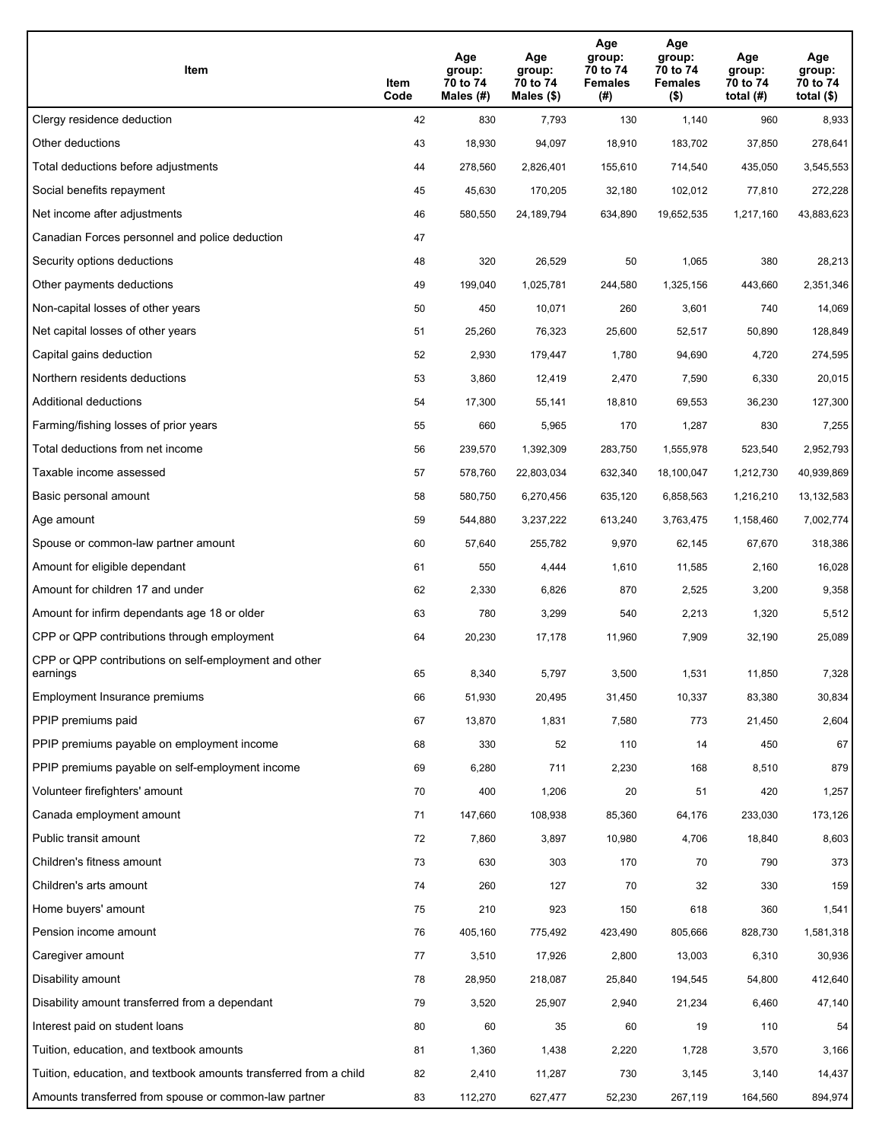| Item                                                              | Item<br>Code | Age<br>group:<br>70 to 74<br>Males (#) | Age<br>group:<br>70 to 74<br>Males (\$) | Age<br>group:<br>70 to 74<br><b>Females</b><br>(#) | Age<br>group:<br>70 to 74<br><b>Females</b><br>$($ \$) | Age<br>group:<br>70 to 74<br>total $(H)$ | Age<br>group:<br>70 to 74<br>total $($)$ |
|-------------------------------------------------------------------|--------------|----------------------------------------|-----------------------------------------|----------------------------------------------------|--------------------------------------------------------|------------------------------------------|------------------------------------------|
| Clergy residence deduction                                        | 42           | 830                                    | 7,793                                   | 130                                                | 1,140                                                  | 960                                      | 8,933                                    |
| Other deductions                                                  | 43           | 18,930                                 | 94,097                                  | 18,910                                             | 183,702                                                | 37,850                                   | 278,641                                  |
| Total deductions before adjustments                               | 44           | 278,560                                | 2,826,401                               | 155,610                                            | 714,540                                                | 435,050                                  | 3,545,553                                |
| Social benefits repayment                                         | 45           | 45,630                                 | 170,205                                 | 32,180                                             | 102,012                                                | 77,810                                   | 272,228                                  |
| Net income after adjustments                                      | 46           | 580,550                                | 24,189,794                              | 634,890                                            | 19,652,535                                             | 1,217,160                                | 43,883,623                               |
| Canadian Forces personnel and police deduction                    | 47           |                                        |                                         |                                                    |                                                        |                                          |                                          |
| Security options deductions                                       | 48           | 320                                    | 26,529                                  | 50                                                 | 1,065                                                  | 380                                      | 28,213                                   |
| Other payments deductions                                         | 49           | 199,040                                | 1,025,781                               | 244,580                                            | 1,325,156                                              | 443,660                                  | 2,351,346                                |
| Non-capital losses of other years                                 | 50           | 450                                    | 10,071                                  | 260                                                | 3,601                                                  | 740                                      | 14,069                                   |
| Net capital losses of other years                                 | 51           | 25,260                                 | 76,323                                  | 25,600                                             | 52,517                                                 | 50,890                                   | 128,849                                  |
| Capital gains deduction                                           | 52           | 2,930                                  | 179,447                                 | 1,780                                              | 94,690                                                 | 4,720                                    | 274,595                                  |
| Northern residents deductions                                     | 53           | 3,860                                  | 12,419                                  | 2,470                                              | 7,590                                                  | 6,330                                    | 20,015                                   |
| Additional deductions                                             | 54           | 17,300                                 | 55,141                                  | 18,810                                             | 69,553                                                 | 36,230                                   | 127,300                                  |
| Farming/fishing losses of prior years                             | 55           | 660                                    | 5,965                                   | 170                                                | 1,287                                                  | 830                                      | 7,255                                    |
| Total deductions from net income                                  | 56           | 239,570                                | 1,392,309                               | 283,750                                            | 1,555,978                                              | 523,540                                  | 2,952,793                                |
| Taxable income assessed                                           | 57           | 578,760                                | 22,803,034                              | 632,340                                            | 18,100,047                                             | 1,212,730                                | 40,939,869                               |
| Basic personal amount                                             | 58           | 580,750                                | 6,270,456                               | 635,120                                            | 6,858,563                                              | 1,216,210                                | 13, 132, 583                             |
| Age amount                                                        | 59           | 544,880                                | 3,237,222                               | 613,240                                            | 3,763,475                                              | 1,158,460                                | 7,002,774                                |
| Spouse or common-law partner amount                               | 60           | 57,640                                 | 255,782                                 | 9,970                                              | 62,145                                                 | 67,670                                   | 318,386                                  |
| Amount for eligible dependant                                     | 61           | 550                                    | 4,444                                   | 1,610                                              | 11,585                                                 | 2,160                                    | 16,028                                   |
| Amount for children 17 and under                                  | 62           | 2,330                                  | 6,826                                   | 870                                                | 2,525                                                  | 3,200                                    | 9,358                                    |
| Amount for infirm dependants age 18 or older                      | 63           | 780                                    | 3,299                                   | 540                                                | 2,213                                                  | 1,320                                    | 5,512                                    |
| CPP or QPP contributions through employment                       | 64           | 20,230                                 | 17,178                                  | 11,960                                             | 7,909                                                  | 32,190                                   | 25,089                                   |
| CPP or QPP contributions on self-employment and other<br>earnings | 65           | 8,340                                  | 5,797                                   | 3,500                                              | 1,531                                                  | 11,850                                   | 7,328                                    |
| Employment Insurance premiums                                     | 66           | 51,930                                 | 20,495                                  | 31,450                                             | 10,337                                                 | 83,380                                   | 30,834                                   |
| PPIP premiums paid                                                | 67           | 13,870                                 | 1,831                                   | 7,580                                              | 773                                                    | 21,450                                   | 2,604                                    |
| PPIP premiums payable on employment income                        | 68           | 330                                    | 52                                      | 110                                                | 14                                                     | 450                                      | 67                                       |
| PPIP premiums payable on self-employment income                   | 69           | 6,280                                  | 711                                     | 2,230                                              | 168                                                    | 8,510                                    | 879                                      |
| Volunteer firefighters' amount                                    | 70           | 400                                    | 1,206                                   | 20                                                 | 51                                                     | 420                                      | 1,257                                    |
| Canada employment amount                                          | 71           | 147,660                                | 108,938                                 | 85,360                                             | 64,176                                                 | 233,030                                  | 173,126                                  |
| Public transit amount                                             | 72           | 7,860                                  | 3,897                                   | 10,980                                             | 4,706                                                  | 18,840                                   | 8,603                                    |
| Children's fitness amount                                         | 73           | 630                                    | 303                                     | 170                                                | 70                                                     | 790                                      | 373                                      |
| Children's arts amount                                            | 74           | 260                                    | 127                                     | 70                                                 | 32                                                     | 330                                      | 159                                      |
| Home buyers' amount                                               | 75           | 210                                    | 923                                     | 150                                                | 618                                                    | 360                                      | 1,541                                    |
| Pension income amount                                             | 76           | 405,160                                | 775,492                                 | 423,490                                            | 805,666                                                | 828,730                                  | 1,581,318                                |
| Caregiver amount                                                  | 77           | 3,510                                  | 17,926                                  | 2,800                                              | 13,003                                                 | 6,310                                    | 30,936                                   |
| Disability amount                                                 | 78           | 28,950                                 | 218,087                                 | 25,840                                             | 194,545                                                | 54,800                                   | 412,640                                  |
| Disability amount transferred from a dependant                    | 79           | 3,520                                  | 25,907                                  | 2,940                                              | 21,234                                                 | 6,460                                    | 47,140                                   |
| Interest paid on student loans                                    | 80           | 60                                     | 35                                      | 60                                                 | 19                                                     | 110                                      | 54                                       |
| Tuition, education, and textbook amounts                          | 81           | 1,360                                  | 1,438                                   | 2,220                                              | 1,728                                                  | 3,570                                    | 3,166                                    |
| Tuition, education, and textbook amounts transferred from a child | 82           | 2,410                                  | 11,287                                  | 730                                                | 3,145                                                  | 3,140                                    | 14,437                                   |
| Amounts transferred from spouse or common-law partner             | 83           | 112,270                                | 627,477                                 | 52,230                                             | 267,119                                                | 164,560                                  | 894,974                                  |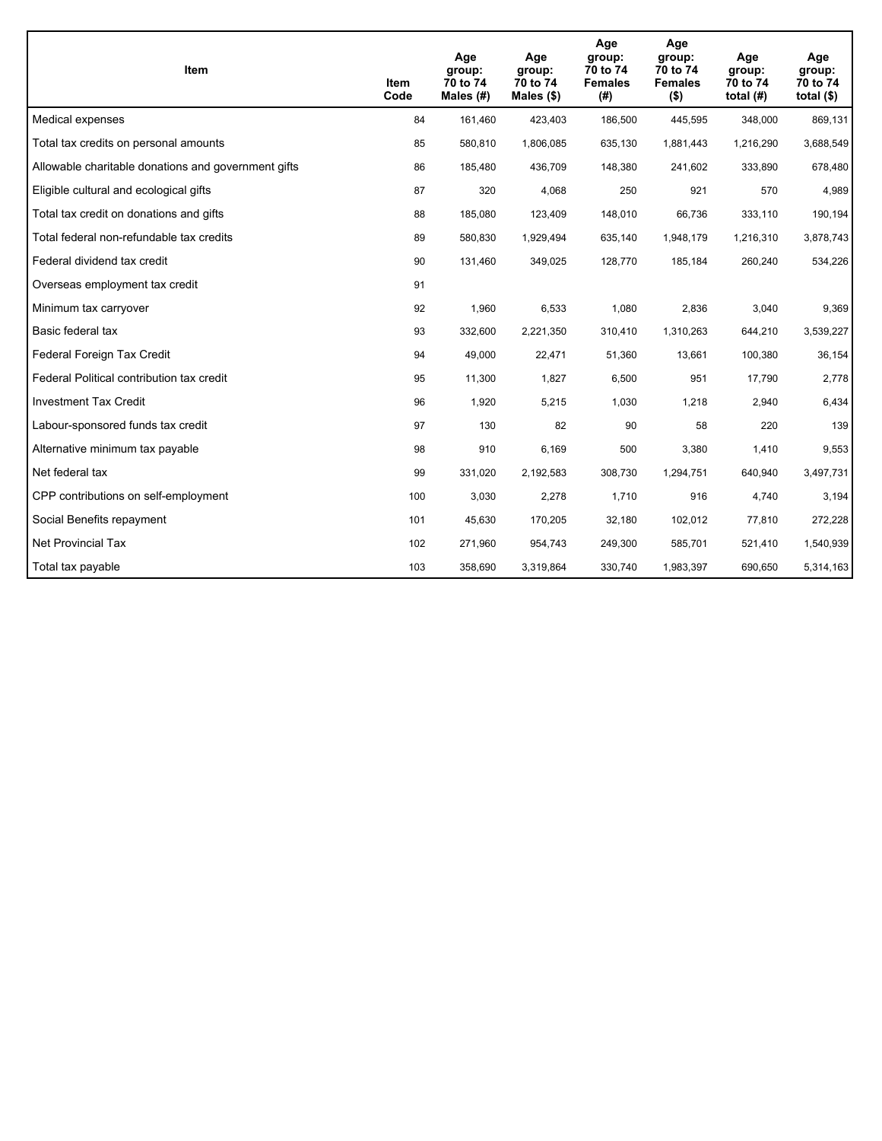| <b>Item</b>                                         | Item<br>Code | Age<br>group:<br>70 to 74<br>Males (#) | Age<br>group:<br>70 to 74<br>Males $(\$)$ | Age<br>group:<br>70 to 74<br><b>Females</b><br>(#) | Age<br>group:<br>70 to 74<br><b>Females</b><br>$($ \$) | Age<br>group:<br>70 to 74<br>total $(H)$ | Age<br>group:<br>70 to 74<br>total $($)$ |
|-----------------------------------------------------|--------------|----------------------------------------|-------------------------------------------|----------------------------------------------------|--------------------------------------------------------|------------------------------------------|------------------------------------------|
| Medical expenses                                    | 84           | 161,460                                | 423,403                                   | 186,500                                            | 445,595                                                | 348,000                                  | 869,131                                  |
| Total tax credits on personal amounts               | 85           | 580,810                                | 1,806,085                                 | 635,130                                            | 1,881,443                                              | 1,216,290                                | 3,688,549                                |
| Allowable charitable donations and government gifts | 86           | 185,480                                | 436,709                                   | 148,380                                            | 241,602                                                | 333,890                                  | 678,480                                  |
| Eligible cultural and ecological gifts              | 87           | 320                                    | 4,068                                     | 250                                                | 921                                                    | 570                                      | 4,989                                    |
| Total tax credit on donations and gifts             | 88           | 185,080                                | 123,409                                   | 148,010                                            | 66,736                                                 | 333,110                                  | 190,194                                  |
| Total federal non-refundable tax credits            | 89           | 580,830                                | 1,929,494                                 | 635,140                                            | 1,948,179                                              | 1,216,310                                | 3,878,743                                |
| Federal dividend tax credit                         | 90           | 131,460                                | 349,025                                   | 128,770                                            | 185,184                                                | 260,240                                  | 534,226                                  |
| Overseas employment tax credit                      | 91           |                                        |                                           |                                                    |                                                        |                                          |                                          |
| Minimum tax carryover                               | 92           | 1,960                                  | 6,533                                     | 1,080                                              | 2,836                                                  | 3,040                                    | 9,369                                    |
| Basic federal tax                                   | 93           | 332,600                                | 2,221,350                                 | 310,410                                            | 1,310,263                                              | 644,210                                  | 3,539,227                                |
| Federal Foreign Tax Credit                          | 94           | 49,000                                 | 22,471                                    | 51,360                                             | 13,661                                                 | 100,380                                  | 36,154                                   |
| Federal Political contribution tax credit           | 95           | 11,300                                 | 1,827                                     | 6,500                                              | 951                                                    | 17,790                                   | 2,778                                    |
| <b>Investment Tax Credit</b>                        | 96           | 1,920                                  | 5,215                                     | 1,030                                              | 1,218                                                  | 2,940                                    | 6,434                                    |
| Labour-sponsored funds tax credit                   | 97           | 130                                    | 82                                        | 90                                                 | 58                                                     | 220                                      | 139                                      |
| Alternative minimum tax payable                     | 98           | 910                                    | 6,169                                     | 500                                                | 3,380                                                  | 1,410                                    | 9,553                                    |
| Net federal tax                                     | 99           | 331,020                                | 2,192,583                                 | 308,730                                            | 1,294,751                                              | 640,940                                  | 3,497,731                                |
| CPP contributions on self-employment                | 100          | 3,030                                  | 2,278                                     | 1,710                                              | 916                                                    | 4,740                                    | 3,194                                    |
| Social Benefits repayment                           | 101          | 45,630                                 | 170,205                                   | 32,180                                             | 102,012                                                | 77,810                                   | 272,228                                  |
| <b>Net Provincial Tax</b>                           | 102          | 271,960                                | 954,743                                   | 249,300                                            | 585,701                                                | 521,410                                  | 1,540,939                                |
| Total tax payable                                   | 103          | 358,690                                | 3,319,864                                 | 330,740                                            | 1,983,397                                              | 690,650                                  | 5,314,163                                |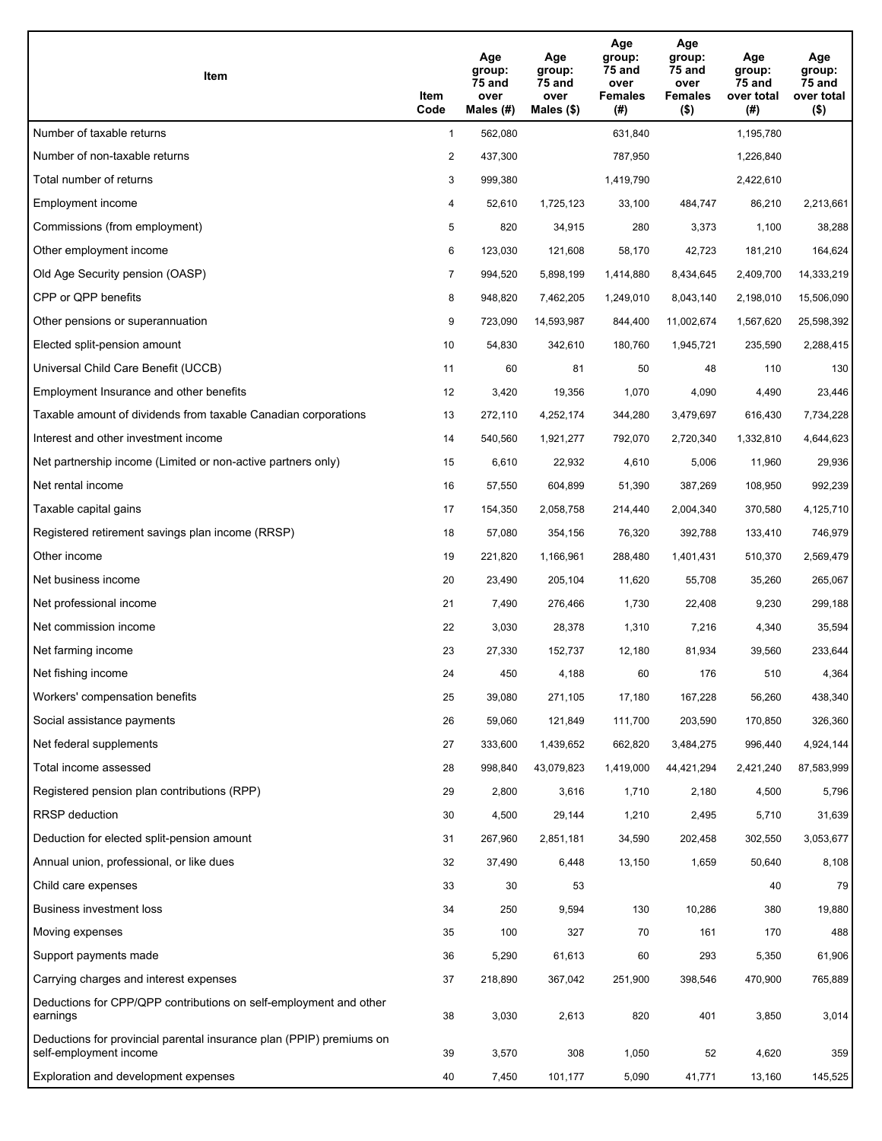| Item                                                                                           | Item<br>Code   | Age<br>group:<br>75 and<br>over<br>Males (#) | Age<br>group:<br>75 and<br>over<br>Males $(\$)$ | Age<br>group:<br>75 and<br>over<br><b>Females</b><br>(#) | Age<br>group:<br>75 and<br>over<br><b>Females</b><br>$($ \$) | Age<br>group:<br>75 and<br>over total<br>(#) | Age<br>group:<br>75 and<br>over total<br>$($ \$) |
|------------------------------------------------------------------------------------------------|----------------|----------------------------------------------|-------------------------------------------------|----------------------------------------------------------|--------------------------------------------------------------|----------------------------------------------|--------------------------------------------------|
| Number of taxable returns                                                                      | $\mathbf{1}$   | 562,080                                      |                                                 | 631,840                                                  |                                                              | 1,195,780                                    |                                                  |
| Number of non-taxable returns                                                                  | $\overline{2}$ | 437,300                                      |                                                 | 787,950                                                  |                                                              | 1,226,840                                    |                                                  |
| Total number of returns                                                                        | 3              | 999,380                                      |                                                 | 1,419,790                                                |                                                              | 2,422,610                                    |                                                  |
| Employment income                                                                              | 4              | 52,610                                       | 1,725,123                                       | 33,100                                                   | 484,747                                                      | 86,210                                       | 2,213,661                                        |
| Commissions (from employment)                                                                  | 5              | 820                                          | 34,915                                          | 280                                                      | 3,373                                                        | 1,100                                        | 38,288                                           |
| Other employment income                                                                        | 6              | 123,030                                      | 121,608                                         | 58,170                                                   | 42,723                                                       | 181,210                                      | 164,624                                          |
| Old Age Security pension (OASP)                                                                | 7              | 994,520                                      | 5,898,199                                       | 1,414,880                                                | 8,434,645                                                    | 2,409,700                                    | 14,333,219                                       |
| CPP or QPP benefits                                                                            | 8              | 948,820                                      | 7,462,205                                       | 1,249,010                                                | 8,043,140                                                    | 2,198,010                                    | 15,506,090                                       |
| Other pensions or superannuation                                                               | 9              | 723,090                                      | 14,593,987                                      | 844,400                                                  | 11,002,674                                                   | 1,567,620                                    | 25,598,392                                       |
| Elected split-pension amount                                                                   | 10             | 54,830                                       | 342,610                                         | 180,760                                                  | 1,945,721                                                    | 235,590                                      | 2,288,415                                        |
| Universal Child Care Benefit (UCCB)                                                            | 11             | 60                                           | 81                                              | 50                                                       | 48                                                           | 110                                          | 130                                              |
| Employment Insurance and other benefits                                                        | 12             | 3,420                                        | 19,356                                          | 1,070                                                    | 4,090                                                        | 4,490                                        | 23,446                                           |
| Taxable amount of dividends from taxable Canadian corporations                                 | 13             | 272,110                                      | 4,252,174                                       | 344,280                                                  | 3,479,697                                                    | 616,430                                      | 7,734,228                                        |
| Interest and other investment income                                                           | 14             | 540,560                                      | 1,921,277                                       | 792,070                                                  | 2,720,340                                                    | 1,332,810                                    | 4,644,623                                        |
| Net partnership income (Limited or non-active partners only)                                   | 15             | 6,610                                        | 22,932                                          | 4,610                                                    | 5,006                                                        | 11,960                                       | 29,936                                           |
| Net rental income                                                                              | 16             | 57,550                                       | 604,899                                         | 51,390                                                   | 387,269                                                      | 108,950                                      | 992,239                                          |
| Taxable capital gains                                                                          | 17             | 154,350                                      | 2,058,758                                       | 214,440                                                  | 2,004,340                                                    | 370,580                                      | 4,125,710                                        |
| Registered retirement savings plan income (RRSP)                                               | 18             | 57,080                                       | 354,156                                         | 76,320                                                   | 392,788                                                      | 133,410                                      | 746,979                                          |
| Other income                                                                                   | 19             | 221,820                                      | 1,166,961                                       | 288,480                                                  | 1,401,431                                                    | 510,370                                      | 2,569,479                                        |
| Net business income                                                                            | 20             | 23,490                                       | 205,104                                         | 11,620                                                   | 55,708                                                       | 35,260                                       | 265,067                                          |
| Net professional income                                                                        | 21             | 7,490                                        | 276,466                                         | 1,730                                                    | 22,408                                                       | 9,230                                        | 299,188                                          |
| Net commission income                                                                          | 22             | 3,030                                        | 28,378                                          | 1,310                                                    | 7,216                                                        | 4,340                                        | 35,594                                           |
| Net farming income                                                                             | 23             | 27,330                                       | 152,737                                         | 12,180                                                   | 81,934                                                       | 39,560                                       | 233,644                                          |
| Net fishing income                                                                             | 24             | 450                                          | 4,188                                           | 60                                                       | 176                                                          | 510                                          | 4,364                                            |
| Workers' compensation benefits                                                                 | 25             | 39,080                                       | 271,105                                         | 17,180                                                   | 167,228                                                      | 56,260                                       | 438,340                                          |
| Social assistance payments                                                                     | 26             | 59,060                                       | 121,849                                         | 111,700                                                  | 203,590                                                      | 170,850                                      | 326,360                                          |
| Net federal supplements                                                                        | 27             | 333,600                                      | 1,439,652                                       | 662,820                                                  | 3,484,275                                                    | 996,440                                      | 4,924,144                                        |
| Total income assessed                                                                          | 28             | 998,840                                      | 43,079,823                                      | 1,419,000                                                | 44,421,294                                                   | 2,421,240                                    | 87,583,999                                       |
| Registered pension plan contributions (RPP)                                                    | 29             | 2,800                                        | 3,616                                           | 1,710                                                    | 2,180                                                        | 4,500                                        | 5,796                                            |
| <b>RRSP</b> deduction                                                                          | 30             | 4,500                                        | 29,144                                          | 1,210                                                    | 2,495                                                        | 5,710                                        | 31,639                                           |
| Deduction for elected split-pension amount                                                     | 31             | 267,960                                      | 2,851,181                                       | 34,590                                                   | 202,458                                                      | 302,550                                      | 3,053,677                                        |
| Annual union, professional, or like dues                                                       | 32             | 37,490                                       | 6,448                                           | 13,150                                                   | 1,659                                                        | 50,640                                       | 8,108                                            |
| Child care expenses                                                                            | 33             | 30                                           | 53                                              |                                                          |                                                              | 40                                           | 79                                               |
| Business investment loss                                                                       | 34             | 250                                          | 9,594                                           | 130                                                      | 10,286                                                       | 380                                          | 19,880                                           |
| Moving expenses                                                                                | 35             | 100                                          | 327                                             | 70                                                       | 161                                                          | 170                                          | 488                                              |
| Support payments made                                                                          | 36             | 5,290                                        | 61,613                                          | 60                                                       | 293                                                          | 5,350                                        | 61,906                                           |
| Carrying charges and interest expenses                                                         | 37             | 218,890                                      | 367,042                                         | 251,900                                                  | 398,546                                                      | 470,900                                      | 765,889                                          |
| Deductions for CPP/QPP contributions on self-employment and other<br>earnings                  | 38             | 3,030                                        | 2,613                                           | 820                                                      | 401                                                          | 3,850                                        | 3,014                                            |
| Deductions for provincial parental insurance plan (PPIP) premiums on<br>self-employment income | 39             | 3,570                                        | 308                                             | 1,050                                                    | 52                                                           | 4,620                                        | 359                                              |
| Exploration and development expenses                                                           | 40             | 7,450                                        | 101,177                                         | 5,090                                                    | 41,771                                                       | 13,160                                       | 145,525                                          |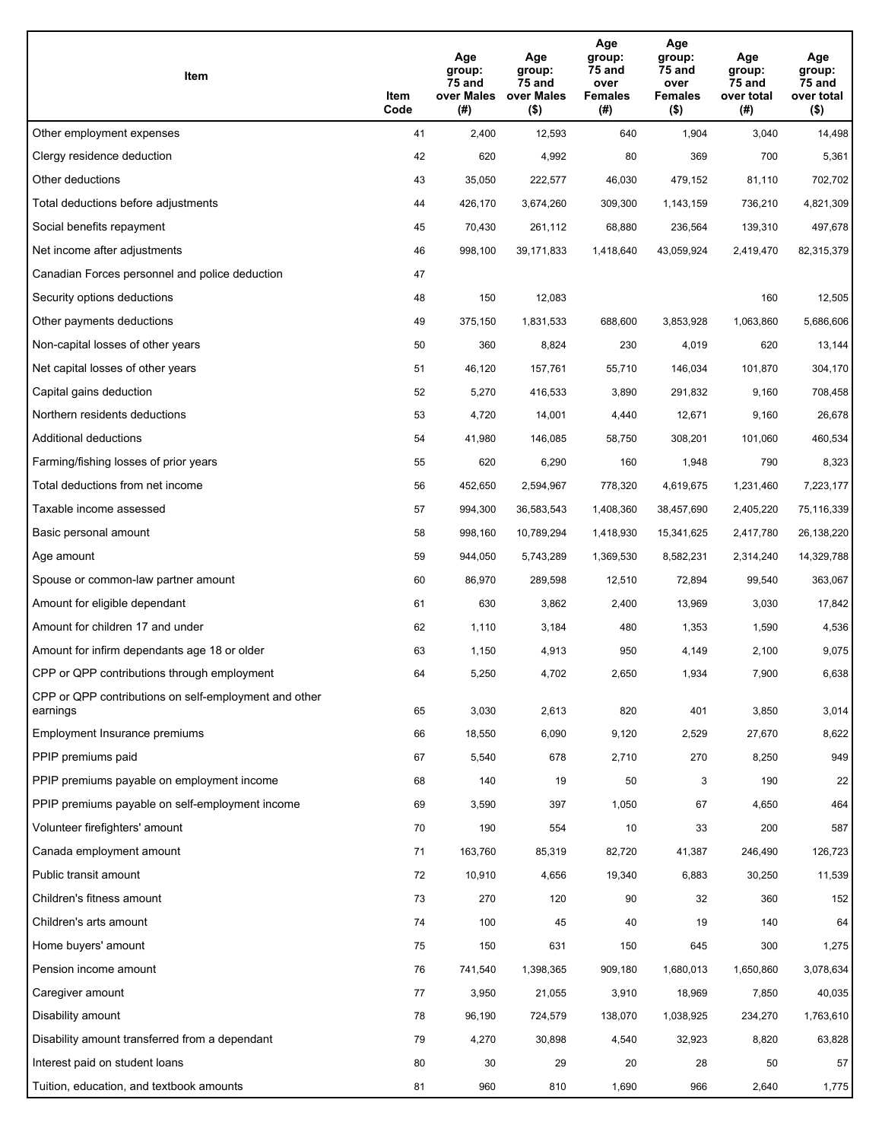| Item                                                              | Item<br>Code | Age<br>group:<br>75 and<br>over Males<br>(#) | Age<br>group:<br>75 and<br>over Males<br>$($ \$) | Age<br>group:<br>75 and<br>over<br><b>Females</b><br>(# ) | Age<br>group:<br>75 and<br>over<br><b>Females</b><br>$($ \$) | Age<br>group:<br>75 and<br>over total<br>(#) | Age<br>group:<br>75 and<br>over total<br>$($ \$) |
|-------------------------------------------------------------------|--------------|----------------------------------------------|--------------------------------------------------|-----------------------------------------------------------|--------------------------------------------------------------|----------------------------------------------|--------------------------------------------------|
| Other employment expenses                                         | 41           | 2,400                                        | 12,593                                           | 640                                                       | 1,904                                                        | 3,040                                        | 14,498                                           |
| Clergy residence deduction                                        | 42           | 620                                          | 4,992                                            | 80                                                        | 369                                                          | 700                                          | 5,361                                            |
| Other deductions                                                  | 43           | 35,050                                       | 222,577                                          | 46,030                                                    | 479,152                                                      | 81,110                                       | 702,702                                          |
| Total deductions before adjustments                               | 44           | 426,170                                      | 3,674,260                                        | 309,300                                                   | 1,143,159                                                    | 736,210                                      | 4,821,309                                        |
| Social benefits repayment                                         | 45           | 70,430                                       | 261,112                                          | 68,880                                                    | 236,564                                                      | 139,310                                      | 497,678                                          |
| Net income after adjustments                                      | 46           | 998,100                                      | 39,171,833                                       | 1,418,640                                                 | 43,059,924                                                   | 2,419,470                                    | 82,315,379                                       |
| Canadian Forces personnel and police deduction                    | 47           |                                              |                                                  |                                                           |                                                              |                                              |                                                  |
| Security options deductions                                       | 48           | 150                                          | 12,083                                           |                                                           |                                                              | 160                                          | 12,505                                           |
| Other payments deductions                                         | 49           | 375,150                                      | 1,831,533                                        | 688,600                                                   | 3,853,928                                                    | 1,063,860                                    | 5,686,606                                        |
| Non-capital losses of other years                                 | 50           | 360                                          | 8,824                                            | 230                                                       | 4,019                                                        | 620                                          | 13,144                                           |
| Net capital losses of other years                                 | 51           | 46,120                                       | 157,761                                          | 55,710                                                    | 146,034                                                      | 101,870                                      | 304,170                                          |
| Capital gains deduction                                           | 52           | 5,270                                        | 416,533                                          | 3,890                                                     | 291,832                                                      | 9,160                                        | 708,458                                          |
| Northern residents deductions                                     | 53           | 4,720                                        | 14,001                                           | 4,440                                                     | 12,671                                                       | 9,160                                        | 26,678                                           |
| Additional deductions                                             | 54           | 41,980                                       | 146,085                                          | 58,750                                                    | 308,201                                                      | 101,060                                      | 460,534                                          |
| Farming/fishing losses of prior years                             | 55           | 620                                          | 6,290                                            | 160                                                       | 1,948                                                        | 790                                          | 8,323                                            |
| Total deductions from net income                                  | 56           | 452,650                                      | 2,594,967                                        | 778,320                                                   | 4,619,675                                                    | 1,231,460                                    | 7,223,177                                        |
| Taxable income assessed                                           | 57           | 994,300                                      | 36,583,543                                       | 1,408,360                                                 | 38,457,690                                                   | 2,405,220                                    | 75,116,339                                       |
| Basic personal amount                                             | 58           | 998,160                                      | 10,789,294                                       | 1,418,930                                                 | 15,341,625                                                   | 2,417,780                                    | 26,138,220                                       |
| Age amount                                                        | 59           | 944,050                                      | 5,743,289                                        | 1,369,530                                                 | 8,582,231                                                    | 2,314,240                                    | 14,329,788                                       |
| Spouse or common-law partner amount                               | 60           | 86,970                                       | 289,598                                          | 12,510                                                    | 72,894                                                       | 99,540                                       | 363,067                                          |
| Amount for eligible dependant                                     | 61           | 630                                          | 3,862                                            | 2,400                                                     | 13,969                                                       | 3,030                                        | 17,842                                           |
| Amount for children 17 and under                                  | 62           | 1,110                                        | 3,184                                            | 480                                                       | 1,353                                                        | 1,590                                        | 4,536                                            |
| Amount for infirm dependants age 18 or older                      | 63           | 1,150                                        | 4,913                                            | 950                                                       | 4,149                                                        | 2,100                                        | 9,075                                            |
| CPP or QPP contributions through employment                       | 64           | 5,250                                        | 4,702                                            | 2,650                                                     | 1,934                                                        | 7,900                                        | 6,638                                            |
| CPP or QPP contributions on self-employment and other<br>earnings | 65           | 3,030                                        | 2,613                                            | 820                                                       | 401                                                          | 3,850                                        | 3,014                                            |
| Employment Insurance premiums                                     | 66           | 18,550                                       | 6,090                                            | 9,120                                                     | 2,529                                                        | 27,670                                       | 8,622                                            |
| PPIP premiums paid                                                | 67           | 5,540                                        | 678                                              | 2,710                                                     | 270                                                          | 8,250                                        | 949                                              |
| PPIP premiums payable on employment income                        | 68           | 140                                          | 19                                               | 50                                                        | 3                                                            | 190                                          | 22                                               |
| PPIP premiums payable on self-employment income                   | 69           | 3,590                                        | 397                                              | 1,050                                                     | 67                                                           | 4,650                                        | 464                                              |
| Volunteer firefighters' amount                                    | 70           | 190                                          | 554                                              | 10                                                        | 33                                                           | 200                                          | 587                                              |
| Canada employment amount                                          | 71           | 163,760                                      | 85,319                                           | 82,720                                                    | 41,387                                                       | 246,490                                      | 126,723                                          |
| Public transit amount                                             | 72           | 10,910                                       | 4,656                                            | 19,340                                                    | 6,883                                                        | 30,250                                       | 11,539                                           |
| Children's fitness amount                                         | 73           | 270                                          | 120                                              | 90                                                        | 32                                                           | 360                                          | 152                                              |
| Children's arts amount                                            | 74           | 100                                          | 45                                               | 40                                                        | 19                                                           | 140                                          | 64                                               |
| Home buyers' amount                                               | 75           | 150                                          | 631                                              | 150                                                       | 645                                                          | 300                                          | 1,275                                            |
| Pension income amount                                             | 76           | 741,540                                      | 1,398,365                                        | 909,180                                                   | 1,680,013                                                    | 1,650,860                                    | 3,078,634                                        |
| Caregiver amount                                                  | 77           | 3,950                                        | 21,055                                           | 3,910                                                     | 18,969                                                       | 7,850                                        | 40,035                                           |
| Disability amount                                                 | 78           | 96,190                                       | 724,579                                          | 138,070                                                   | 1,038,925                                                    | 234,270                                      | 1,763,610                                        |
| Disability amount transferred from a dependant                    | 79           | 4,270                                        | 30,898                                           | 4,540                                                     | 32,923                                                       | 8,820                                        | 63,828                                           |
| Interest paid on student loans                                    | 80           | 30                                           | 29                                               | 20                                                        | 28                                                           | 50                                           | 57                                               |
| Tuition, education, and textbook amounts                          | 81           | 960                                          | 810                                              | 1,690                                                     | 966                                                          | 2,640                                        | 1,775                                            |